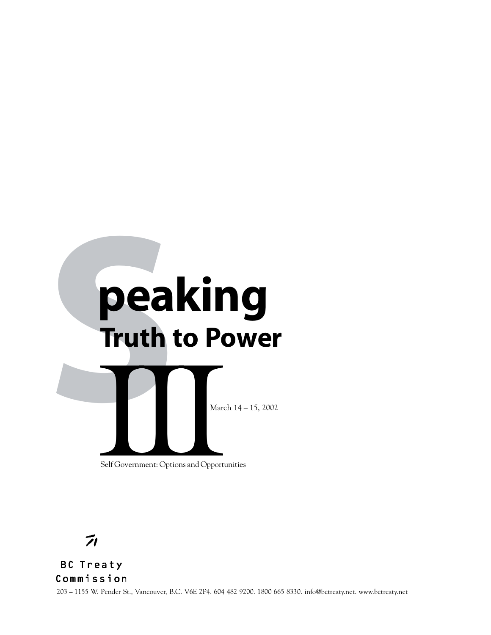

### $\overline{\nu}$

**BC Treaty** Commission 203 – 1155 W. Pender St., Vancouver, B.C. V6E 2P4. 604 482 9200. 1800 665 8330. info@bctreaty.net. www.bctreaty.net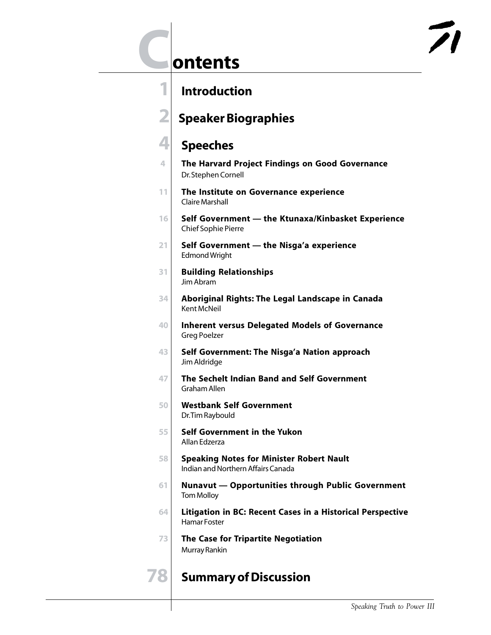# **Contents**

| 1  | <b>Introduction</b>                                                                   |  |  |
|----|---------------------------------------------------------------------------------------|--|--|
| 2  | <b>Speaker Biographies</b>                                                            |  |  |
| 4  | <b>Speeches</b>                                                                       |  |  |
| 4  | The Harvard Project Findings on Good Governance<br>Dr. Stephen Cornell                |  |  |
| 11 | The Institute on Governance experience<br><b>Claire Marshall</b>                      |  |  |
| 16 | Self Government - the Ktunaxa/Kinbasket Experience<br>Chief Sophie Pierre             |  |  |
| 21 | Self Government - the Nisga'a experience<br><b>Edmond Wright</b>                      |  |  |
| 31 | <b>Building Relationships</b><br>Jim Abram                                            |  |  |
| 34 | Aboriginal Rights: The Legal Landscape in Canada<br><b>Kent McNeil</b>                |  |  |
| 40 | <b>Inherent versus Delegated Models of Governance</b><br><b>Greg Poelzer</b>          |  |  |
| 43 | Self Government: The Nisga'a Nation approach<br>Jim Aldridge                          |  |  |
| 47 | The Sechelt Indian Band and Self Government<br>Graham Allen                           |  |  |
| 50 | <b>Westbank Self Government</b><br>Dr.Tim Raybould                                    |  |  |
| 55 | Self Government in the Yukon<br>Allan Edzerza                                         |  |  |
| 58 | <b>Speaking Notes for Minister Robert Nault</b><br>Indian and Northern Affairs Canada |  |  |
| 61 | <b>Nunavut — Opportunities through Public Government</b><br><b>Tom Molloy</b>         |  |  |
| 64 | Litigation in BC: Recent Cases in a Historical Perspective<br><b>Hamar Foster</b>     |  |  |
| 73 | The Case for Tripartite Negotiation<br>Murray Rankin                                  |  |  |
|    | <b>Summary of Discussion</b>                                                          |  |  |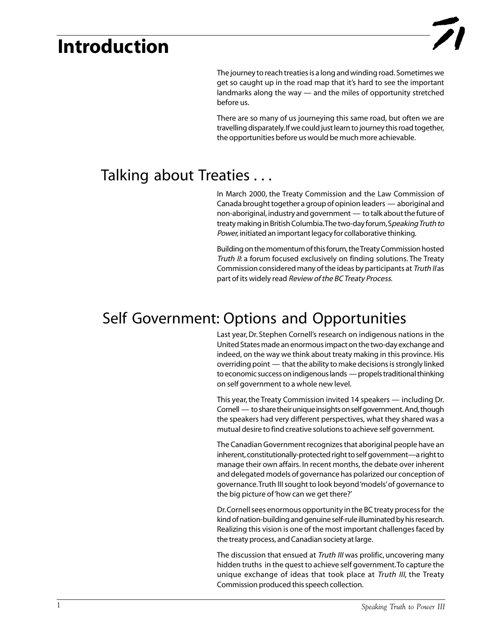# <span id="page-2-0"></span>**Introduction**

The journey to reach treaties is a long and winding road. Sometimes we get so caught up in the road map that it's hard to see the important landmarks along the way — and the miles of opportunity stretched before us.

There are so many of us journeying this same road, but often we are travelling disparately. If we could just learn to journey this road together, the opportunities before us would be much more achievable.

# Talking about Treaties . . .

In March 2000, the Treaty Commission and the Law Commission of Canada brought together a group of opinion leaders — aboriginal and non-aboriginal, industry and government — to talk about the future of treaty making in British Columbia. The two-day forum, Speaking Truth to Power, initiated an important legacy for collaborative thinking.

Building on the momentum of this forum, the Treaty Commission hosted Truth II: a forum focused exclusively on finding solutions. The Treaty Commission considered many of the ideas by participants at Truth II as part of its widely read Review of the BC Treaty Process.

# Self Government: Options and Opportunities

Last year, Dr. Stephen Cornell's research on indigenous nations in the United States made an enormous impact on the two-day exchange and indeed, on the way we think about treaty making in this province. His overriding point — that the ability to make decisions is strongly linked to economic success on indigenous lands — propels traditional thinking on self government to a whole new level.

This year, the Treaty Commission invited 14 speakers — including Dr. Cornell — to share their unique insights on self government. And, though the speakers had very different perspectives, what they shared was a mutual desire to find creative solutions to achieve self government.

The Canadian Government recognizes that aboriginal people have an inherent, constitutionally-protected right to self government—a right to manage their own affairs. In recent months, the debate over inherent and delegated models of governance has polarized our conception of governance. Truth III sought to look beyond 'models' of governance to the big picture of 'how can we get there?'

Dr. Cornell sees enormous opportunity in the BC treaty process for the kind of nation-building and genuine self-rule illuminated by his research. Realizing this vision is one of the most important challenges faced by the treaty process, and Canadian society at large.

The discussion that ensued at Truth III was prolific, uncovering many hidden truths in the quest to achieve self government. To capture the unique exchange of ideas that took place at Truth III, the Treaty Commission produced this speech collection.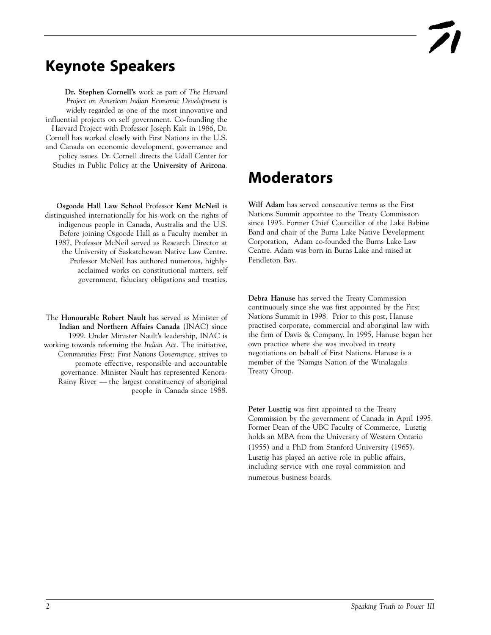### <span id="page-3-0"></span>**Keynote Speakers**

**Dr. Stephen Cornell's** work as part of *The Harvard Project on American Indian Economic Development* is widely regarded as one of the most innovative and influential projects on self government. Co-founding the Harvard Project with Professor Joseph Kalt in 1986, Dr. Cornell has worked closely with First Nations in the U.S. and Canada on economic development, governance and policy issues. Dr. Cornell directs the Udall Center for Studies in Public Policy at the **University of Arizona**.

**Osgoode Hall Law School** Professor **Kent McNeil** is distinguished internationally for his work on the rights of indigenous people in Canada, Australia and the U.S. Before joining Osgoode Hall as a Faculty member in 1987, Professor McNeil served as Research Director at the University of Saskatchewan Native Law Centre. Professor McNeil has authored numerous, highlyacclaimed works on constitutional matters, self government, fiduciary obligations and treaties.

The **Honourable Robert Nault** has served as Minister of **Indian and Northern Affairs Canada** (INAC) since 1999. Under Minister Nault's leadership, INAC is working towards reforming the *Indian Act.* The initiative, *Communities First: First Nations Governance,* strives to promote effective, responsible and accountable governance. Minister Nault has represented Kenora-Rainy River — the largest constituency of aboriginal people in Canada since 1988.

### **Moderators**

**Wilf Adam** has served consecutive terms as the First Nations Summit appointee to the Treaty Commission since 1995. Former Chief Councillor of the Lake Babine Band and chair of the Burns Lake Native Development Corporation, Adam co-founded the Burns Lake Law Centre. Adam was born in Burns Lake and raised at Pendleton Bay.

**Debra Hanuse** has served the Treaty Commission continuously since she was first appointed by the First Nations Summit in 1998. Prior to this post, Hanuse practised corporate, commercial and aboriginal law with the firm of Davis & Company. In 1995, Hanuse began her own practice where she was involved in treaty negotiations on behalf of First Nations. Hanuse is a member of the 'Namgis Nation of the Winalagalis Treaty Group.

Peter Lusztig was first appointed to the Treaty Commission by the government of Canada in April 1995. Former Dean of the UBC Faculty of Commerce, Lusztig holds an MBA from the University of Western Ontario (1955) and a PhD from Stanford University (1965). Lusztig has played an active role in public affairs, including service with one royal commission and numerous business boards.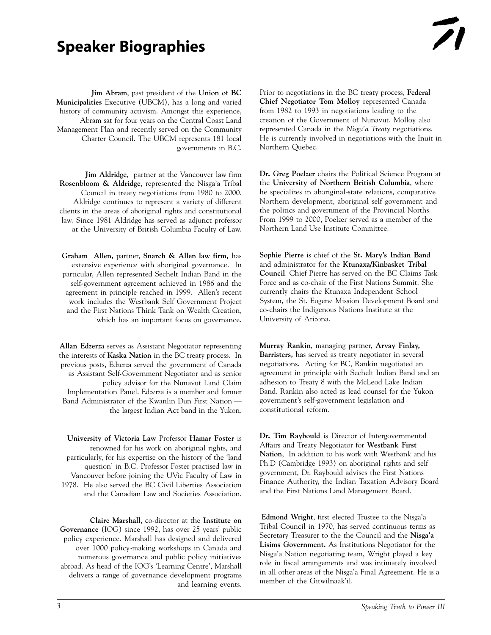# **Speaker Biographies**

**Jim Abram**, past president of the **Union of BC Municipalities** Executive (UBCM), has a long and varied history of community activism. Amongst this experience, Abram sat for four years on the Central Coast Land Management Plan and recently served on the Community Charter Council. The UBCM represents 181 local governments in B.C.

**Jim Aldridge**, partner at the Vancouver law firm **Rosenbloom & Aldridge**, represented the Nisga'a Tribal Council in treaty negotiations from 1980 to 2000. Aldridge continues to represent a variety of different clients in the areas of aboriginal rights and constitutional law. Since 1981 Aldridge has served as adjunct professor at the University of British Columbia Faculty of Law.

**Graham Allen,** partner, **Snarch & Allen law firm,** has extensive experience with aboriginal governance. In particular, Allen represented Sechelt Indian Band in the self-government agreement achieved in 1986 and the agreement in principle reached in 1999. Allen's recent work includes the Westbank Self Government Project and the First Nations Think Tank on Wealth Creation, which has an important focus on governance.

**Allan Edzerza** serves as Assistant Negotiator representing the interests of **Kaska Nation** in the BC treaty process. In previous posts, Edzerza served the government of Canada as Assistant Self-Government Negotiator and as senior policy advisor for the Nunavut Land Claim Implementation Panel. Edzerza is a member and former Band Administrator of the Kwanlin Dun First Nation the largest Indian Act band in the Yukon.

**University of Victoria Law** Professor **Hamar Foster** is renowned for his work on aboriginal rights, and particularly, for his expertise on the history of the 'land question' in B.C. Professor Foster practised law in Vancouver before joining the UVic Faculty of Law in 1978. He also served the BC Civil Liberties Association and the Canadian Law and Societies Association.

**Claire Marshall**, co-director at the **Institute on Governance** (IOG) since 1992, has over 25 years' public policy experience. Marshall has designed and delivered over 1000 policy-making workshops in Canada and numerous governance and public policy initiatives abroad. As head of the IOG's 'Learning Centre', Marshall delivers a range of governance development programs and learning events.

Prior to negotiations in the BC treaty process, **Federal Chief Negotiator Tom Molloy** represented Canada from 1982 to 1993 in negotiations leading to the creation of the Government of Nunavut. Molloy also represented Canada in the *Nisga'a Treaty* negotiations. He is currently involved in negotiations with the Inuit in Northern Quebec.

**Dr. Greg Poelzer** chairs the Political Science Program at the **University of Northern British Columbia**, where he specializes in aboriginal-state relations, comparative Northern development, aboriginal self government and the politics and government of the Provincial Norths. From 1999 to 2000, Poelzer served as a member of the Northern Land Use Institute Committee.

**Sophie Pierre** is chief of the **St. Mary's Indian Band** and administrator for the **Ktunaxa/Kinbasket Tribal Council**. Chief Pierre has served on the BC Claims Task Force and as co-chair of the First Nations Summit. She currently chairs the Ktunaxa Independent School System, the St. Eugene Mission Development Board and co-chairs the Indigenous Nations Institute at the University of Arizona.

**Murray Rankin**, managing partner, **Arvay Finlay, Barristers,** has served as treaty negotiator in several negotiations. Acting for BC, Rankin negotiated an agreement in principle with Sechelt Indian Band and an adhesion to Treaty 8 with the McLeod Lake Indian Band. Rankin also acted as lead counsel for the Yukon government's self-government legislation and constitutional reform.

**Dr. Tim Raybould** is Director of Intergovernmental Affairs and Treaty Negotiator for **Westbank First Nation**, In addition to his work with Westbank and his Ph.D (Cambridge 1993) on aboriginal rights and self government, Dr. Raybould advises the First Nations Finance Authority, the Indian Taxation Advisory Board and the First Nations Land Management Board.

**Edmond Wright**, first elected Trustee to the Nisga'a Tribal Council in 1970, has served continuous terms as Secretary Treasurer to the the Council and the **Nisga'a Lisims Government.** As Institutions Negotiator for the Nisga'a Nation negotiating team, Wright played a key role in fiscal arrangements and was intimately involved in all other areas of the Nisga'a Final Agreement. He is a member of the Gitwilnaak'il.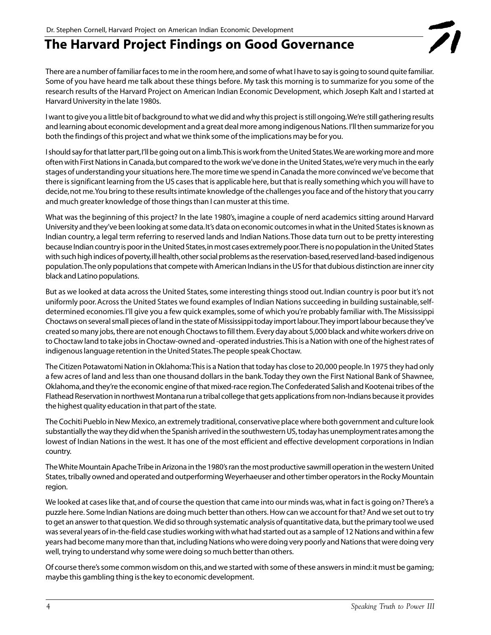### <span id="page-5-0"></span>**The Harvard Project Findings on Good Governance**

There are a number of familiar faces to me in the room here, and some of what I have to say is going to sound quite familiar. Some of you have heard me talk about these things before. My task this morning is to summarize for you some of the research results of the Harvard Project on American Indian Economic Development, which Joseph Kalt and I started at Harvard University in the late 1980s.

I want to give you a little bit of background to what we did and why this project is still ongoing. We're still gathering results and learning about economic development and a great deal more among indigenous Nations. I'll then summarize for you both the findings of this project and what we think some of the implications may be for you.

I should say for that latter part, I'll be going out on a limb. This is work from the United States. We are working more and more often with First Nations in Canada, but compared to the work we've done in the United States, we're very much in the early stages of understanding your situations here. The more time we spend in Canada the more convinced we've become that there is significant learning from the US cases that is applicable here, but that is really something which you will have to decide, not me. You bring to these results intimate knowledge of the challenges you face and of the history that you carry and much greater knowledge of those things than I can muster at this time.

What was the beginning of this project? In the late 1980's, imagine a couple of nerd academics sitting around Harvard University and they've been looking at some data. It's data on economic outcomes in what in the United States is known as Indian country, a legal term referring to reserved lands and Indian Nations. Those data turn out to be pretty interesting because Indian country is poor in the United States, in most cases extremely poor. There is no population in the United States with such high indices of poverty, ill health, other social problems as the reservation-based, reserved land-based indigenous population. The only populations that compete with American Indians in the US for that dubious distinction are inner city black and Latino populations.

But as we looked at data across the United States, some interesting things stood out. Indian country is poor but it's not uniformly poor. Across the United States we found examples of Indian Nations succeeding in building sustainable, selfdetermined economies. I'll give you a few quick examples, some of which you're probably familiar with. The Mississippi Choctaws on several small pieces of land in the state of Mississippi today import labour. They import labour because they've created so many jobs, there are not enough Choctaws to fill them. Every day about 5,000 black and white workers drive on to Choctaw land to take jobs in Choctaw-owned and -operated industries. This is a Nation with one of the highest rates of indigenous language retention in the United States. The people speak Choctaw.

The Citizen Potawatomi Nation in Oklahoma: This is a Nation that today has close to 20,000 people. In 1975 they had only a few acres of land and less than one thousand dollars in the bank. Today they own the First National Bank of Shawnee, Oklahoma, and they're the economic engine of that mixed-race region. The Confederated Salish and Kootenai tribes of the Flathead Reservation in northwest Montana run a tribal college that gets applications from non-Indians because it provides the highest quality education in that part of the state.

The Cochiti Pueblo in New Mexico, an extremely traditional, conservative place where both government and culture look substantially the way they did when the Spanish arrived in the southwestern US, today has unemployment rates among the lowest of Indian Nations in the west. It has one of the most efficient and effective development corporations in Indian country.

The White Mountain Apache Tribe in Arizona in the 1980's ran the most productive sawmill operation in the western United States, tribally owned and operated and outperforming Weyerhaeuser and other timber operators in the Rocky Mountain region.

We looked at cases like that, and of course the question that came into our minds was, what in fact is going on? There's a puzzle here. Some Indian Nations are doing much better than others. How can we account for that? And we set out to try to get an answer to that question. We did so through systematic analysis of quantitative data, but the primary tool we used was several years of in-the-field case studies working with what had started out as a sample of 12 Nations and within a few years had become many more than that, including Nations who were doing very poorly and Nations that were doing very well, trying to understand why some were doing so much better than others.

Of course there's some common wisdom on this, and we started with some of these answers in mind: it must be gaming; maybe this gambling thing is the key to economic development.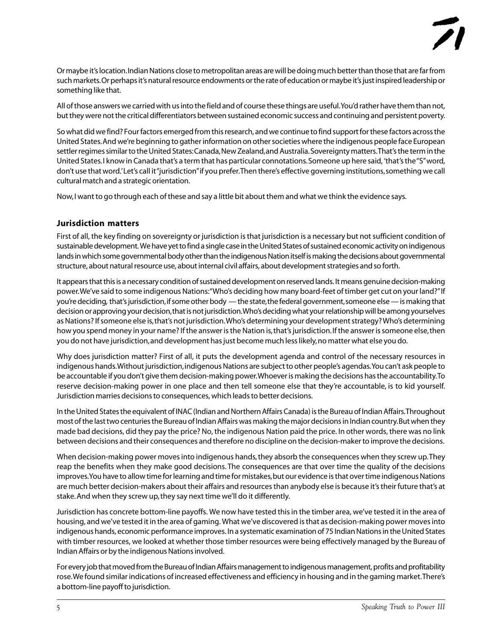Or maybe it's location. Indian Nations close to metropolitan areas are will be doing much better than those that are far from such markets. Or perhaps it's natural resource endowments or the rate of education or maybe it's just inspired leadership or something like that.

All of those answers we carried with us into the field and of course these things are useful. You'd rather have them than not, but they were not the critical differentiators between sustained economic success and continuing and persistent poverty.

So what did we find? Four factors emerged from this research, and we continue to find support for these factors across the United States. And we're beginning to gather information on other societies where the indigenous people face European settler regimes similar to the United States: Canada, New Zealand, and Australia. Sovereignty matters. That's the term in the United States. I know in Canada that's a term that has particular connotations. Someone up here said, 'that's the "S" word, don't use that word.' Let's call it "jurisdiction" if you prefer. Then there's effective governing institutions, something we call cultural match and a strategic orientation.

Now, I want to go through each of these and say a little bit about them and what we think the evidence says.

#### **Jurisdiction matters**

First of all, the key finding on sovereignty or jurisdiction is that jurisdiction is a necessary but not sufficient condition of sustainable development. We have yet to find a single case in the United States of sustained economic activity on indigenous lands in which some governmental body other than the indigenous Nation itself is making the decisions about governmental structure, about natural resource use, about internal civil affairs, about development strategies and so forth.

It appears that this is a necessary condition of sustained development on reserved lands. It means genuine decision-making power. We've said to some indigenous Nations: "Who's deciding how many board-feet of timber get cut on your land?" If you're deciding, that's jurisdiction, if some other body — the state, the federal government, someone else — is making that decision or approving your decision, that is not jurisdiction. Who's deciding what your relationship will be among yourselves as Nations? If someone else is, that's not jurisdiction. Who's determining your development strategy? Who's determining how you spend money in your name? If the answer is the Nation is, that's jurisdiction. If the answer is someone else, then you do not have jurisdiction, and development has just become much less likely, no matter what else you do.

Why does jurisdiction matter? First of all, it puts the development agenda and control of the necessary resources in indigenous hands. Without jurisdiction, indigenous Nations are subject to other people's agendas. You can't ask people to be accountable if you don't give them decision-making power. Whoever is making the decisions has the accountability. To reserve decision-making power in one place and then tell someone else that they're accountable, is to kid yourself. Jurisdiction marries decisions to consequences, which leads to better decisions.

In the United States the equivalent of INAC (Indian and Northern Affairs Canada) is the Bureau of Indian Affairs. Throughout most of the last two centuries the Bureau of Indian Affairs was making the major decisions in Indian country. But when they made bad decisions, did they pay the price? No, the indigenous Nation paid the price. In other words, there was no link between decisions and their consequences and therefore no discipline on the decision-maker to improve the decisions.

When decision-making power moves into indigenous hands, they absorb the consequences when they screw up. They reap the benefits when they make good decisions. The consequences are that over time the quality of the decisions improves. You have to allow time for learning and time for mistakes, but our evidence is that over time indigenous Nations are much better decision-makers about their affairs and resources than anybody else is because it's their future that's at stake. And when they screw up, they say next time we'll do it differently.

Jurisdiction has concrete bottom-line payoffs. We now have tested this in the timber area, we've tested it in the area of housing, and we've tested it in the area of gaming. What we've discovered is that as decision-making power moves into indigenous hands, economic performance improves. In a systematic examination of 75 Indian Nations in the United States with timber resources, we looked at whether those timber resources were being effectively managed by the Bureau of Indian Affairs or by the indigenous Nations involved.

For every job that moved from the Bureau of Indian Affairs management to indigenous management, profits and profitability rose. We found similar indications of increased effectiveness and efficiency in housing and in the gaming market. There's a bottom-line payoff to jurisdiction.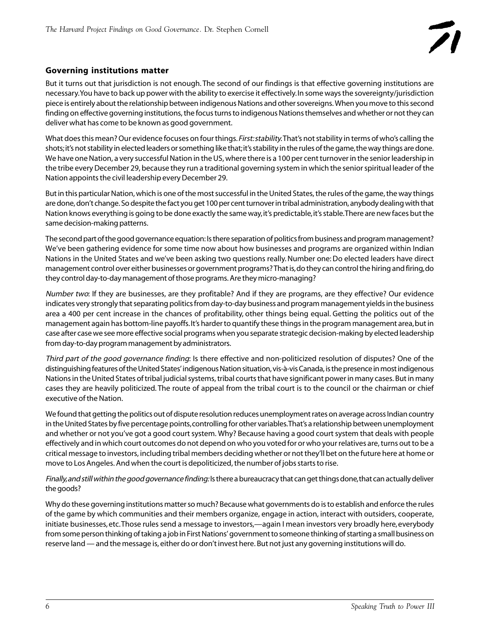### **Governing institutions matter**

But it turns out that jurisdiction is not enough. The second of our findings is that effective governing institutions are necessary. You have to back up power with the ability to exercise it effectively. In some ways the sovereignty/jurisdiction piece is entirely about the relationship between indigenous Nations and other sovereigns. When you move to this second finding on effective governing institutions, the focus turns to indigenous Nations themselves and whether or not they can deliver what has come to be known as good government.

What does this mean? Our evidence focuses on four things. First: stability. That's not stability in terms of who's calling the shots; it's not stability in elected leaders or something like that; it's stability in the rules of the game, the way things are done. We have one Nation, a very successful Nation in the US, where there is a 100 per cent turnover in the senior leadership in the tribe every December 29, because they run a traditional governing system in which the senior spiritual leader of the Nation appoints the civil leadership every December 29.

But in this particular Nation, which is one of the most successful in the United States, the rules of the game, the way things are done, don't change. So despite the fact you get 100 per cent turnover in tribal administration, anybody dealing with that Nation knows everything is going to be done exactly the same way, it's predictable, it's stable. There are new faces but the same decision-making patterns.

The second part of the good governance equation: Is there separation of politics from business and program management? We've been gathering evidence for some time now about how businesses and programs are organized within Indian Nations in the United States and we've been asking two questions really. Number one: Do elected leaders have direct management control over either businesses or government programs? That is, do they can control the hiring and firing, do they control day-to-day management of those programs. Are they micro-managing?

Number two: If they are businesses, are they profitable? And if they are programs, are they effective? Our evidence indicates very strongly that separating politics from day-to-day business and program management yields in the business area a 400 per cent increase in the chances of profitability, other things being equal. Getting the politics out of the management again has bottom-line payoffs. It's harder to quantify these things in the program management area, but in case after case we see more effective social programs when you separate strategic decision-making by elected leadership from day-to-day program management by administrators.

Third part of the good governance finding: Is there effective and non-politicized resolution of disputes? One of the distinguishing features of the United States' indigenous Nation situation, vis-à-vis Canada, is the presence in most indigenous Nations in the United States of tribal judicial systems, tribal courts that have significant power in many cases. But in many cases they are heavily politicized. The route of appeal from the tribal court is to the council or the chairman or chief executive of the Nation.

We found that getting the politics out of dispute resolution reduces unemployment rates on average across Indian country in the United States by five percentage points, controlling for other variables. That's a relationship between unemployment and whether or not you've got a good court system. Why? Because having a good court system that deals with people effectively and in which court outcomes do not depend on who you voted for or who your relatives are, turns out to be a critical message to investors, including tribal members deciding whether or not they'll bet on the future here at home or move to Los Angeles. And when the court is depoliticized, the number of jobs starts to rise.

Finally, and still within the good governance finding: Is there a bureaucracy that can get things done, that can actually deliver the goods?

Why do these governing institutions matter so much? Because what governments do is to establish and enforce the rules of the game by which communities and their members organize, engage in action, interact with outsiders, cooperate, initiate businesses, etc. Those rules send a message to investors,—again I mean investors very broadly here, everybody from some person thinking of taking a job in First Nations' government to someone thinking of starting a small business on reserve land — and the message is, either do or don't invest here. But not just any governing institutions will do.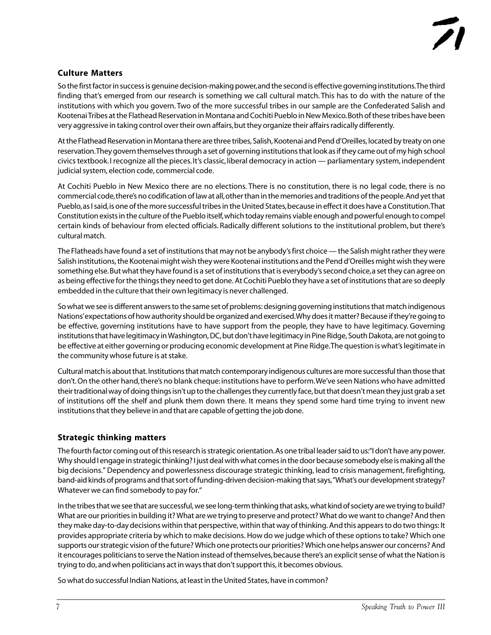### **Culture Matters**

So the first factor in success is genuine decision-making power, and the second is effective governing institutions. The third finding that's emerged from our research is something we call cultural match. This has to do with the nature of the institutions with which you govern. Two of the more successful tribes in our sample are the Confederated Salish and Kootenai Tribes at the Flathead Reservation in Montana and Cochiti Pueblo in New Mexico. Both of these tribes have been very aggressive in taking control over their own affairs, but they organize their affairs radically differently.

At the Flathead Reservation in Montana there are three tribes, Salish, Kootenai and Pend d'Oreilles, located by treaty on one reservation. They govern themselves through a set of governing institutions that look as if they came out of my high school civics textbook. I recognize all the pieces. It's classic, liberal democracy in action — parliamentary system, independent judicial system, election code, commercial code.

At Cochiti Pueblo in New Mexico there are no elections. There is no constitution, there is no legal code, there is no commercial code, there's no codification of law at all, other than in the memories and traditions of the people. And yet that Pueblo, as I said, is one of the more successful tribes in the United States, because in effect it does have a Constitution. That Constitution exists in the culture of the Pueblo itself, which today remains viable enough and powerful enough to compel certain kinds of behaviour from elected officials. Radically different solutions to the institutional problem, but there's cultural match.

The Flatheads have found a set of institutions that may not be anybody's first choice — the Salish might rather they were Salish institutions, the Kootenai might wish they were Kootenai institutions and the Pend d'Oreilles might wish they were something else. But what they have found is a set of institutions that is everybody's second choice, a set they can agree on as being effective for the things they need to get done. At Cochiti Pueblo they have a set of institutions that are so deeply embedded in the culture that their own legitimacy is never challenged.

So what we see is different answers to the same set of problems: designing governing institutions that match indigenous Nations' expectations of how authority should be organized and exercised. Why does it matter? Because if they're going to be effective, governing institutions have to have support from the people, they have to have legitimacy. Governing institutions that have legitimacy in Washington, DC, but don't have legitimacy in Pine Ridge, South Dakota, are not going to be effective at either governing or producing economic development at Pine Ridge. The question is what's legitimate in the community whose future is at stake.

Cultural match is about that. Institutions that match contemporary indigenous cultures are more successful than those that don't. On the other hand, there's no blank cheque: institutions have to perform. We've seen Nations who have admitted their traditional way of doing things isn't up to the challenges they currently face, but that doesn't mean they just grab a set of institutions off the shelf and plunk them down there. It means they spend some hard time trying to invent new institutions that they believe in and that are capable of getting the job done.

#### **Strategic thinking matters**

The fourth factor coming out of this research is strategic orientation. As one tribal leader said to us: "I don't have any power. Why should I engage in strategic thinking? I just deal with what comes in the door because somebody else is making all the big decisions." Dependency and powerlessness discourage strategic thinking, lead to crisis management, firefighting, band-aid kinds of programs and that sort of funding-driven decision-making that says, "What's our development strategy? Whatever we can find somebody to pay for."

In the tribes that we see that are successful, we see long-term thinking that asks, what kind of society are we trying to build? What are our priorities in building it? What are we trying to preserve and protect? What do we want to change? And then they make day-to-day decisions within that perspective, within that way of thinking. And this appears to do two things: It provides appropriate criteria by which to make decisions. How do we judge which of these options to take? Which one supports our strategic vision of the future? Which one protects our priorities? Which one helps answer our concerns? And it encourages politicians to serve the Nation instead of themselves, because there's an explicit sense of what the Nation is trying to do, and when politicians act in ways that don't support this, it becomes obvious.

So what do successful Indian Nations, at least in the United States, have in common?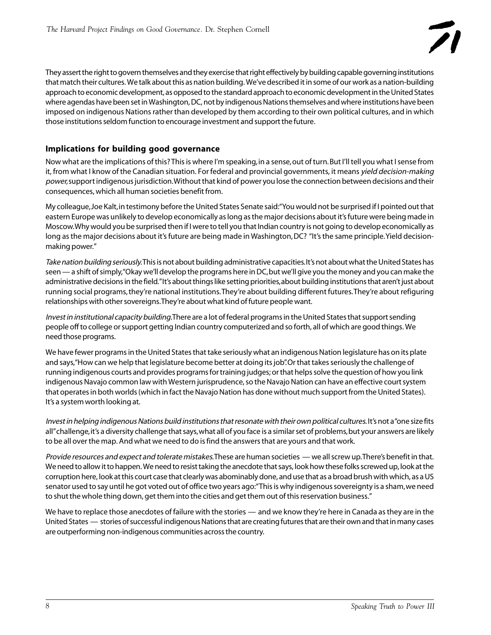They assert the right to govern themselves and they exercise that right effectively by building capable governing institutions that match their cultures. We talk about this as nation building. We've described it in some of our work as a nation-building approach to economic development, as opposed to the standard approach to economic development in the United States where agendas have been set in Washington, DC, not by indigenous Nations themselves and where institutions have been imposed on indigenous Nations rather than developed by them according to their own political cultures, and in which those institutions seldom function to encourage investment and support the future.

#### **Implications for building good governance**

Now what are the implications of this? This is where I'm speaking, in a sense, out of turn. But I'll tell you what I sense from it, from what I know of the Canadian situation. For federal and provincial governments, it means yield decision-making power, support indigenous jurisdiction. Without that kind of power you lose the connection between decisions and their consequences, which all human societies benefit from.

My colleague, Joe Kalt, in testimony before the United States Senate said: "You would not be surprised if I pointed out that eastern Europe was unlikely to develop economically as long as the major decisions about it's future were being made in Moscow. Why would you be surprised then if I were to tell you that Indian country is not going to develop economically as long as the major decisions about it's future are being made in Washington, DC? "It's the same principle. Yield decisionmaking power."

Take nation building seriously. This is not about building administrative capacities. It's not about what the United States has seen — a shift of simply, "Okay we'll develop the programs here in DC, but we'll give you the money and you can make the administrative decisions in the field." It's about things like setting priorities, about building institutions that aren't just about running social programs, they're national institutions. They're about building different futures. They're about refiguring relationships with other sovereigns. They're about what kind of future people want.

Invest in institutional capacity building.There are a lot of federal programs in the United States that support sending people off to college or support getting Indian country computerized and so forth, all of which are good things. We need those programs.

We have fewer programs in the United States that take seriously what an indigenous Nation legislature has on its plate and says, "How can we help that legislature become better at doing its job". Or that takes seriously the challenge of running indigenous courts and provides programs for training judges; or that helps solve the question of how you link indigenous Navajo common law with Western jurisprudence, so the Navajo Nation can have an effective court system that operates in both worlds (which in fact the Navajo Nation has done without much support from the United States). It's a system worth looking at.

Invest in helping indigenous Nations build institutions that resonate with their own political cultures. It's not a "one size fits all" challenge, it's a diversity challenge that says, what all of you face is a similar set of problems, but your answers are likely to be all over the map. And what we need to do is find the answers that are yours and that work.

Provide resources and expect and tolerate mistakes. These are human societies — we all screw up. There's benefit in that. We need to allow it to happen. We need to resist taking the anecdote that says, look how these folks screwed up, look at the corruption here, look at this court case that clearly was abominably done, and use that as a broad brush with which, as a US senator used to say until he got voted out of office two years ago: "This is why indigenous sovereignty is a sham, we need to shut the whole thing down, get them into the cities and get them out of this reservation business."

We have to replace those anecdotes of failure with the stories — and we know they're here in Canada as they are in the United States — stories of successful indigenous Nations that are creating futures that are their own and that in many cases are outperforming non-indigenous communities across the country.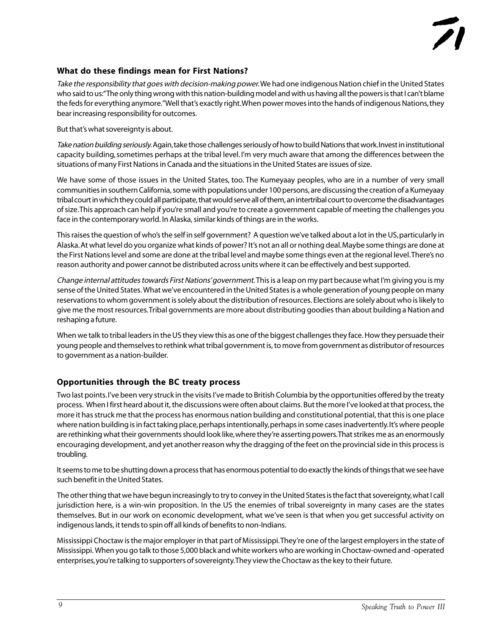### **What do these findings mean for First Nations?**

Take the responsibility that goes with decision-making power. We had one indigenous Nation chief in the United States who said to us: "The only thing wrong with this nation-building model and with us having all the powers is that I can't blame the feds for everything anymore." Well that's exactly right. When power moves into the hands of indigenous Nations, they bear increasing responsibility for outcomes.

But that's what sovereignty is about.

Take nation building seriously. Again, take those challenges seriously of how to build Nations that work. Invest in institutional capacity building, sometimes perhaps at the tribal level. I'm very much aware that among the differences between the situations of many First Nations in Canada and the situations in the United States are issues of size.

We have some of those issues in the United States, too. The Kumeyaay peoples, who are in a number of very small communities in southern California, some with populations under 100 persons, are discussing the creation of a Kumeyaay tribal court in which they could all participate, that would serve all of them, an intertribal court to overcome the disadvantages of size. This approach can help if you're small and you're to create a government capable of meeting the challenges you face in the contemporary world. In Alaska, similar kinds of things are in the works.

This raises the question of who's the self in self government? A question we've talked about a lot in the US, particularly in Alaska. At what level do you organize what kinds of power? It's not an all or nothing deal. Maybe some things are done at the First Nations level and some are done at the tribal level and maybe some things even at the regional level. There's no reason authority and power cannot be distributed across units where it can be effectively and best supported.

Change internal attitudes towards First Nations' government. This is a leap on my part because what I'm giving you is my sense of the United States. What we've encountered in the United States is a whole generation of young people on many reservations to whom government is solely about the distribution of resources. Elections are solely about who is likely to give me the most resources. Tribal governments are more about distributing goodies than about building a Nation and reshaping a future.

When we talk to tribal leaders in the US they view this as one of the biggest challenges they face. How they persuade their young people and themselves to rethink what tribal government is, to move from government as distributor of resources to government as a nation-builder.

### **Opportunities through the BC treaty process**

Two last points. I've been very struck in the visits I've made to British Columbia by the opportunities offered by the treaty process. When I first heard about it, the discussions were often about claims. But the more I've looked at that process, the more it has struck me that the process has enormous nation building and constitutional potential, that this is one place where nation building is in fact taking place, perhaps intentionally, perhaps in some cases inadvertently. It's where people are rethinking what their governments should look like, where they're asserting powers. That strikes me as an enormously encouraging development, and yet another reason why the dragging of the feet on the provincial side in this process is troubling.

It seems to me to be shutting down a process that has enormous potential to do exactly the kinds of things that we see have such benefit in the United States.

The other thing that we have begun increasingly to try to convey in the United States is the fact that sovereignty, what I call jurisdiction here, is a win-win proposition. In the US the enemies of tribal sovereignty in many cases are the states themselves. But in our work on economic development, what we've seen is that when you get successful activity on indigenous lands, it tends to spin off all kinds of benefits to non-Indians.

Mississippi Choctaw is the major employer in that part of Mississippi. They're one of the largest employers in the state of Mississippi. When you go talk to those 5,000 black and white workers who are working in Choctaw-owned and -operated enterprises, you're talking to supporters of sovereignty. They view the Choctaw as the key to their future.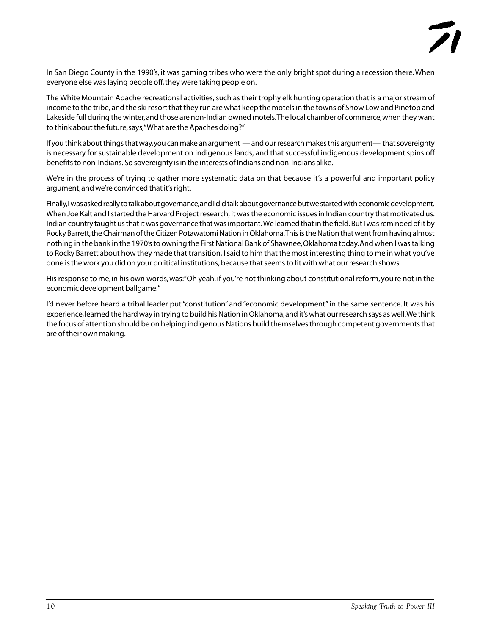In San Diego County in the 1990's, it was gaming tribes who were the only bright spot during a recession there. When everyone else was laying people off, they were taking people on.

The White Mountain Apache recreational activities, such as their trophy elk hunting operation that is a major stream of income to the tribe, and the ski resort that they run are what keep the motels in the towns of Show Low and Pinetop and Lakeside full during the winter, and those are non-Indian owned motels. The local chamber of commerce, when they want to think about the future, says, "What are the Apaches doing?"

If you think about things that way, you can make an argument — and our research makes this argument— that sovereignty is necessary for sustainable development on indigenous lands, and that successful indigenous development spins off benefits to non-Indians. So sovereignty is in the interests of Indians and non-Indians alike.

We're in the process of trying to gather more systematic data on that because it's a powerful and important policy argument, and we're convinced that it's right.

Finally, I was asked really to talk about governance, and I did talk about governance but we started with economic development. When Joe Kalt and I started the Harvard Project research, it was the economic issues in Indian country that motivated us. Indian country taught us that it was governance that was important. We learned that in the field. But I was reminded of it by Rocky Barrett, the Chairman of the Citizen Potawatomi Nation in Oklahoma. This is the Nation that went from having almost nothing in the bank in the 1970's to owning the First National Bank of Shawnee, Oklahoma today. And when I was talking to Rocky Barrett about how they made that transition, I said to him that the most interesting thing to me in what you've done is the work you did on your political institutions, because that seems to fit with what our research shows.

His response to me, in his own words, was: "Oh yeah, if you're not thinking about constitutional reform, you're not in the economic development ballgame."

I'd never before heard a tribal leader put "constitution" and "economic development" in the same sentence. It was his experience, learned the hard way in trying to build his Nation in Oklahoma, and it's what our research says as well. We think the focus of attention should be on helping indigenous Nations build themselves through competent governments that are of their own making.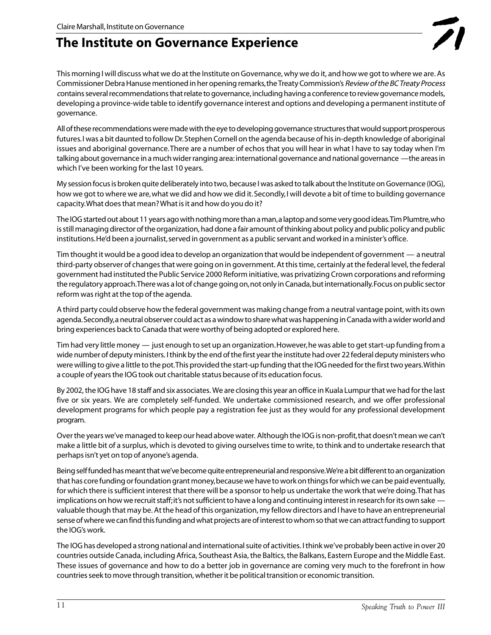### <span id="page-12-0"></span>**The Institute on Governance Experience**

This morning I will discuss what we do at the Institute on Governance, why we do it, and how we got to where we are. As Commissioner Debra Hanuse mentioned in her opening remarks, the Treaty Commission's Review of the BC Treaty Process <sup>c</sup>ontains several recommendations that relate to governance, including having a conference to review governance models, developing a province-wide table to identify governance interest and options and developing a permanent institute of governance.

All of these recommendations were made with the eye to developing governance structures that would support prosperous futures. I was a bit daunted to follow Dr. Stephen Cornell on the agenda because of his in-depth knowledge of aboriginal issues and aboriginal governance. There are a number of echos that you will hear in what I have to say today when I'm talking about governance in a much wider ranging area: international governance and national governance —the areas in which I've been working for the last 10 years.

My session focus is broken quite deliberately into two, because I was asked to talk about the Institute on Governance (IOG), how we got to where we are, what we did and how we did it. Secondly, I will devote a bit of time to building governance capacity. What does that mean? What is it and how do you do it?

The IOG started out about 11 years ago with nothing more than a man, a laptop and some very good ideas. Tim Plumtre, who is still managing director of the organization, had done a fair amount of thinking about policy and public policy and public institutions. He'd been a journalist, served in government as a public servant and worked in a minister's office.

Tim thought it would be a good idea to develop an organization that would be independent of government — a neutral third-party observer of changes that were going on in government. At this time, certainly at the federal level, the federal government had instituted the Public Service 2000 Reform initiative, was privatizing Crown corporations and reforming the regulatory approach. There was a lot of change going on, not only in Canada, but internationally. Focus on public sector reform was right at the top of the agenda.

A third party could observe how the federal government was making change from a neutral vantage point, with its own agenda. Secondly, a neutral observer could act as a window to share what was happening in Canada with a wider world and bring experiences back to Canada that were worthy of being adopted or explored here.

Tim had very little money — just enough to set up an organization. However, he was able to get start-up funding from a wide number of deputy ministers. I think by the end of the first year the institute had over 22 federal deputy ministers who were willing to give a little to the pot. This provided the start-up funding that the IOG needed for the first two years. Within a couple of years the IOG took out charitable status because of its education focus.

By 2002, the IOG have 18 staff and six associates. We are closing this year an office in Kuala Lumpur that we had for the last five or six years. We are completely self-funded. We undertake commissioned research, and we offer professional development programs for which people pay a registration fee just as they would for any professional development program.

Over the years we've managed to keep our head above water. Although the IOG is non-profit, that doesn't mean we can't make a little bit of a surplus, which is devoted to giving ourselves time to write, to think and to undertake research that perhaps isn't yet on top of anyone's agenda.

Being self funded has meant that we've become quite entrepreneurial and responsive. We're a bit different to an organization that has core funding or foundation grant money, because we have to work on things for which we can be paid eventually, for which there is sufficient interest that there will be a sponsor to help us undertake the work that we're doing. That has implications on how we recruit staff; it's not sufficient to have a long and continuing interest in research for its own sake valuable though that may be. At the head of this organization, my fellow directors and I have to have an entrepreneurial sense of where we can find this funding and what projects are of interest to whom so that we can attract funding to support the IOG's work.

The IOG has developed a strong national and international suite of activities. I think we've probably been active in over 20 countries outside Canada, including Africa, Southeast Asia, the Baltics, the Balkans, Eastern Europe and the Middle East. These issues of governance and how to do a better job in governance are coming very much to the forefront in how countries seek to move through transition, whether it be political transition or economic transition.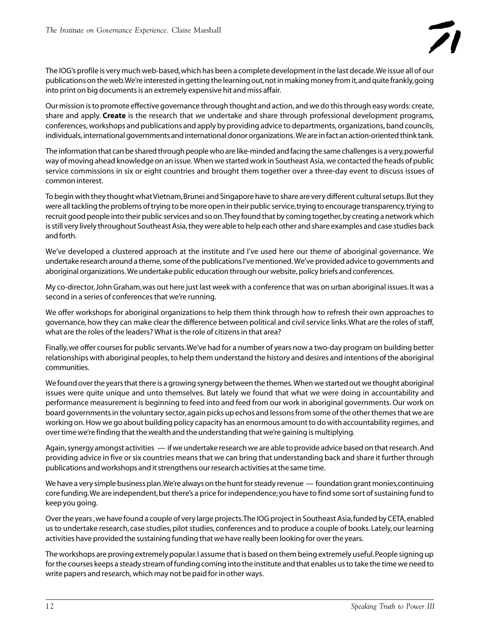The IOG's profile is very much web-based, which has been a complete development in the last decade. We issue all of our publications on the web. We're interested in getting the learning out, not in making money from it, and quite frankly, going into print on big documents is an extremely expensive hit and miss affair.

Our mission is to promote effective governance through thought and action, and we do this through easy words: create, share and apply. **Create** is the research that we undertake and share through professional development programs, conferences, workshops and publications and apply by providing advice to departments, organizations, band councils, individuals, international governments and international donor organizations. We are in fact an action-oriented think tank.

The information that can be shared through people who are like-minded and facing the same challenges is a very, powerful way of moving ahead knowledge on an issue. When we started work in Southeast Asia, we contacted the heads of public service commissions in six or eight countries and brought them together over a three-day event to discuss issues of common interest.

To begin with they thought what Vietnam, Brunei and Singapore have to share are very different cultural setups. But they were all tackling the problems of trying to be more open in their public service, trying to encourage transparency, trying to recruit good people into their public services and so on. They found that by coming together, by creating a network which is still very lively throughout Southeast Asia, they were able to help each other and share examples and case studies back and forth.

We've developed a clustered approach at the institute and I've used here our theme of aboriginal governance. We undertake research around a theme, some of the publications I've mentioned. We've provided advice to governments and aboriginal organizations. We undertake public education through our website, policy briefs and conferences.

My co-director, John Graham, was out here just last week with a conference that was on urban aboriginal issues. It was a second in a series of conferences that we're running.

We offer workshops for aboriginal organizations to help them think through how to refresh their own approaches to governance, how they can make clear the difference between political and civil service links. What are the roles of staff, what are the roles of the leaders? What is the role of citizens in that area?

Finally, we offer courses for public servants. We've had for a number of years now a two-day program on building better relationships with aboriginal peoples, to help them understand the history and desires and intentions of the aboriginal communities.

We found over the years that there is a growing synergy between the themes. When we started out we thought aboriginal issues were quite unique and unto themselves. But lately we found that what we were doing in accountability and performance measurement is beginning to feed into and feed from our work in aboriginal governments. Our work on board governments in the voluntary sector, again picks up echos and lessons from some of the other themes that we are working on. How we go about building policy capacity has an enormous amount to do with accountability regimes, and over time we're finding that the wealth and the understanding that we're gaining is multiplying.

Again, synergy amongst activities — if we undertake research we are able to provide advice based on that research. And providing advice in five or six countries means that we can bring that understanding back and share it further through publications and workshops and it strengthens our research activities at the same time.

We have a very simple business plan. We're always on the hunt for steady revenue — foundation grant monies, continuing core funding. We are independent, but there's a price for independence; you have to find some sort of sustaining fund to keep you going.

Over the years , we have found a couple of very large projects. The IOG project in Southeast Asia, funded by CETA, enabled us to undertake research, case studies, pilot studies, conferences and to produce a couple of books. Lately, our learning activities have provided the sustaining funding that we have really been looking for over the years.

The workshops are proving extremely popular. I assume that is based on them being extremely useful. People signing up for the courses keeps a steady stream of funding coming into the institute and that enables us to take the time we need to write papers and research, which may not be paid for in other ways.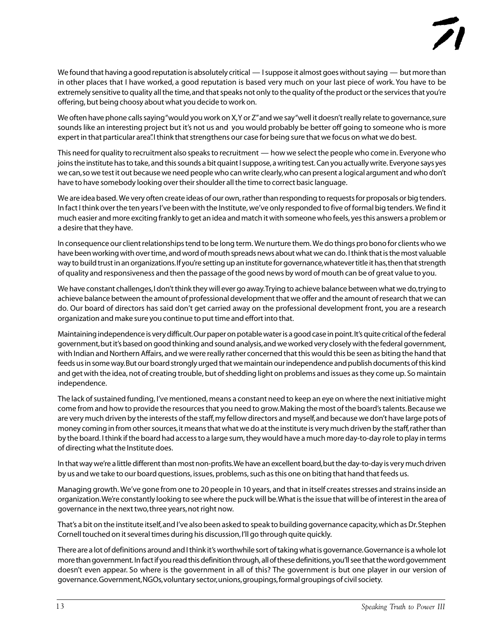We found that having a good reputation is absolutely critical — I suppose it almost goes without saying — but more than in other places that I have worked, a good reputation is based very much on your last piece of work. You have to be extremely sensitive to quality all the time, and that speaks not only to the quality of the product or the services that you're offering, but being choosy about what you decide to work on.

We often have phone calls saying "would you work on X, Y or Z" and we say "well it doesn't really relate to governance, sure sounds like an interesting project but it's not us and you would probably be better off going to someone who is more expert in that particular area". I think that strengthens our case for being sure that we focus on what we do best.

This need for quality to recruitment also speaks to recruitment — how we select the people who come in. Everyone who joins the institute has to take, and this sounds a bit quaint I suppose, a writing test. Can you actually write. Everyone says yes we can, so we test it out because we need people who can write clearly, who can present a logical argument and who don't have to have somebody looking over their shoulder all the time to correct basic language.

We are idea based. We very often create ideas of our own, rather than responding to requests for proposals or big tenders. In fact I think over the ten years I've been with the Institute, we've only responded to five of formal big tenders. We find it much easier and more exciting frankly to get an idea and match it with someone who feels, yes this answers a problem or a desire that they have.

In consequence our client relationships tend to be long term. We nurture them. We do things pro bono for clients who we have been working with over time, and word of mouth spreads news about what we can do. I think that is the most valuable way to build trust in an organizations. If you're setting up an institute for governance, whatever title it has, then that strength of quality and responsiveness and then the passage of the good news by word of mouth can be of great value to you.

We have constant challenges, I don't think they will ever go away. Trying to achieve balance between what we do, trying to achieve balance between the amount of professional development that we offer and the amount of research that we can do. Our board of directors has said don't get carried away on the professional development front, you are a research organization and make sure you continue to put time and effort into that.

Maintaining independence is very difficult. Our paper on potable water is a good case in point. It's quite critical of the federal government, but it's based on good thinking and sound analysis, and we worked very closely with the federal government, with Indian and Northern Affairs, and we were really rather concerned that this would this be seen as biting the hand that feeds us in some way. But our board strongly urged that we maintain our independence and publish documents of this kind and get with the idea, not of creating trouble, but of shedding light on problems and issues as they come up. So maintain independence.

The lack of sustained funding, I've mentioned, means a constant need to keep an eye on where the next initiative might come from and how to provide the resources that you need to grow. Making the most of the board's talents. Because we are very much driven by the interests of the staff, my fellow directors and myself, and because we don't have large pots of money coming in from other sources, it means that what we do at the institute is very much driven by the staff, rather than by the board. I think if the board had access to a large sum, they would have a much more day-to-day role to play in terms of directing what the Institute does.

In that way we're a little different than most non-profits. We have an excellent board, but the day-to-day is very much driven by us and we take to our board questions, issues, problems, such as this one on biting that hand that feeds us.

Managing growth. We've gone from one to 20 people in 10 years, and that in itself creates stresses and strains inside an organization. We're constantly looking to see where the puck will be. What is the issue that will be of interest in the area of governance in the next two, three years, not right now.

That's a bit on the institute itself, and I've also been asked to speak to building governance capacity, which as Dr. Stephen Cornell touched on it several times during his discussion, I'll go through quite quickly.

There are a lot of definitions around and I think it's worthwhile sort of taking what is governance. Governance is a whole lot more than government. In fact if you read this definition through, all of these definitions, you'll see that the word government doesn't even appear. So where is the government in all of this? The government is but one player in our version of governance. Government, NGOs, voluntary sector, unions, groupings, formal groupings of civil society.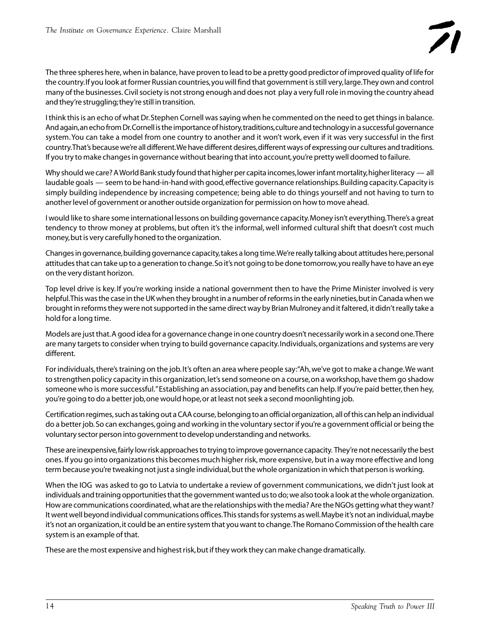The three spheres here, when in balance, have proven to lead to be a pretty good predictor of improved quality of life for the country. If you look at former Russian countries, you will find that government is still very, large. They own and control many of the businesses. Civil society is not strong enough and does not play a very full role in moving the country ahead and they're struggling; they're still in transition.

I think this is an echo of what Dr. Stephen Cornell was saying when he commented on the need to get things in balance. And again, an echo from Dr. Cornell is the importance of history, traditions, culture and technology in a successful governance system. You can take a model from one country to another and it won't work, even if it was very successful in the first country. That's because we're all different. We have different desires, different ways of expressing our cultures and traditions. If you try to make changes in governance without bearing that into account, you're pretty well doomed to failure.

Why should we care? A World Bank study found that higher per capita incomes, lower infant mortality, higher literacy — all laudable goals — seem to be hand-in-hand with good, effective governance relationships. Building capacity. Capacity is simply building independence by increasing competence; being able to do things yourself and not having to turn to another level of government or another outside organization for permission on how to move ahead.

I would like to share some international lessons on building governance capacity. Money isn't everything. There's a great tendency to throw money at problems, but often it's the informal, well informed cultural shift that doesn't cost much money, but is very carefully honed to the organization.

Changes in governance, building governance capacity, takes a long time. We're really talking about attitudes here, personal attitudes that can take up to a generation to change. So it's not going to be done tomorrow, you really have to have an eye on the very distant horizon.

Top level drive is key. If you're working inside a national government then to have the Prime Minister involved is very helpful. This was the case in the UK when they brought in a number of reforms in the early nineties, but in Canada when we brought in reforms they were not supported in the same direct way by Brian Mulroney and it faltered, it didn't really take a hold for a long time.

Models are just that. A good idea for a governance change in one country doesn't necessarily work in a second one. There are many targets to consider when trying to build governance capacity. Individuals, organizations and systems are very different.

For individuals, there's training on the job. It's often an area where people say: "Ah, we've got to make a change. We want to strengthen policy capacity in this organization, let's send someone on a course, on a workshop, have them go shadow someone who is more successful." Establishing an association, pay and benefits can help. If you're paid better, then hey, you're going to do a better job, one would hope, or at least not seek a second moonlighting job.

Certification regimes, such as taking out a CAA course, belonging to an official organization, all of this can help an individual do a better job. So can exchanges, going and working in the voluntary sector if you're a government official or being the voluntary sector person into government to develop understanding and networks.

These are inexpensive, fairly low risk approaches to trying to improve governance capacity. They're not necessarily the best ones. If you go into organizations this becomes much higher risk, more expensive, but in a way more effective and long term because you're tweaking not just a single individual, but the whole organization in which that person is working.

When the IOG was asked to go to Latvia to undertake a review of government communications, we didn't just look at individuals and training opportunities that the government wanted us to do; we also took a look at the whole organization. How are communications coordinated, what are the relationships with the media? Are the NGOs getting what they want? It went well beyond individual communications offices. This stands for systems as well. Maybe it's not an individual, maybe it's not an organization, it could be an entire system that you want to change. The Romano Commission of the health care system is an example of that.

These are the most expensive and highest risk, but if they work they can make change dramatically.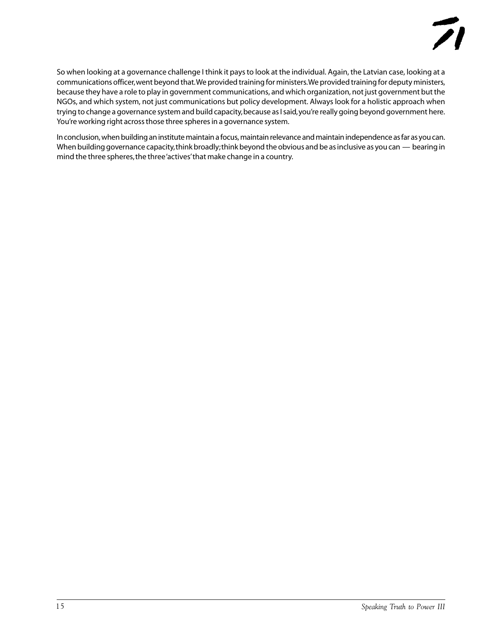So when looking at a governance challenge I think it pays to look at the individual. Again, the Latvian case, looking at a communications officer, went beyond that. We provided training for ministers. We provided training for deputy ministers, because they have a role to play in government communications, and which organization, not just government but the NGOs, and which system, not just communications but policy development. Always look for a holistic approach when trying to change a governance system and build capacity, because as I said, you're really going beyond government here. You're working right across those three spheres in a governance system.

In conclusion, when building an institute maintain a focus, maintain relevance and maintain independence as far as you can. When building governance capacity, think broadly; think beyond the obvious and be as inclusive as you can — bearing in mind the three spheres, the three 'actives' that make change in a country.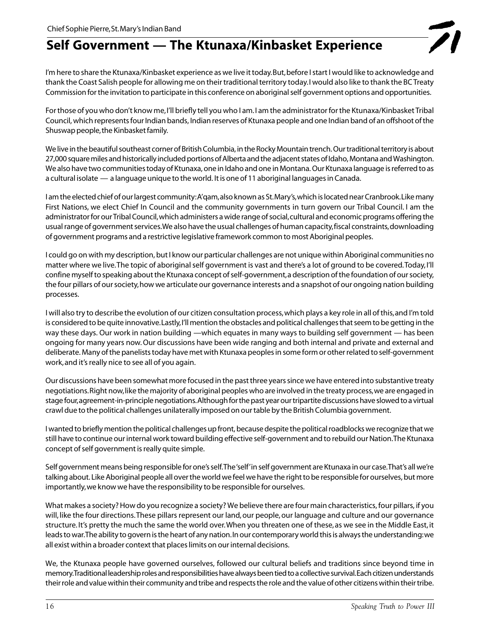### <span id="page-17-0"></span>**Self Government — The Ktunaxa/Kinbasket Experience**

I'm here to share the Ktunaxa/Kinbasket experience as we live it today. But, before I start I would like to acknowledge and thank the Coast Salish people for allowing me on their traditional territory today. I would also like to thank the BC Treaty Commission for the invitation to participate in this conference on aboriginal self government options and opportunities.

For those of you who don't know me, I'll briefly tell you who I am. I am the administrator for the Ktunaxa/Kinbasket Tribal Council, which represents four Indian bands, Indian reserves of Ktunaxa people and one Indian band of an offshoot of the Shuswap people, the Kinbasket family.

We live in the beautiful southeast corner of British Columbia, in the Rocky Mountain trench. Our traditional territory is about 27,000 square miles and historically included portions of Alberta and the adjacent states of Idaho, Montana and Washington. We also have two communities today of Ktunaxa, one in Idaho and one in Montana. Our Ktunaxa language is referred to as a cultural isolate — a language unique to the world. It is one of 11 aboriginal languages in Canada.

I am the elected chief of our largest community: A'qam, also known as St. Mary's, which is located near Cranbrook. Like many First Nations, we elect Chief In Council and the community governments in turn govern our Tribal Council. I am the administrator for our Tribal Council, which administers a wide range of social, cultural and economic programs offering the usual range of government services. We also have the usual challenges of human capacity, fiscal constraints, downloading of government programs and a restrictive legislative framework common to most Aboriginal peoples.

I could go on with my description, but I know our particular challenges are not unique within Aboriginal communities no matter where we live. The topic of aboriginal self government is vast and there's a lot of ground to be covered. Today, I'll confine myself to speaking about the Ktunaxa concept of self-government, a description of the foundation of our society, the four pillars of our society, how we articulate our governance interests and a snapshot of our ongoing nation building processes.

I will also try to describe the evolution of our citizen consultation process, which plays a key role in all of this, and I'm told is considered to be quite innovative. Lastly, I'll mention the obstacles and political challenges that seem to be getting in the way these days. Our work in nation building —which equates in many ways to building self government — has been ongoing for many years now. Our discussions have been wide ranging and both internal and private and external and deliberate. Many of the panelists today have met with Ktunaxa peoples in some form or other related to self-government work, and it's really nice to see all of you again.

Our discussions have been somewhat more focused in the past three years since we have entered into substantive treaty negotiations. Right now, like the majority of aboriginal peoples who are involved in the treaty process, we are engaged in stage four, agreement-in-principle negotiations. Although for the past year our tripartite discussions have slowed to a virtual crawl due to the political challenges unilaterally imposed on our table by the British Columbia government.

I wanted to briefly mention the political challenges up front, because despite the political roadblocks we recognize that we still have to continue our internal work toward building effective self-government and to rebuild our Nation. The Ktunaxa concept of self government is really quite simple.

Self government means being responsible for one's self. The 'self' in self government are Ktunaxa in our case. That's all we're talking about. Like Aboriginal people all over the world we feel we have the right to be responsible for ourselves, but more importantly, we know we have the responsibility to be responsible for ourselves.

What makes a society? How do you recognize a society? We believe there are four main characteristics, four pillars, if you will, like the four directions. These pillars represent our land, our people, our language and culture and our governance structure. It's pretty the much the same the world over. When you threaten one of these, as we see in the Middle East, it leads to war. The ability to govern is the heart of any nation. In our contemporary world this is always the understanding: we all exist within a broader context that places limits on our internal decisions.

We, the Ktunaxa people have governed ourselves, followed our cultural beliefs and traditions since beyond time in memory. Traditional leadership roles and responsibilities have always been tied to a collective survival. Each citizen understands their role and value within their community and tribe and respects the role and the value of other citizens within their tribe.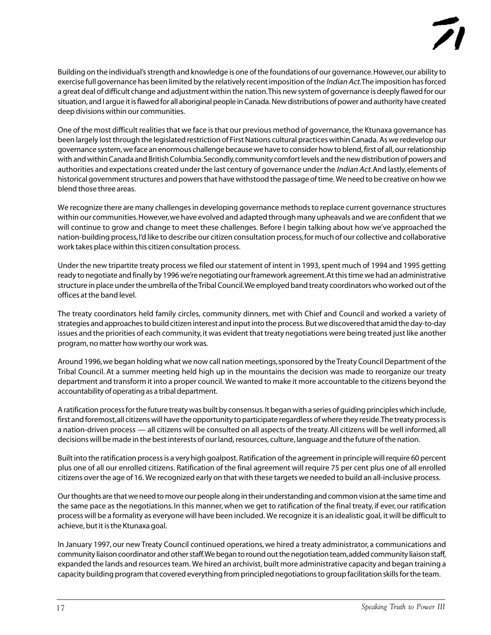Building on the individual's strength and knowledge is one of the foundations of our governance. However, our ability to exercise full governance has been limited by the relatively recent imposition of the Indian Act. The imposition has forced a great deal of difficult change and adjustment within the nation. This new system of governance is deeply flawed for our situation, and I argue it is flawed for all aboriginal people in Canada. New distributions of power and authority have created deep divisions within our communities.

One of the most difficult realities that we face is that our previous method of governance, the Ktunaxa governance has been largely lost through the legislated restriction of First Nations cultural practices within Canada. As we redevelop our governance system, we face an enormous challenge because we have to consider how to blend, first of all, our relationship with and within Canada and British Columbia. Secondly, community comfort levels and the new distribution of powers and authorities and expectations created under the last century of governance under the Indian Act. And lastly, elements of historical government structures and powers that have withstood the passage of time. We need to be creative on how we blend those three areas.

We recognize there are many challenges in developing governance methods to replace current governance structures within our communities. However, we have evolved and adapted through many upheavals and we are confident that we will continue to grow and change to meet these challenges. Before I begin talking about how we've approached the nation-building process, I'd like to describe our citizen consultation process, for much of our collective and collaborative work takes place within this citizen consultation process.

Under the new tripartite treaty process we filed our statement of intent in 1993, spent much of 1994 and 1995 getting ready to negotiate and finally by 1996 we're negotiating our framework agreement. At this time we had an administrative structure in place under the umbrella of the Tribal Council. We employed band treaty coordinators who worked out of the offices at the band level.

The treaty coordinators held family circles, community dinners, met with Chief and Council and worked a variety of strategies and approaches to build citizen interest and input into the process. But we discovered that amid the day-to-day issues and the priorities of each community, it was evident that treaty negotiations were being treated just like another program, no matter how worthy our work was.

Around 1996, we began holding what we now call nation meetings, sponsored by the Treaty Council Department of the Tribal Council. At a summer meeting held high up in the mountains the decision was made to reorganize our treaty department and transform it into a proper council. We wanted to make it more accountable to the citizens beyond the accountability of operating as a tribal department.

A ratification process for the future treaty was built by consensus. It began with a series of guiding principles which include, first and foremost, all citizens will have the opportunity to participate regardless of where they reside. The treaty process is a nation-driven process — all citizens will be consulted on all aspects of the treaty. All citizens will be well informed, all decisions will be made in the best interests of our land, resources, culture, language and the future of the nation.

Built into the ratification process is a very high goalpost. Ratification of the agreement in principle will require 60 percent plus one of all our enrolled citizens. Ratification of the final agreement will require 75 per cent plus one of all enrolled citizens over the age of 16. We recognized early on that with these targets we needed to build an all-inclusive process.

Our thoughts are that we need to move our people along in their understanding and common vision at the same time and the same pace as the negotiations. In this manner, when we get to ratification of the final treaty, if ever, our ratification process will be a formality as everyone will have been included. We recognize it is an idealistic goal, it will be difficult to achieve, but it is the Ktunaxa goal.

In January 1997, our new Treaty Council continued operations, we hired a treaty administrator, a communications and community liaison coordinator and other staff. We began to round out the negotiation team, added community liaison staff, expanded the lands and resources team. We hired an archivist, built more administrative capacity and began training a capacity building program that covered everything from principled negotiations to group facilitation skills for the team.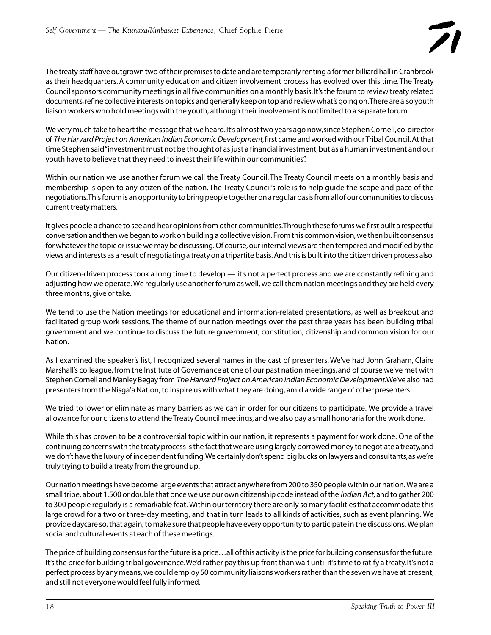The treaty staff have outgrown two of their premises to date and are temporarily renting a former billiard hall in Cranbrook as their headquarters. A community education and citizen involvement process has evolved over this time. The Treaty Council sponsors community meetings in all five communities on a monthly basis. It's the forum to review treaty related documents, refine collective interests on topics and generally keep on top and review what's going on. There are also youth liaison workers who hold meetings with the youth, although their involvement is not limited to a separate forum.

We very much take to heart the message that we heard. It's almost two years ago now, since Stephen Cornell, co-director of The Harvard Project on American Indian Economic Development, first came and worked with our Tribal Council. At that time Stephen said "investment must not be thought of as just a financial investment, but as a human investment and our youth have to believe that they need to invest their life within our communities".

Within our nation we use another forum we call the Treaty Council. The Treaty Council meets on a monthly basis and membership is open to any citizen of the nation. The Treaty Council's role is to help guide the scope and pace of the negotiations. This forum is an opportunity to bring people together on a regular basis from all of our communities to discuss current treaty matters.

It gives people a chance to see and hear opinions from other communities. Through these forums we first built a respectful conversation and then we began to work on building a collective vision. From this common vision, we then built consensus for whatever the topic or issue we may be discussing. Of course, our internal views are then tempered and modified by the views and interests as a result of negotiating a treaty on a tripartite basis. And this is built into the citizen driven process also.

Our citizen-driven process took a long time to develop — it's not a perfect process and we are constantly refining and adjusting how we operate. We regularly use another forum as well, we call them nation meetings and they are held every three months, give or take.

We tend to use the Nation meetings for educational and information-related presentations, as well as breakout and facilitated group work sessions. The theme of our nation meetings over the past three years has been building tribal government and we continue to discuss the future government, constitution, citizenship and common vision for our Nation.

As I examined the speaker's list, I recognized several names in the cast of presenters. We've had John Graham, Claire Marshall's colleague, from the Institute of Governance at one of our past nation meetings, and of course we've met with Stephen Cornell and Manley Begay from The Harvard Project on American Indian Economic Development. We've also had presenters from the Nisga'a Nation, to inspire us with what they are doing, amid a wide range of other presenters.

We tried to lower or eliminate as many barriers as we can in order for our citizens to participate. We provide a travel allowance for our citizens to attend the Treaty Council meetings, and we also pay a small honoraria for the work done.

While this has proven to be a controversial topic within our nation, it represents a payment for work done. One of the continuing concerns with the treaty process is the fact that we are using largely borrowed money to negotiate a treaty, and we don't have the luxury of independent funding. We certainly don't spend big bucks on lawyers and consultants, as we're truly trying to build a treaty from the ground up.

Our nation meetings have become large events that attract anywhere from 200 to 350 people within our nation. We are a small tribe, about 1,500 or double that once we use our own citizenship code instead of the *Indian Act*, and to gather 200 to 300 people regularly is a remarkable feat. Within our territory there are only so many facilities that accommodate this large crowd for a two or three-day meeting, and that in turn leads to all kinds of activities, such as event planning. We provide daycare so, that again, to make sure that people have every opportunity to participate in the discussions. We plan social and cultural events at each of these meetings.

The price of building consensus for the future is a price…all of this activity is the price for building consensus for the future. It's the price for building tribal governance. We'd rather pay this up front than wait until it's time to ratify a treaty. It's not a perfect process by any means, we could employ 50 community liaisons workers rather than the seven we have at present, and still not everyone would feel fully informed.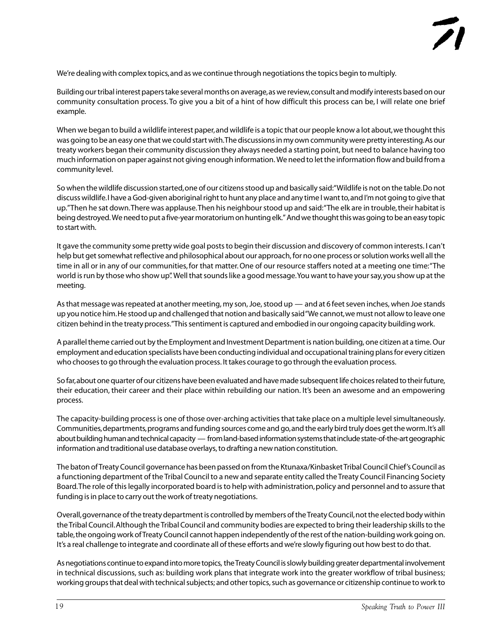We're dealing with complex topics, and as we continue through negotiations the topics begin to multiply.

Building our tribal interest papers take several months on average, as we review, consult and modify interests based on our community consultation process. To give you a bit of a hint of how difficult this process can be, I will relate one brief example.

When we began to build a wildlife interest paper, and wildlife is a topic that our people know a lot about, we thought this was going to be an easy one that we could start with. The discussions in my own community were pretty interesting. As our treaty workers began their community discussion they always needed a starting point, but need to balance having too much information on paper against not giving enough information. We need to let the information flow and build from a community level.

So when the wildlife discussion started, one of our citizens stood up and basically said: "Wildlife is not on the table. Do not discuss wildlife. I have a God-given aboriginal right to hunt any place and any time I want to, and I'm not going to give that up." Then he sat down. There was applause. Then his neighbour stood up and said: "The elk are in trouble, their habitat is being destroyed. We need to put a five-year moratorium on hunting elk." And we thought this was going to be an easy topic to start with.

It gave the community some pretty wide goal posts to begin their discussion and discovery of common interests. I can't help but get somewhat reflective and philosophical about our approach, for no one process or solution works well all the time in all or in any of our communities, for that matter. One of our resource staffers noted at a meeting one time: "The world is run by those who show up". Well that sounds like a good message. You want to have your say, you show up at the meeting.

As that message was repeated at another meeting, my son, Joe, stood up — and at 6 feet seven inches, when Joe stands up you notice him. He stood up and challenged that notion and basically said "We cannot, we must not allow to leave one citizen behind in the treaty process." This sentiment is captured and embodied in our ongoing capacity building work.

A parallel theme carried out by the Employment and Investment Department is nation building, one citizen at a time. Our employment and education specialists have been conducting individual and occupational training plans for every citizen who chooses to go through the evaluation process. It takes courage to go through the evaluation process.

So far, about one quarter of our citizens have been evaluated and have made subsequent life choices related to their future, their education, their career and their place within rebuilding our nation. It's been an awesome and an empowering process.

The capacity-building process is one of those over-arching activities that take place on a multiple level simultaneously. Communities, departments, programs and funding sources come and go, and the early bird truly does get the worm. It's all about building human and technical capacity — from land-based information systems that include state-of-the-art geographic information and traditional use database overlays, to drafting a new nation constitution.

The baton of Treaty Council governance has been passed on from the Ktunaxa/Kinbasket Tribal Council Chief's Council as a functioning department of the Tribal Council to a new and separate entity called the Treaty Council Financing Society Board. The role of this legally incorporated board is to help with administration, policy and personnel and to assure that funding is in place to carry out the work of treaty negotiations.

Overall, governance of the treaty department is controlled by members of the Treaty Council, not the elected body within the Tribal Council. Although the Tribal Council and community bodies are expected to bring their leadership skills to the table, the ongoing work of Treaty Council cannot happen independently of the rest of the nation-building work going on. It's a real challenge to integrate and coordinate all of these efforts and we're slowly figuring out how best to do that.

As negotiations continue to expand into more topics, the Treaty Council is slowly building greater departmental involvement in technical discussions, such as: building work plans that integrate work into the greater workflow of tribal business; working groups that deal with technical subjects; and other topics, such as governance or citizenship continue to work to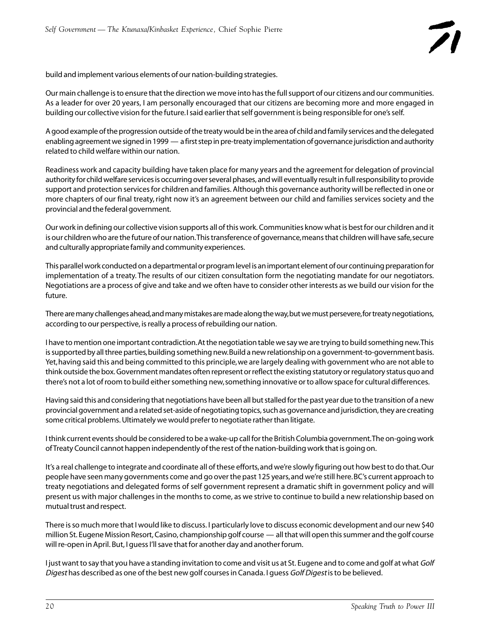build and implement various elements of our nation-building strategies.

Our main challenge is to ensure that the direction we move into has the full support of our citizens and our communities. As a leader for over 20 years, I am personally encouraged that our citizens are becoming more and more engaged in building our collective vision for the future. I said earlier that self government is being responsible for one's self.

A good example of the progression outside of the treaty would be in the area of child and family services and the delegated enabling agreement we signed in 1999 — a first step in pre-treaty implementation of governance jurisdiction and authority related to child welfare within our nation.

Readiness work and capacity building have taken place for many years and the agreement for delegation of provincial authority for child welfare services is occurring over several phases, and will eventually result in full responsibility to provide support and protection services for children and families. Although this governance authority will be reflected in one or more chapters of our final treaty, right now it's an agreement between our child and families services society and the provincial and the federal government.

Our work in defining our collective vision supports all of this work. Communities know what is best for our children and it is our children who are the future of our nation. This transference of governance, means that children will have safe, secure and culturally appropriate family and community experiences.

This parallel work conducted on a departmental or program level is an important element of our continuing preparation for implementation of a treaty. The results of our citizen consultation form the negotiating mandate for our negotiators. Negotiations are a process of give and take and we often have to consider other interests as we build our vision for the future.

There are many challenges ahead, and many mistakes are made along the way, but we must persevere, for treaty negotiations, according to our perspective, is really a process of rebuilding our nation.

I have to mention one important contradiction. At the negotiation table we say we are trying to build something new. This is supported by all three parties, building something new. Build a new relationship on a government-to-government basis. Yet, having said this and being committed to this principle, we are largely dealing with government who are not able to think outside the box. Government mandates often represent or reflect the existing statutory or regulatory status quo and there's not a lot of room to build either something new, something innovative or to allow space for cultural differences.

Having said this and considering that negotiations have been all but stalled for the past year due to the transition of a new provincial government and a related set-aside of negotiating topics, such as governance and jurisdiction, they are creating some critical problems. Ultimately we would prefer to negotiate rather than litigate.

I think current events should be considered to be a wake-up call for the British Columbia government. The on-going work of Treaty Council cannot happen independently of the rest of the nation-building work that is going on.

It's a real challenge to integrate and coordinate all of these efforts, and we're slowly figuring out how best to do that. Our people have seen many governments come and go over the past 125 years, and we're still here. BC's current approach to treaty negotiations and delegated forms of self government represent a dramatic shift in government policy and will present us with major challenges in the months to come, as we strive to continue to build a new relationship based on mutual trust and respect.

There is so much more that I would like to discuss. I particularly love to discuss economic development and our new \$40 million St. Eugene Mission Resort, Casino, championship golf course — all that will open this summer and the golf course will re-open in April. But, I guess I'll save that for another day and another forum.

I just want to say that you have a standing invitation to come and visit us at St. Eugene and to come and golf at what Golf Digest has described as one of the best new golf courses in Canada. I quess Golf Digest is to be believed.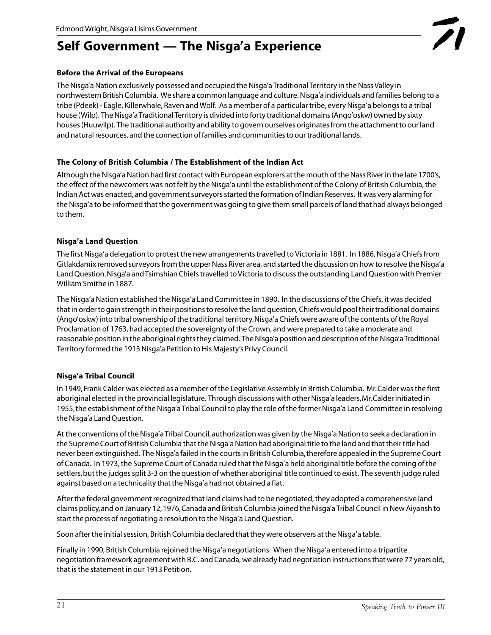### <span id="page-22-0"></span>**Self Government — The Nisga'a Experience**

The Nisga'a Nation exclusively possessed and occupied the Nisga'a Traditional Territory in the Nass Valley in northwestern British Columbia. We share a common language and culture. Nisga'a individuals and families belong to a tribe (Pdeek) - Eagle, Killerwhale, Raven and Wolf. As a member of a particular tribe, every Nisga'a belongs to a tribal house (Wilp). The Nisga'a Traditional Territory is divided into forty traditional domains (Ango'oskw) owned by sixty houses (Huuwilp). The traditional authority and ability to govern ourselves originates from the attachment to our land and natural resources, and the connection of families and communities to our traditional lands.

#### **The Colony of British Columbia / The Establishment of the Indian Act**

Although the Nisga'a Nation had first contact with European explorers at the mouth of the Nass River in the late 1700's, the effect of the newcomers was not felt by the Nisga'a until the establishment of the Colony of British Columbia, the Indian Act was enacted, and government surveyors started the formation of Indian Reserves. It was very alarming for the Nisga'a to be informed that the government was going to give them small parcels of land that had always belonged to them.

#### **Nisga'a Land Question**

The first Nisga'a delegation to protest the new arrangements travelled to Victoria in 1881. In 1886, Nisga'a Chiefs from Gitlakdamix removed surveyors from the upper Nass River area, and started the discussion on how to resolve the Nisga'a Land Question. Nisga'a and Tsimshian Chiefs travelled to Victoria to discuss the outstanding Land Question with Premier William Smithe in 1887.

The Nisga'a Nation established the Nisga'a Land Committee in 1890. In the discussions of the Chiefs, it was decided that in order to gain strength in their positions to resolve the land question, Chiefs would pool their traditional domains (Ango'oskw) into tribal ownership of the traditional territory. Nisga'a Chiefs were aware of the contents of the Royal Proclamation of 1763, had accepted the sovereignty of the Crown, and were prepared to take a moderate and reasonable position in the aboriginal rights they claimed. The Nisga'a position and description of the Nisga'a Traditional Territory formed the 1913 Nisga'a Petition to His Majesty's Privy Council.

#### **Nisga'a Tribal Council**

In 1949, Frank Calder was elected as a member of the Legislative Assembly in British Columbia. Mr. Calder was the first aboriginal elected in the provincial legislature. Through discussions with other Nisga'a leaders, Mr. Calder initiated in 1955, the establishment of the Nisga'a Tribal Council to play the role of the former Nisga'a Land Committee in resolving the Nisga'a Land Question.

At the conventions of the Nisga'a Tribal Council, authorization was given by the Nisga'a Nation to seek a declaration in the Supreme Court of British Columbia that the Nisga'a Nation had aboriginal title to the land and that their title had never been extinguished. The Nisga'a failed in the courts in British Columbia, therefore appealed in the Supreme Court of Canada. In 1973, the Supreme Court of Canada ruled that the Nisga'a held aboriginal title before the coming of the settlers, but the judges split 3-3 on the question of whether aboriginal title continued to exist. The seventh judge ruled against based on a technicality that the Nisga'a had not obtained a fiat.

After the federal government recognized that land claims had to be negotiated, they adopted a comprehensive land claims policy, and on January 12, 1976, Canada and British Columbia joined the Nisga'a Tribal Council in New Aiyansh to start the process of negotiating a resolution to the Nisga'a Land Question.

Soon after the initial session, British Columbia declared that they were observers at the Nisga'a table.

Finally in 1990, British Columbia rejoined the Nisga'a negotiations. When the Nisga'a entered into a tripartite negotiation framework agreement with B.C. and Canada, we already had negotiation instructions that were 77 years old, that is the statement in our 1913 Petition.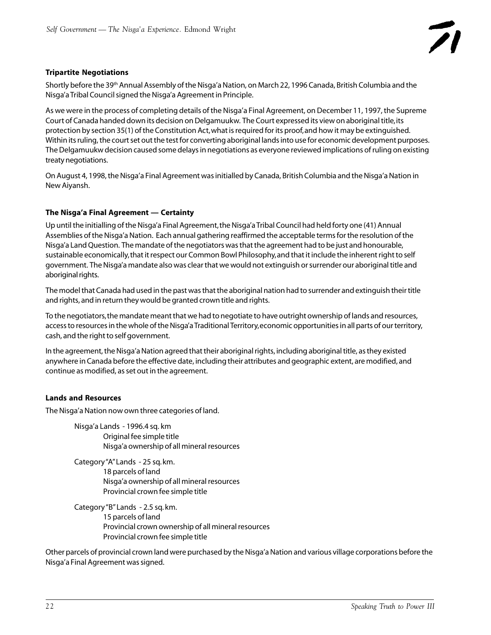#### **Tripartite Negotiations**

Shortly before the 39<sup>th</sup> Annual Assembly of the Nisga'a Nation, on March 22, 1996 Canada, British Columbia and the Nisga'a Tribal Council signed the Nisga'a Agreement in Principle.

As we were in the process of completing details of the Nisga'a Final Agreement, on December 11, 1997, the Supreme Court of Canada handed down its decision on Delgamuukw. The Court expressed its view on aboriginal title, its protection by section 35(1) of the Constitution Act, what is required for its proof, and how it may be extinguished. Within its ruling, the court set out the test for converting aboriginal lands into use for economic development purposes. The Delgamuukw decision caused some delays in negotiations as everyone reviewed implications of ruling on existing treaty negotiations.

On August 4, 1998, the Nisga'a Final Agreement was initialled by Canada, British Columbia and the Nisga'a Nation in New Aiyansh.

#### **The Nisga'a Final Agreement — Certainty**

Up until the initialling of the Nisga'a Final Agreement, the Nisga'a Tribal Council had held forty one (41) Annual Assemblies of the Nisga'a Nation. Each annual gathering reaffirmed the acceptable terms for the resolution of the Nisga'a Land Question. The mandate of the negotiators was that the agreement had to be just and honourable, sustainable economically, that it respect our Common Bowl Philosophy, and that it include the inherent right to self government. The Nisga'a mandate also was clear that we would not extinguish or surrender our aboriginal title and aboriginal rights.

The model that Canada had used in the past was that the aboriginal nation had to surrender and extinguish their title and rights, and in return they would be granted crown title and rights.

To the negotiators, the mandate meant that we had to negotiate to have outright ownership of lands and resources, access to resources in the whole of the Nisga'a Traditional Territory, economic opportunities in all parts of our territory, cash, and the right to self government.

In the agreement, the Nisga'a Nation agreed that their aboriginal rights, including aboriginal title, as they existed anywhere in Canada before the effective date, including their attributes and geographic extent, are modified, and continue as modified, as set out in the agreement.

#### **Lands and Resources**

The Nisga'a Nation now own three categories of land.

Nisga'a Lands - 1996.4 sq. km Original fee simple title Nisga'a ownership of all mineral resources

Category "A" Lands - 25 sq. km. 18 parcels of land Nisga'a ownership of all mineral resources Provincial crown fee simple title

Category "B" Lands - 2.5 sq. km. 15 parcels of land Provincial crown ownership of all mineral resources Provincial crown fee simple title

Other parcels of provincial crown land were purchased by the Nisga'a Nation and various village corporations before the Nisga'a Final Agreement was signed.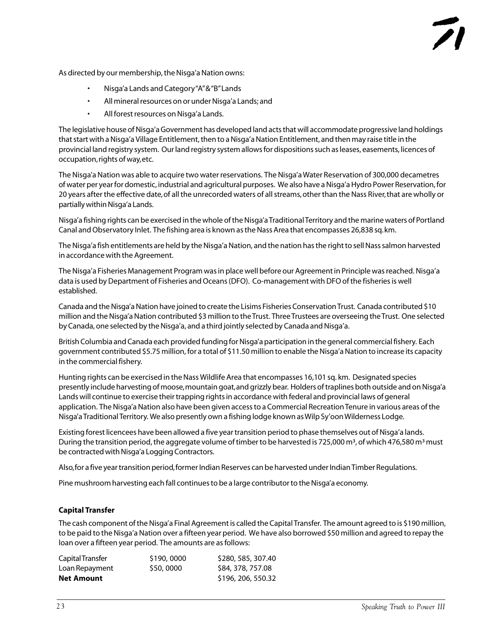As directed by our membership, the Nisga'a Nation owns:

- Nisga'a Lands and Category "A" & "B" Lands
- All mineral resources on or under Nisga'a Lands; and
- All forest resources on Nisga'a Lands.

The legislative house of Nisga'a Government has developed land acts that will accommodate progressive land holdings that start with a Nisga'a Village Entitlement, then to a Nisga'a Nation Entitlement, and then may raise title in the provincial land registry system. Our land registry system allows for dispositions such as leases, easements, licences of occupation, rights of way, etc.

The Nisga'a Nation was able to acquire two water reservations. The Nisga'a Water Reservation of 300,000 decametres of water per year for domestic, industrial and agricultural purposes. We also have a Nisga'a Hydro Power Reservation, for 20 years after the effective date, of all the unrecorded waters of all streams, other than the Nass River, that are wholly or partially within Nisga'a Lands.

Nisga'a fishing rights can be exercised in the whole of the Nisga'a Traditional Territory and the marine waters of Portland Canal and Observatory Inlet. The fishing area is known as the Nass Area that encompasses 26,838 sq. km.

The Nisga'a fish entitlements are held by the Nisga'a Nation, and the nation has the right to sell Nass salmon harvested in accordance with the Agreement.

The Nisga'a Fisheries Management Program was in place well before our Agreement in Principle was reached. Nisga'a data is used by Department of Fisheries and Oceans (DFO). Co-management with DFO of the fisheries is well established.

Canada and the Nisga'a Nation have joined to create the Lisims Fisheries Conservation Trust. Canada contributed \$10 million and the Nisga'a Nation contributed \$3 million to the Trust. Three Trustees are overseeing the Trust. One selected by Canada, one selected by the Nisga'a, and a third jointly selected by Canada and Nisga'a.

British Columbia and Canada each provided funding for Nisga'a participation in the general commercial fishery. Each government contributed \$5.75 million, for a total of \$11.50 million to enable the Nisga'a Nation to increase its capacity in the commercial fishery.

Hunting rights can be exercised in the Nass Wildlife Area that encompasses 16,101 sq. km. Designated species presently include harvesting of moose, mountain goat, and grizzly bear. Holders of traplines both outside and on Nisga'a Lands will continue to exercise their trapping rights in accordance with federal and provincial laws of general application. The Nisga'a Nation also have been given access to a Commercial Recreation Tenure in various areas of the Nisga'a Traditional Territory. We also presently own a fishing lodge known as Wilp Sy'oon Wilderness Lodge.

Existing forest licencees have been allowed a five year transition period to phase themselves out of Nisga'a lands. During the transition period, the aggregate volume of timber to be harvested is 725,000 m<sup>3</sup>, of which 476,580 m<sup>3</sup> must be contracted with Nisga'a Logging Contractors.

Also, for a five year transition period, former Indian Reserves can be harvested under Indian Timber Regulations.

Pine mushroom harvesting each fall continues to be a large contributor to the Nisga'a economy.

#### **Capital Transfer**

The cash component of the Nisga'a Final Agreement is called the Capital Transfer. The amount agreed to is \$190 million, to be paid to the Nisga'a Nation over a fifteen year period. We have also borrowed \$50 million and agreed to repay the loan over a fifteen year period. The amounts are as follows:

| Capital Transfer | \$190,0000 | \$280, 585, 307.40 |
|------------------|------------|--------------------|
| Loan Repayment   | \$50,0000  | \$84, 378, 757.08  |
| Net Amount       |            | \$196, 206, 550.32 |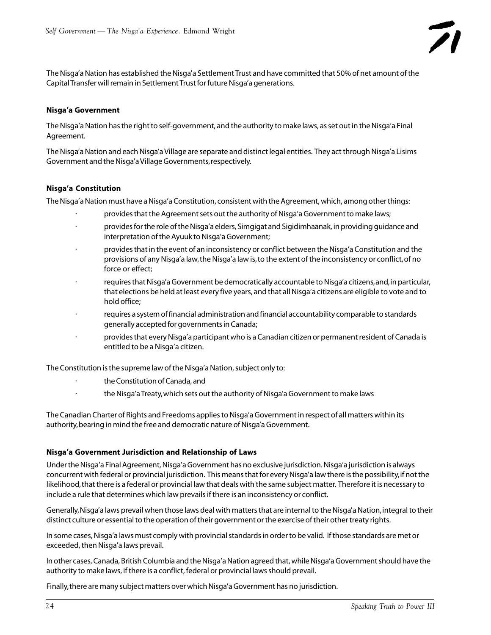The Nisga'a Nation has established the Nisga'a Settlement Trust and have committed that 50% of net amount of the Capital Transfer will remain in Settlement Trust for future Nisga'a generations.

#### **Nisga'a Government**

The Nisga'a Nation has the right to self-government, and the authority to make laws, as set out in the Nisga'a Final Agreement.

The Nisga'a Nation and each Nisga'a Village are separate and distinct legal entities. They act through Nisga'a Lisims Government and the Nisga'a Village Governments, respectively.

#### **Nisga'a Constitution**

The Nisga'a Nation must have a Nisga'a Constitution, consistent with the Agreement, which, among other things:

- · provides that the Agreement sets out the authority of Nisga'a Government to make laws;
- · provides for the role of the Nisga'a elders, Simgigat and Sigidimhaanak, in providing guidance and interpretation of the Ayuuk to Nisga'a Government;
- · provides that in the event of an inconsistency or conflict between the Nisga'a Constitution and the provisions of any Nisga'a law, the Nisga'a law is, to the extent of the inconsistency or conflict, of no force or effect;
- · requires that Nisga'a Government be democratically accountable to Nisga'a citizens, and, in particular, that elections be held at least every five years, and that all Nisga'a citizens are eligible to vote and to hold office;
- · requires a system of financial administration and financial accountability comparable to standards generally accepted for governments in Canada;
- · provides that every Nisga'a participant who is a Canadian citizen or permanent resident of Canada is entitled to be a Nisga'a citizen.

The Constitution is the supreme law of the Nisga'a Nation, subject only to:

- the Constitution of Canada, and
- · the Nisga'a Treaty, which sets out the authority of Nisga'a Government to make laws

The Canadian Charter of Rights and Freedoms applies to Nisga'a Government in respect of all matters within its authority, bearing in mind the free and democratic nature of Nisga'a Government.

#### **Nisga'a Government Jurisdiction and Relationship of Laws**

Under the Nisga'a Final Agreement, Nisga'a Government has no exclusive jurisdiction. Nisga'a jurisdiction is always concurrent with federal or provincial jurisdiction. This means that for every Nisga'a law there is the possibility, if not the likelihood, that there is a federal or provincial law that deals with the same subject matter. Therefore it is necessary to include a rule that determines which law prevails if there is an inconsistency or conflict.

Generally, Nisga'a laws prevail when those laws deal with matters that are internal to the Nisga'a Nation, integral to their distinct culture or essential to the operation of their government or the exercise of their other treaty rights.

In some cases, Nisga'a laws must comply with provincial standards in order to be valid. If those standards are met or exceeded, then Nisga'a laws prevail.

In other cases, Canada, British Columbia and the Nisga'a Nation agreed that, while Nisga'a Government should have the authority to make laws, if there is a conflict, federal or provincial laws should prevail.

Finally, there are many subject matters over which Nisga'a Government has no jurisdiction.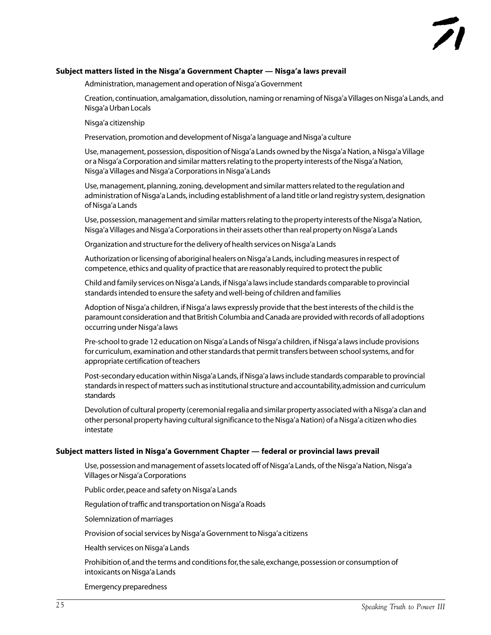#### **Subject matters listed in the Nisga'a Government Chapter — Nisga'a laws prevail**

Administration, management and operation of Nisga'a Government

Creation, continuation, amalgamation, dissolution, naming or renaming of Nisga'a Villages on Nisga'a Lands, and Nisga'a Urban Locals

Nisga'a citizenship

Preservation, promotion and development of Nisga'a language and Nisga'a culture

Use, management, possession, disposition of Nisga'a Lands owned by the Nisga'a Nation, a Nisga'a Village or a Nisga'a Corporation and similar matters relating to the property interests of the Nisga'a Nation, Nisga'a Villages and Nisga'a Corporations in Nisga'a Lands

Use, management, planning, zoning, development and similar matters related to the regulation and administration of Nisga'a Lands, including establishment of a land title or land registry system, designation of Nisga'a Lands

Use, possession, management and similar matters relating to the property interests of the Nisga'a Nation, Nisga'a Villages and Nisga'a Corporations in their assets other than real property on Nisga'a Lands

Organization and structure for the delivery of health services on Nisga'a Lands

Authorization or licensing of aboriginal healers on Nisga'a Lands, including measures in respect of competence, ethics and quality of practice that are reasonably required to protect the public

Child and family services on Nisga'a Lands, if Nisga'a laws include standards comparable to provincial standards intended to ensure the safety and well-being of children and families

Adoption of Nisga'a children, if Nisga'a laws expressly provide that the best interests of the child is the paramount consideration and that British Columbia and Canada are provided with records of all adoptions occurring under Nisga'a laws

Pre-school to grade 12 education on Nisga'a Lands of Nisga'a children, if Nisga'a laws include provisions for curriculum, examination and other standards that permit transfers between school systems, and for appropriate certification of teachers

Post-secondary education within Nisga'a Lands, if Nisga'a laws include standards comparable to provincial standards in respect of matters such as institutional structure and accountability, admission and curriculum standards

Devolution of cultural property (ceremonial regalia and similar property associated with a Nisga'a clan and other personal property having cultural significance to the Nisga'a Nation) of a Nisga'a citizen who dies intestate

#### **Subject matters listed in Nisga'a Government Chapter — federal or provincial laws prevail**

Use, possession and management of assets located off of Nisga'a Lands, of the Nisga'a Nation, Nisga'a Villages or Nisga'a Corporations

Public order, peace and safety on Nisga'a Lands

Regulation of traffic and transportation on Nisga'a Roads

Solemnization of marriages

Provision of social services by Nisga'a Government to Nisga'a citizens

Health services on Nisga'a Lands

Prohibition of, and the terms and conditions for, the sale, exchange, possession or consumption of intoxicants on Nisga'a Lands

Emergency preparedness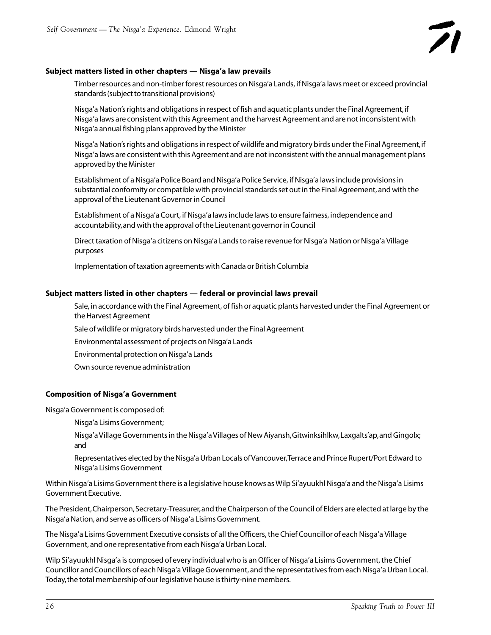#### **Subject matters listed in other chapters — Nisga'a law prevails**

Timber resources and non-timber forest resources on Nisga'a Lands, if Nisga'a laws meet or exceed provincial standards (subject to transitional provisions)

Nisga'a Nation's rights and obligations in respect of fish and aquatic plants under the Final Agreement, if Nisga'a laws are consistent with this Agreement and the harvest Agreement and are not inconsistent with Nisga'a annual fishing plans approved by the Minister

Nisga'a Nation's rights and obligations in respect of wildlife and migratory birds under the Final Agreement, if Nisga'a laws are consistent with this Agreement and are not inconsistent with the annual management plans approved by the Minister

Establishment of a Nisga'a Police Board and Nisga'a Police Service, if Nisga'a laws include provisions in substantial conformity or compatible with provincial standards set out in the Final Agreement, and with the approval of the Lieutenant Governor in Council

Establishment of a Nisga'a Court, if Nisga'a laws include laws to ensure fairness, independence and accountability, and with the approval of the Lieutenant governor in Council

Direct taxation of Nisga'a citizens on Nisga'a Lands to raise revenue for Nisga'a Nation or Nisga'a Village purposes

Implementation of taxation agreements with Canada or British Columbia

#### **Subject matters listed in other chapters — federal or provincial laws prevail**

Sale, in accordance with the Final Agreement, of fish or aquatic plants harvested under the Final Agreement or the Harvest Agreement

Sale of wildlife or migratory birds harvested under the Final Agreement

Environmental assessment of projects on Nisga'a Lands

Environmental protection on Nisga'a Lands

Own source revenue administration

#### **Composition of Nisga'a Government**

Nisga'a Government is composed of:

Nisga'a Lisims Government;

Nisga'a Village Governments in the Nisga'a Villages of New Aiyansh, Gitwinksihlkw, Laxgalts'ap, and Gingolx; and

Representatives elected by the Nisga'a Urban Locals of Vancouver, Terrace and Prince Rupert/Port Edward to Nisga'a Lisims Government

Within Nisga'a Lisims Government there is a legislative house knows as Wilp Si'ayuukhl Nisga'a and the Nisga'a Lisims Government Executive.

The President, Chairperson, Secretary-Treasurer, and the Chairperson of the Council of Elders are elected at large by the Nisga'a Nation, and serve as officers of Nisga'a Lisims Government.

The Nisga'a Lisims Government Executive consists of all the Officers, the Chief Councillor of each Nisga'a Village Government, and one representative from each Nisga'a Urban Local.

Wilp Si'ayuukhl Nisga'a is composed of every individual who is an Officer of Nisga'a Lisims Government, the Chief Councillor and Councillors of each Nisga'a Village Government, and the representatives from each Nisga'a Urban Local. Today, the total membership of our legislative house is thirty-nine members.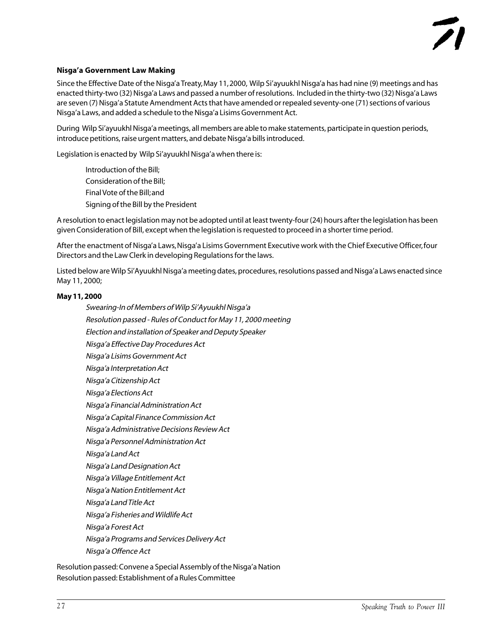#### **Nisga'a Government Law Making**

Since the Effective Date of the Nisga'a Treaty, May 11, 2000, Wilp Si'ayuukhl Nisga'a has had nine (9) meetings and has enacted thirty-two (32) Nisga'a Laws and passed a number of resolutions. Included in the thirty-two (32) Nisga'a Laws are seven (7) Nisga'a Statute Amendment Acts that have amended or repealed seventy-one (71) sections of various Nisga'a Laws, and added a schedule to the Nisga'a Lisims Government Act.

During Wilp Si'ayuukhl Nisga'a meetings, all members are able to make statements, participate in question periods, introduce petitions, raise urgent matters, and debate Nisga'a bills introduced.

Legislation is enacted by Wilp Si'ayuukhl Nisga'a when there is:

Introduction of the Bill; Consideration of the Bill; Final Vote of the Bill; and Signing of the Bill by the President

A resolution to enact legislation may not be adopted until at least twenty-four (24) hours after the legislation has been given Consideration of Bill, except when the legislation is requested to proceed in a shorter time period.

After the enactment of Nisga'a Laws, Nisga'a Lisims Government Executive work with the Chief Executive Officer, four Directors and the Law Clerk in developing Regulations for the laws.

Listed below are Wilp Si'Ayuukhl Nisga'a meeting dates, procedures, resolutions passed and Nisga'a Laws enacted since May 11, 2000;

#### **May 11, 2000**

Swearing-In of Members of Wilp Si'Ayuukhl Nisga'a Resolution passed - Rules of Conduct for May 11, 2000 meeting Election and installation of Speaker and Deputy Speaker Nisga'a Effective Day Procedures Act Nisga'a Lisims Government Act Nisga'a Interpretation Act Nisga'a Citizenship Act Nisga'a Elections Act Nisga'a Financial Administration Act Nisga'a Capital Finance Commission Act Nisga'a Administrative Decisions Review Act Nisga'a Personnel Administration Act Nisga'a Land Act Nisga'a Land Designation Act Nisga'a Village Entitlement Act Nisga'a Nation Entitlement Act Nisga'a Land Title Act Nisga'a Fisheries and Wildlife Act Nisga'a Forest Act Nisga'a Programs and Services Delivery Act Nisga'a Offence Act

Resolution passed: Convene a Special Assembly of the Nisga'a Nation Resolution passed: Establishment of a Rules Committee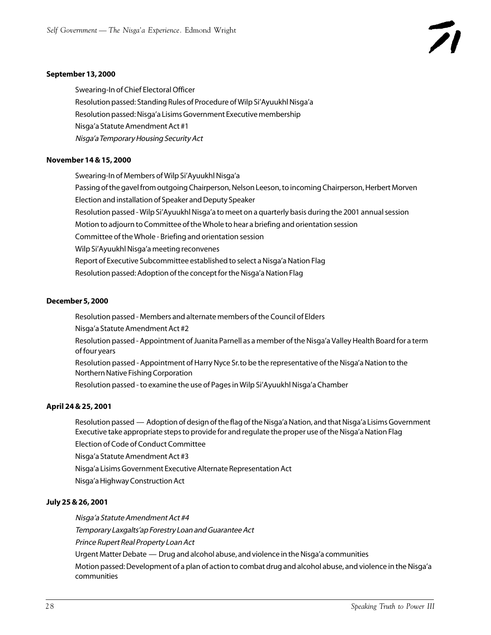#### **September 13, 2000**

Swearing-In of Chief Electoral Officer Resolution passed: Standing Rules of Procedure of Wilp Si'Ayuukhl Nisga'a Resolution passed: Nisga'a Lisims Government Executive membership Nisga'a Statute Amendment Act #1 Nisga'a Temporary Housing Security Act

#### **November 14 & 15, 2000**

Swearing-In of Members of Wilp Si'Ayuukhl Nisga'a Passing of the gavel from outgoing Chairperson, Nelson Leeson, to incoming Chairperson, Herbert Morven Election and installation of Speaker and Deputy Speaker Resolution passed - Wilp Si'Ayuukhl Nisga'a to meet on a quarterly basis during the 2001 annual session Motion to adjourn to Committee of the Whole to hear a briefing and orientation session Committee of the Whole - Briefing and orientation session Wilp Si'Ayuukhl Nisga'a meeting reconvenes Report of Executive Subcommittee established to select a Nisga'a Nation Flag Resolution passed: Adoption of the concept for the Nisga'a Nation Flag

#### **December 5, 2000**

Resolution passed - Members and alternate members of the Council of Elders Nisga'a Statute Amendment Act #2 Resolution passed - Appointment of Juanita Parnell as a member of the Nisga'a Valley Health Board for a term of four years Resolution passed - Appointment of Harry Nyce Sr. to be the representative of the Nisga'a Nation to the Northern Native Fishing Corporation Resolution passed - to examine the use of Pages in Wilp Si'Ayuukhl Nisga'a Chamber

#### **April 24 & 25, 2001**

Resolution passed — Adoption of design of the flag of the Nisga'a Nation, and that Nisga'a Lisims Government Executive take appropriate steps to provide for and regulate the proper use of the Nisga'a Nation Flag Election of Code of Conduct Committee Nisga'a Statute Amendment Act #3 Nisga'a Lisims Government Executive Alternate Representation Act Nisga'a Highway Construction Act

#### **July 25 & 26, 2001**

Nisga'a Statute Amendment Act #4 Temporary Laxgalts'ap Forestry Loan and Guarantee Act Prince Rupert Real Property Loan Act Urgent Matter Debate — Drug and alcohol abuse, and violence in the Nisga'a communities Motion passed: Development of a plan of action to combat drug and alcohol abuse, and violence in the Nisga'a communities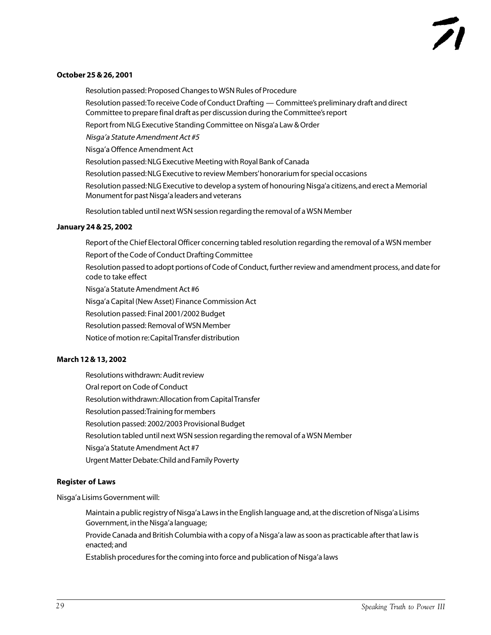#### **October 25 & 26, 2001**

Resolution passed: Proposed Changes to WSN Rules of Procedure

Resolution passed: To receive Code of Conduct Drafting — Committee's preliminary draft and direct Committee to prepare final draft as per discussion during the Committee's report

Report from NLG Executive Standing Committee on Nisga'a Law & Order

Nisga'a Statute Amendment Act #5

Nisga'a Offence Amendment Act

Resolution passed: NLG Executive Meeting with Royal Bank of Canada

Resolution passed: NLG Executive to review Members' honorarium for special occasions

Resolution passed: NLG Executive to develop a system of honouring Nisga'a citizens, and erect a Memorial Monument for past Nisga'a leaders and veterans

Resolution tabled until next WSN session regarding the removal of a WSN Member

#### **January 24 & 25, 2002**

Report of the Chief Electoral Officer concerning tabled resolution regarding the removal of a WSN member Report of the Code of Conduct Drafting Committee

Resolution passed to adopt portions of Code of Conduct, further review and amendment process, and date for code to take effect

Nisga'a Statute Amendment Act #6

Nisga'a Capital (New Asset) Finance Commission Act

Resolution passed: Final 2001/2002 Budget

Resolution passed: Removal of WSN Member

Notice of motion re: Capital Transfer distribution

#### **March 12 & 13, 2002**

Resolutions withdrawn: Audit review Oral report on Code of Conduct Resolution withdrawn: Allocation from Capital Transfer Resolution passed: Training for members Resolution passed: 2002/2003 Provisional Budget Resolution tabled until next WSN session regarding the removal of a WSN Member Nisga'a Statute Amendment Act #7 Urgent Matter Debate: Child and Family Poverty

#### **Register of Laws**

Nisga'a Lisims Government will:

Maintain a public registry of Nisga'a Laws in the English language and, at the discretion of Nisga'a Lisims Government, in the Nisga'a language;

Provide Canada and British Columbia with a copy of a Nisga'a law as soon as practicable after that law is enacted; and

Establish procedures for the coming into force and publication of Nisga'a laws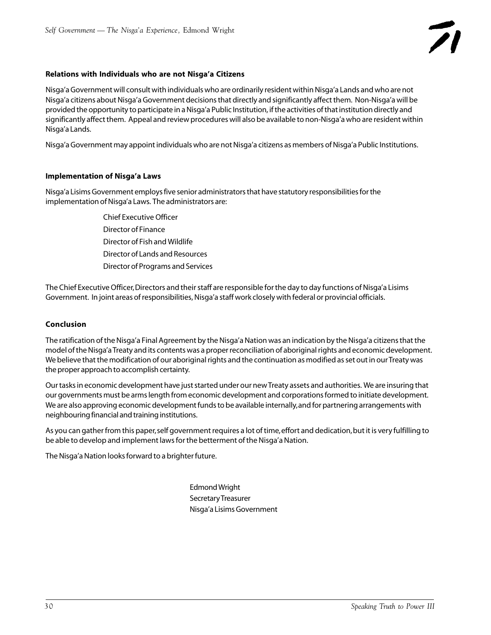#### **Relations with Individuals who are not Nisga'a Citizens**

Nisga'a Government will consult with individuals who are ordinarily resident within Nisga'a Lands and who are not Nisga'a citizens about Nisga'a Government decisions that directly and significantly affect them. Non-Nisga'a will be provided the opportunity to participate in a Nisga'a Public Institution, if the activities of that institution directly and significantly affect them. Appeal and review procedures will also be available to non-Nisga'a who are resident within Nisga'a Lands.

Nisga'a Government may appoint individuals who are not Nisga'a citizens as members of Nisga'a Public Institutions.

#### **Implementation of Nisga'a Laws**

Nisga'a Lisims Government employs five senior administrators that have statutory responsibilities for the implementation of Nisga'a Laws. The administrators are:

> Chief Executive Officer Director of Finance Director of Fish and Wildlife Director of Lands and Resources Director of Programs and Services

The Chief Executive Officer, Directors and their staff are responsible for the day to day functions of Nisga'a Lisims Government. In joint areas of responsibilities, Nisga'a staff work closely with federal or provincial officials.

#### **Conclusion**

The ratification of the Nisga'a Final Agreement by the Nisga'a Nation was an indication by the Nisga'a citizens that the model of the Nisga'a Treaty and its contents was a proper reconciliation of aboriginal rights and economic development. We believe that the modification of our aboriginal rights and the continuation as modified as set out in our Treaty was the proper approach to accomplish certainty.

Our tasks in economic development have just started under our new Treaty assets and authorities. We are insuring that our governments must be arms length from economic development and corporations formed to initiate development. We are also approving economic development funds to be available internally, and for partnering arrangements with neighbouring financial and training institutions.

As you can gather from this paper, self government requires a lot of time, effort and dedication, but it is very fulfilling to be able to develop and implement laws for the betterment of the Nisga'a Nation.

The Nisga'a Nation looks forward to a brighter future.

Edmond Wright Secretary Treasurer Nisga'a Lisims Government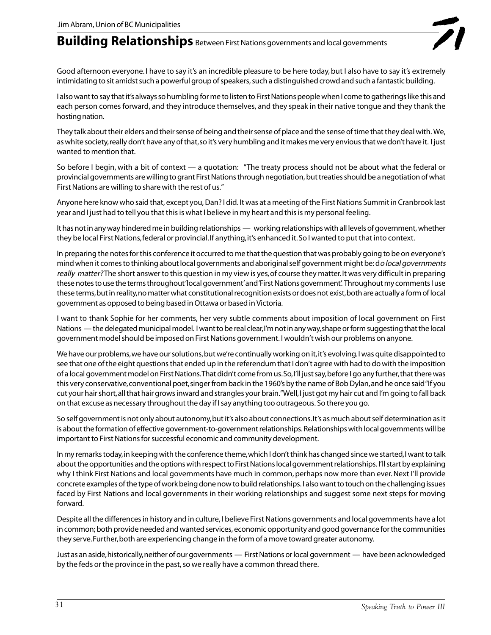### <span id="page-32-0"></span>**Building Relationships** Between First Nations governments and local governments

Good afternoon everyone. I have to say it's an incredible pleasure to be here today, but I also have to say it's extremely intimidating to sit amidst such a powerful group of speakers, such a distinguished crowd and such a fantastic building.

I also want to say that it's always so humbling for me to listen to First Nations people when I come to gatherings like this and each person comes forward, and they introduce themselves, and they speak in their native tongue and they thank the hosting nation.

They talk about their elders and their sense of being and their sense of place and the sense of time that they deal with. We, as white society, really don't have any of that, so it's very humbling and it makes me very envious that we don't have it. I just wanted to mention that.

So before I begin, with a bit of context — a quotation: "The treaty process should not be about what the federal or provincial governments are willing to grant First Nations through negotiation, but treaties should be a negotiation of what First Nations are willing to share with the rest of us."

Anyone here know who said that, except you, Dan? I did. It was at a meeting of the First Nations Summit in Cranbrook last year and I just had to tell you that this is what I believe in my heart and this is my personal feeling.

It has not in any way hindered me in building relationships — working relationships with all levels of government, whether they be local First Nations, federal or provincial. If anything, it's enhanced it. So I wanted to put that into context.

In preparing the notes for this conference it occurred to me that the question that was probably going to be on everyone's mind when it comes to thinking about local governments and aboriginal self government might be: do local governments really matter? The short answer to this question in my view is yes, of course they matter. It was very difficult in preparing these notes to use the terms throughout 'local government' and 'First Nations government'. Throughout my comments I use these terms, but in reality, no matter what constitutional recognition exists or does not exist, both are actually a form of local government as opposed to being based in Ottawa or based in Victoria.

I want to thank Sophie for her comments, her very subtle comments about imposition of local government on First Nations — the delegated municipal model. I want to be real clear, I'm not in any way, shape or form suggesting that the local government model should be imposed on First Nations government. I wouldn't wish our problems on anyone.

We have our problems, we have our solutions, but we're continually working on it, it's evolving. I was quite disappointed to see that one of the eight questions that ended up in the referendum that I don't agree with had to do with the imposition of a local government model on First Nations. That didn't come from us. So, I'll just say, before I go any further, that there was this very conservative, conventional poet, singer from back in the 1960's by the name of Bob Dylan, and he once said "If you cut your hair short, all that hair grows inward and strangles your brain." Well, I just got my hair cut and I'm going to fall back on that excuse as necessary throughout the day if I say anything too outrageous. So there you go.

So self government is not only about autonomy, but it's also about connections. It's as much about self determination as it is about the formation of effective government-to-government relationships. Relationships with local governments will be important to First Nations for successful economic and community development.

In my remarks today, in keeping with the conference theme, which I don't think has changed since we started, I want to talk about the opportunities and the options with respect to First Nations local government relationships. I'll start by explaining why I think First Nations and local governments have much in common, perhaps now more than ever. Next I'll provide concrete examples of the type of work being done now to build relationships. I also want to touch on the challenging issues faced by First Nations and local governments in their working relationships and suggest some next steps for moving forward.

Despite all the differences in history and in culture, I believe First Nations governments and local governments have a lot in common; both provide needed and wanted services, economic opportunity and good governance for the communities they serve. Further, both are experiencing change in the form of a move toward greater autonomy.

Just as an aside, historically, neither of our governments — First Nations or local government — have been acknowledged by the feds or the province in the past, so we really have a common thread there.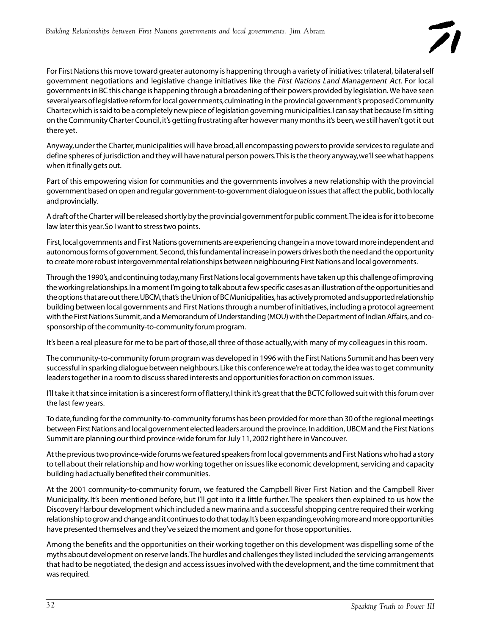For First Nations this move toward greater autonomy is happening through a variety of initiatives: trilateral, bilateral self government negotiations and legislative change initiatives like the First Nations Land Management Act. For local governments in BC this change is happening through a broadening of their powers provided by legislation. We have seen several years of legislative reform for local governments, culminating in the provincial government's proposed Community Charter, which is said to be a completely new piece of legislation governing municipalities. I can say that because I'm sitting on the Community Charter Council, it's getting frustrating after however many months it's been, we still haven't got it out there yet.

Anyway, under the Charter, municipalities will have broad, all encompassing powers to provide services to regulate and define spheres of jurisdiction and they will have natural person powers. This is the theory anyway, we'll see what happens when it finally gets out.

Part of this empowering vision for communities and the governments involves a new relationship with the provincial government based on open and regular government-to-government dialogue on issues that affect the public, both locally and provincially.

A draft of the Charter will be released shortly by the provincial government for public comment. The idea is for it to become law later this year. So I want to stress two points.

First, local governments and First Nations governments are experiencing change in a move toward more independent and autonomous forms of government. Second, this fundamental increase in powers drives both the need and the opportunity to create more robust intergovernmental relationships between neighbouring First Nations and local governments.

Through the 1990's, and continuing today, many First Nations local governments have taken up this challenge of improving the working relationships. In a moment I'm going to talk about a few specific cases as an illustration of the opportunities and the options that are out there. UBCM, that's the Union of BC Municipalities, has actively promoted and supported relationship building between local governments and First Nations through a number of initiatives, including a protocol agreement with the First Nations Summit, and a Memorandum of Understanding (MOU) with the Department of Indian Affairs, and cosponsorship of the community-to-community forum program.

It's been a real pleasure for me to be part of those, all three of those actually, with many of my colleagues in this room.

The community-to-community forum program was developed in 1996 with the First Nations Summit and has been very successful in sparking dialogue between neighbours. Like this conference we're at today, the idea was to get community leaders together in a room to discuss shared interests and opportunities for action on common issues.

I'll take it that since imitation is a sincerest form of flattery, I think it's great that the BCTC followed suit with this forum over the last few years.

To date, funding for the community-to-community forums has been provided for more than 30 of the regional meetings between First Nations and local government elected leaders around the province. In addition, UBCM and the First Nations Summit are planning our third province-wide forum for July 11, 2002 right here in Vancouver.

At the previous two province-wide forums we featured speakers from local governments and First Nations who had a story to tell about their relationship and how working together on issues like economic development, servicing and capacity building had actually benefited their communities.

At the 2001 community-to-community forum, we featured the Campbell River First Nation and the Campbell River Municipality. It's been mentioned before, but I'll got into it a little further. The speakers then explained to us how the Discovery Harbour development which included a new marina and a successful shopping centre required their working relationship to grow and change and it continues to do that today. It's been expanding, evolving more and more opportunities have presented themselves and they've seized the moment and gone for those opportunities.

Among the benefits and the opportunities on their working together on this development was dispelling some of the myths about development on reserve lands. The hurdles and challenges they listed included the servicing arrangements that had to be negotiated, the design and access issues involved with the development, and the time commitment that was required.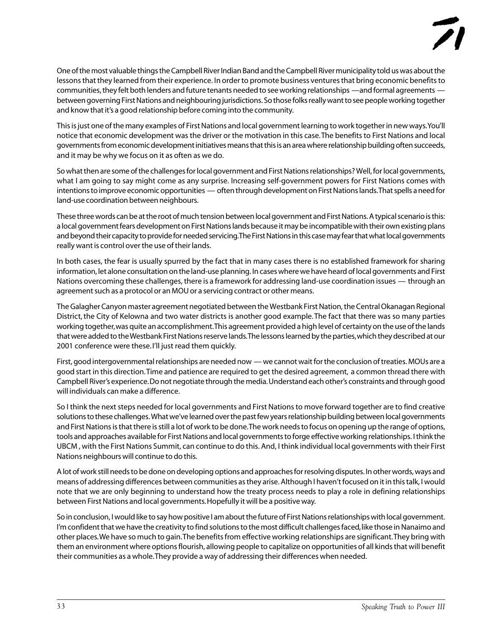One of the most valuable things the Campbell River Indian Band and the Campbell River municipality told us was about the lessons that they learned from their experience. In order to promote business ventures that bring economic benefits to communities, they felt both lenders and future tenants needed to see working relationships —and formal agreements between governing First Nations and neighbouring jurisdictions. So those folks really want to see people working together and know that it's a good relationship before coming into the community.

This is just one of the many examples of First Nations and local government learning to work together in new ways. You'll notice that economic development was the driver or the motivation in this case. The benefits to First Nations and local governments from economic development initiatives means that this is an area where relationship building often succeeds, and it may be why we focus on it as often as we do.

So what then are some of the challenges for local government and First Nations relationships? Well, for local governments, what I am going to say might come as any surprise. Increasing self-government powers for First Nations comes with intentions to improve economic opportunities — often through development on First Nations lands. That spells a need for land-use coordination between neighbours.

These three words can be at the root of much tension between local government and First Nations. A typical scenario is this: a local government fears development on First Nations lands because it may be incompatible with their own existing plans and beyond their capacity to provide for needed servicing. The First Nations in this case may fear that what local governments really want is control over the use of their lands.

In both cases, the fear is usually spurred by the fact that in many cases there is no established framework for sharing information, let alone consultation on the land-use planning. In cases where we have heard of local governments and First Nations overcoming these challenges, there is a framework for addressing land-use coordination issues — through an agreement such as a protocol or an MOU or a servicing contract or other means.

The Galagher Canyon master agreement negotiated between the Westbank First Nation, the Central Okanagan Regional District, the City of Kelowna and two water districts is another good example. The fact that there was so many parties working together, was quite an accomplishment. This agreement provided a high level of certainty on the use of the lands that were added to the Westbank First Nations reserve lands. The lessons learned by the parties, which they described at our 2001 conference were these. I'll just read them quickly.

First, good intergovernmental relationships are needed now — we cannot wait for the conclusion of treaties. MOUs are a good start in this direction. Time and patience are required to get the desired agreement, a common thread there with Campbell River's experience. Do not negotiate through the media. Understand each other's constraints and through good will individuals can make a difference.

So I think the next steps needed for local governments and First Nations to move forward together are to find creative solutions to these challenges. What we've learned over the past few years relationship building between local governments and First Nations is that there is still a lot of work to be done. The work needs to focus on opening up the range of options, tools and approaches available for First Nations and local governments to forge effective working relationships. I think the UBCM , with the First Nations Summit, can continue to do this. And, I think individual local governments with their First Nations neighbours will continue to do this.

A lot of work still needs to be done on developing options and approaches for resolving disputes. In other words, ways and means of addressing differences between communities as they arise. Although I haven't focused on it in this talk, I would note that we are only beginning to understand how the treaty process needs to play a role in defining relationships between First Nations and local governments. Hopefully it will be a positive way.

So in conclusion, I would like to say how positive I am about the future of First Nations relationships with local government. I'm confident that we have the creativity to find solutions to the most difficult challenges faced, like those in Nanaimo and other places. We have so much to gain. The benefits from effective working relationships are significant. They bring with them an environment where options flourish, allowing people to capitalize on opportunities of all kinds that will benefit their communities as a whole. They provide a way of addressing their differences when needed.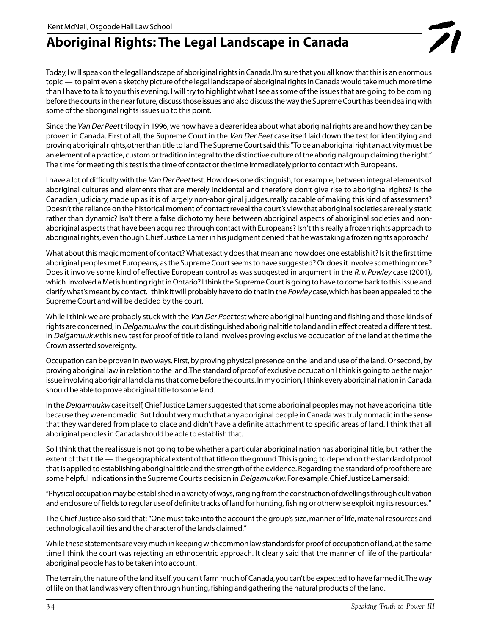### <span id="page-35-0"></span>**Aboriginal Rights: The Legal Landscape in Canada**

Today, I will speak on the legal landscape of aboriginal rights in Canada. I'm sure that you all know that this is an enormous topic — to paint even a sketchy picture of the legal landscape of aboriginal rights in Canada would take much more time than I have to talk to you this evening. I will try to highlight what I see as some of the issues that are going to be coming before the courts in the near future, discuss those issues and also discuss the way the Supreme Court has been dealing with some of the aboriginal rights issues up to this point.

Since the Van Der Peet trilogy in 1996, we now have a clearer idea about what aboriginal rights are and how they can be proven in Canada. First of all, the Supreme Court in the Van Der Peet case itself laid down the test for identifying and proving aboriginal rights, other than title to land. The Supreme Court said this: "To be an aboriginal right an activity must be an element of a practice, custom or tradition integral to the distinctive culture of the aboriginal group claiming the right." The time for meeting this test is the time of contact or the time immediately prior to contact with Europeans.

I have a lot of difficulty with the Van Der Peet test. How does one distinguish, for example, between integral elements of aboriginal cultures and elements that are merely incidental and therefore don't give rise to aboriginal rights? Is the Canadian judiciary, made up as it is of largely non-aboriginal judges, really capable of making this kind of assessment? Doesn't the reliance on the historical moment of contact reveal the court's view that aboriginal societies are really static rather than dynamic? Isn't there a false dichotomy here between aboriginal aspects of aboriginal societies and nonaboriginal aspects that have been acquired through contact with Europeans? Isn't this really a frozen rights approach to aboriginal rights, even though Chief Justice Lamer in his judgment denied that he was taking a frozen rights approach?

What about this magic moment of contact? What exactly does that mean and how does one establish it? Is it the first time aboriginal peoples met Europeans, as the Supreme Court seems to have suggested? Or does it involve something more? Does it involve some kind of effective European control as was suggested in argument in the R. v. Powley case (2001), which involved a Metis hunting right in Ontario? I think the Supreme Court is going to have to come back to this issue and clarify what's meant by contact. I think it will probably have to do that in the Powley case, which has been appealed to the Supreme Court and will be decided by the court.

While I think we are probably stuck with the Van Der Peet test where aboriginal hunting and fishing and those kinds of rights are concerned, in Delgamuukw the court distinguished aboriginal title to land and in effect created a different test. In Delgamuukw this new test for proof of title to land involves proving exclusive occupation of the land at the time the Crown asserted sovereignty.

Occupation can be proven in two ways. First, by proving physical presence on the land and use of the land. Or second, by proving aboriginal law in relation to the land. The standard of proof of exclusive occupation I think is going to be the major issue involving aboriginal land claims that come before the courts. In my opinion, I think every aboriginal nation in Canada should be able to prove aboriginal title to some land.

In the Delgamuukw case itself, Chief Justice Lamer suggested that some aboriginal peoples may not have aboriginal title because they were nomadic. But I doubt very much that any aboriginal people in Canada was truly nomadic in the sense that they wandered from place to place and didn't have a definite attachment to specific areas of land. I think that all aboriginal peoples in Canada should be able to establish that.

So I think that the real issue is not going to be whether a particular aboriginal nation has aboriginal title, but rather the extent of that title — the geographical extent of that title on the ground. This is going to depend on the standard of proof that is applied to establishing aboriginal title and the strength of the evidence. Regarding the standard of proof there are some helpful indications in the Supreme Court's decision in Delgamuukw. For example, Chief Justice Lamer said:

"Physical occupation may be established in a variety of ways, ranging from the construction of dwellings through cultivation and enclosure of fields to regular use of definite tracks of land for hunting, fishing or otherwise exploiting its resources."

The Chief Justice also said that: "One must take into the account the group's size, manner of life, material resources and technological abilities and the character of the lands claimed."

While these statements are very much in keeping with common law standards for proof of occupation of land, at the same time I think the court was rejecting an ethnocentric approach. It clearly said that the manner of life of the particular aboriginal people has to be taken into account.

The terrain, the nature of the land itself, you can't farm much of Canada, you can't be expected to have farmed it. The way of life on that land was very often through hunting, fishing and gathering the natural products of the land.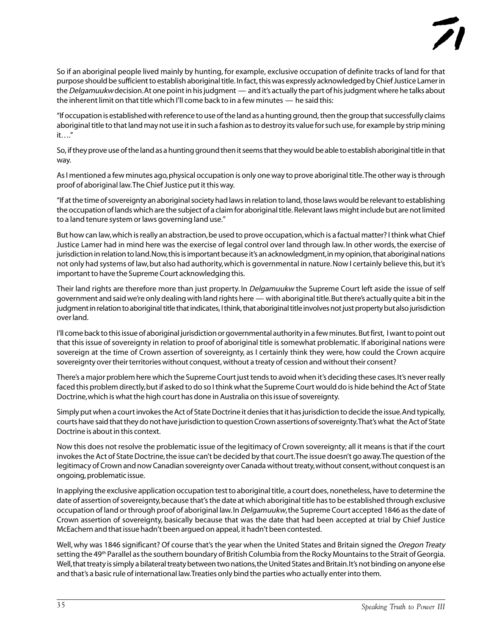So if an aboriginal people lived mainly by hunting, for example, exclusive occupation of definite tracks of land for that purpose should be sufficient to establish aboriginal title. In fact, this was expressly acknowledged by Chief Justice Lamer in the Delgamuukw decision. At one point in his judgment — and it's actually the part of his judgment where he talks about the inherent limit on that title which I'll come back to in a few minutes — he said this:

"If occupation is established with reference to use of the land as a hunting ground, then the group that successfully claims aboriginal title to that land may not use it in such a fashion as to destroy its value for such use, for example by strip mining it…."

So, if they prove use of the land as a hunting ground then it seems that they would be able to establish aboriginal title in that way.

As I mentioned a few minutes ago, physical occupation is only one way to prove aboriginal title. The other way is through proof of aboriginal law. The Chief Justice put it this way.

"If at the time of sovereignty an aboriginal society had laws in relation to land, those laws would be relevant to establishing the occupation of lands which are the subject of a claim for aboriginal title. Relevant laws might include but are not limited to a land tenure system or laws governing land use."

But how can law, which is really an abstraction, be used to prove occupation, which is a factual matter? I think what Chief Justice Lamer had in mind here was the exercise of legal control over land through law. In other words, the exercise of jurisdiction in relation to land. Now, this is important because it's an acknowledgment, in my opinion, that aboriginal nations not only had systems of law, but also had authority, which is governmental in nature. Now I certainly believe this, but it's important to have the Supreme Court acknowledging this.

Their land rights are therefore more than just property. In Delgamuukw the Supreme Court left aside the issue of self government and said we're only dealing with land rights here — with aboriginal title. But there's actually quite a bit in the judgment in relation to aboriginal title that indicates, I think, that aboriginal title involves not just property but also jurisdiction over land.

I'll come back to this issue of aboriginal jurisdiction or governmental authority in a few minutes. But first, I want to point out that this issue of sovereignty in relation to proof of aboriginal title is somewhat problematic. If aboriginal nations were sovereign at the time of Crown assertion of sovereignty, as I certainly think they were, how could the Crown acquire sovereignty over their territories without conquest, without a treaty of cession and without their consent?

There's a major problem here which the Supreme Court just tends to avoid when it's deciding these cases. It's never really faced this problem directly, but if asked to do so I think what the Supreme Court would do is hide behind the Act of State Doctrine, which is what the high court has done in Australia on this issue of sovereignty.

Simply put when a court invokes the Act of State Doctrine it denies that it has jurisdiction to decide the issue. And typically, courts have said that they do not have jurisdiction to question Crown assertions of sovereignty. That's what the Act of State Doctrine is about in this context.

Now this does not resolve the problematic issue of the legitimacy of Crown sovereignty; all it means is that if the court invokes the Act of State Doctrine, the issue can't be decided by that court. The issue doesn't go away. The question of the legitimacy of Crown and now Canadian sovereignty over Canada without treaty, without consent, without conquest is an ongoing, problematic issue.

In applying the exclusive application occupation test to aboriginal title, a court does, nonetheless, have to determine the date of assertion of sovereignty, because that's the date at which aboriginal title has to be established through exclusive occupation of land or through proof of aboriginal law. In Delgamuukw, the Supreme Court accepted 1846 as the date of Crown assertion of sovereignty, basically because that was the date that had been accepted at trial by Chief Justice McEachern and that issue hadn't been argued on appeal, it hadn't been contested.

Well, why was 1846 significant? Of course that's the year when the United States and Britain signed the Oregon Treaty setting the 49<sup>th</sup> Parallel as the southern boundary of British Columbia from the Rocky Mountains to the Strait of Georgia. Well, that treaty is simply a bilateral treaty between two nations, the United States and Britain. It's not binding on anyone else and that's a basic rule of international law. Treaties only bind the parties who actually enter into them.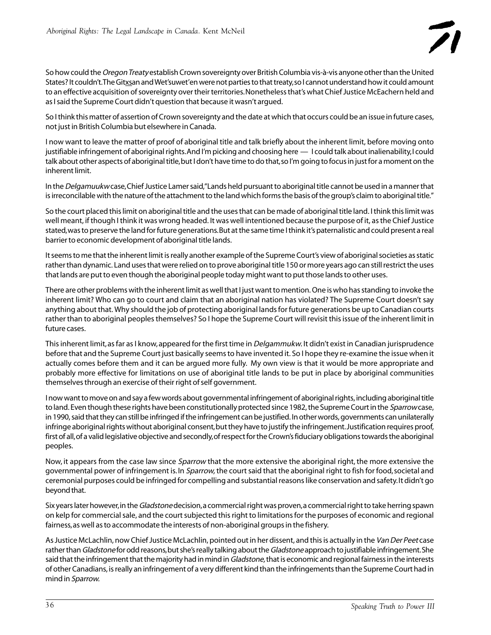So how could the *Oregon Treaty* establish Crown sovereignty over British Columbia vis-à-vis anyone other than the United States? It couldn't. The Gitxsan and Wet'suwet'en were not parties to that treaty, so I cannot understand how it could amount to an effective acquisition of sovereignty over their territories. Nonetheless that's what Chief Justice McEachern held and as I said the Supreme Court didn't question that because it wasn't argued.

So I think this matter of assertion of Crown sovereignty and the date at which that occurs could be an issue in future cases, not just in British Columbia but elsewhere in Canada.

I now want to leave the matter of proof of aboriginal title and talk briefly about the inherent limit, before moving onto justifiable infringement of aboriginal rights. And I'm picking and choosing here — I could talk about inalienability, I could talk about other aspects of aboriginal title, but I don't have time to do that, so I'm going to focus in just for a moment on the inherent limit.

In the Delgamuukw case, Chief Justice Lamer said, "Lands held pursuant to aboriginal title cannot be used in a manner that is irreconcilable with the nature of the attachment to the land which forms the basis of the group's claim to aboriginal title."

So the court placed this limit on aboriginal title and the uses that can be made of aboriginal title land. I think this limit was well meant, if though I think it was wrong headed. It was well intentioned because the purpose of it, as the Chief Justice stated, was to preserve the land for future generations. But at the same time I think it's paternalistic and could present a real barrier to economic development of aboriginal title lands.

It seems to me that the inherent limit is really another example of the Supreme Court's view of aboriginal societies as static rather than dynamic. Land uses that were relied on to prove aboriginal title 150 or more years ago can still restrict the uses that lands are put to even though the aboriginal people today might want to put those lands to other uses.

There are other problems with the inherent limit as well that I just want to mention. One is who has standing to invoke the inherent limit? Who can go to court and claim that an aboriginal nation has violated? The Supreme Court doesn't say anything about that. Why should the job of protecting aboriginal lands for future generations be up to Canadian courts rather than to aboriginal peoples themselves? So I hope the Supreme Court will revisit this issue of the inherent limit in future cases.

This inherent limit, as far as I know, appeared for the first time in Delgammukw. It didn't exist in Canadian jurisprudence before that and the Supreme Court just basically seems to have invented it. So I hope they re-examine the issue when it actually comes before them and it can be argued more fully. My own view is that it would be more appropriate and probably more effective for limitations on use of aboriginal title lands to be put in place by aboriginal communities themselves through an exercise of their right of self government.

I now want to move on and say a few words about governmental infringement of aboriginal rights, including aboriginal title to land. Even though these rights have been constitutionally protected since 1982, the Supreme Court in the Sparrow case, in 1990, said that they can still be infringed if the infringement can be justified. In other words, governments can unilaterally infringe aboriginal rights without aboriginal consent, but they have to justify the infringement. Justification requires proof, first of all, of a valid legislative objective and secondly, of respect for the Crown's fiduciary obligations towards the aboriginal peoples.

Now, it appears from the case law since Sparrow that the more extensive the aboriginal right, the more extensive the governmental power of infringement is. In Sparrow, the court said that the aboriginal right to fish for food, societal and ceremonial purposes could be infringed for compelling and substantial reasons like conservation and safety. It didn't go beyond that.

Six years later however, in the *Gladstone* decision, a commercial right was proven, a commercial right to take herring spawn on kelp for commercial sale, and the court subjected this right to limitations for the purposes of economic and regional fairness, as well as to accommodate the interests of non-aboriginal groups in the fishery.

As Justice McLachlin, now Chief Justice McLachlin, pointed out in her dissent, and this is actually in the Van Der Peet case rather than Gladstone for odd reasons, but she's really talking about the Gladstone approach to justifiable infringement. She said that the infringement that the majority had in mind in Gladstone, that is economic and regional fairness in the interests of other Canadians, is really an infringement of a very different kind than the infringements than the Supreme Court had in mind in Sparrow.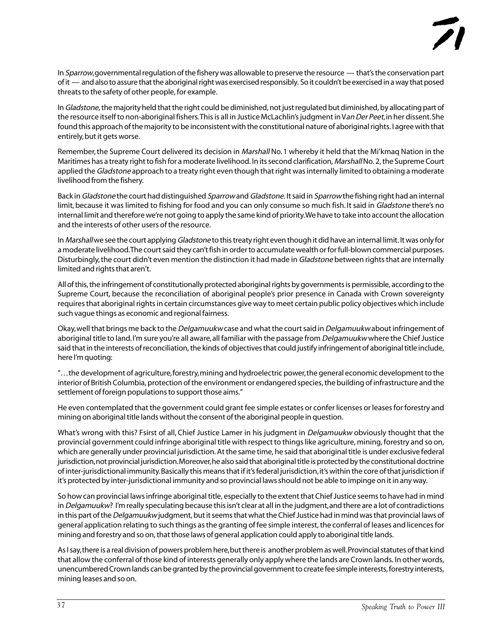In Sparrow, governmental regulation of the fishery was allowable to preserve the resource — that's the conservation part of it — and also to assure that the aboriginal right was exercised responsibly. So it couldn't be exercised in a way that posed threats to the safety of other people, for example.

In Gladstone, the majority held that the right could be diminished, not just regulated but diminished, by allocating part of the resource itself to non-aboriginal fishers. This is all in Justice McLachlin's judgment in Van Der Peet, in her dissent. She found this approach of the majority to be inconsistent with the constitutional nature of aboriginal rights. I agree with that entirely, but it gets worse.

Remember, the Supreme Court delivered its decision in *Marshall* No. 1 whereby it held that the Mi'kmaq Nation in the Maritimes has a treaty right to fish for a moderate livelihood. In its second clarification, Marshall No. 2, the Supreme Court applied the Gladstone approach to a treaty right even though that right was internally limited to obtaining a moderate livelihood from the fishery.

Back in Gladstone the court had distinguished Sparrow and Gladstone. It said in Sparrow the fishing right had an internal limit, because it was limited to fishing for food and you can only consume so much fish. It said in Gladstone there's no internal limit and therefore we're not going to apply the same kind of priority. We have to take into account the allocation and the interests of other users of the resource.

In Marshall we see the court applying Gladstone to this treaty right even though it did have an internal limit. It was only for a moderate livelihood. The court said they can't fish in order to accumulate wealth or for full-blown commercial purposes. Disturbingly, the court didn't even mention the distinction it had made in Gladstone between rights that are internally limited and rights that aren't.

All of this, the infringement of constitutionally protected aboriginal rights by governments is permissible, according to the Supreme Court, because the reconciliation of aboriginal people's prior presence in Canada with Crown sovereignty requires that aboriginal rights in certain circumstances give way to meet certain public policy objectives which include such vague things as economic and regional fairness.

Okay, well that brings me back to the Delgamuukw case and what the court said in Delgamuukw about infringement of aboriginal title to land. I'm sure you're all aware, all familiar with the passage from Delgamuukw where the Chief Justice said that in the interests of reconciliation, the kinds of objectives that could justify infringement of aboriginal title include, here I'm quoting:

"…the development of agriculture, forestry, mining and hydroelectric power, the general economic development to the interior of British Columbia, protection of the environment or endangered species, the building of infrastructure and the settlement of foreign populations to support those aims."

He even contemplated that the government could grant fee simple estates or confer licenses or leases for forestry and mining on aboriginal title lands without the consent of the aboriginal people in question.

What's wrong with this? Fsirst of all, Chief Justice Lamer in his judgment in Delgamuukw obviously thought that the provincial government could infringe aboriginal title with respect to things like agriculture, mining, forestry and so on, which are generally under provincial jurisdiction. At the same time, he said that aboriginal title is under exclusive federal jurisdiction, not provincial jurisdiction. Moreover, he also said that aboriginal title is protected by the constitutional doctrine of inter-jurisdictional immunity. Basically this means that if it's federal jurisdiction, it's within the core of that jurisdiction if it's protected by inter-jurisdictional immunity and so provincial laws should not be able to impinge on it in any way.

So how can provincial laws infringe aboriginal title, especially to the extent that Chief Justice seems to have had in mind in Delgamuukw? I'm really speculating because this isn't clear at all in the judgment, and there are a lot of contradictions in this part of the Delgamuukw judgment, but it seems that what the Chief Justice had in mind was that provincial laws of general application relating to such things as the granting of fee simple interest, the conferral of leases and licences for mining and forestry and so on, that those laws of general application could apply to aboriginal title lands.

As I say, there is a real division of powers problem here, but there is another problem as well. Provincial statutes of that kind that allow the conferral of those kind of interests generally only apply where the lands are Crown lands. In other words, unencumbered Crown lands can be granted by the provincial government to create fee simple interests, forestry interests, mining leases and so on.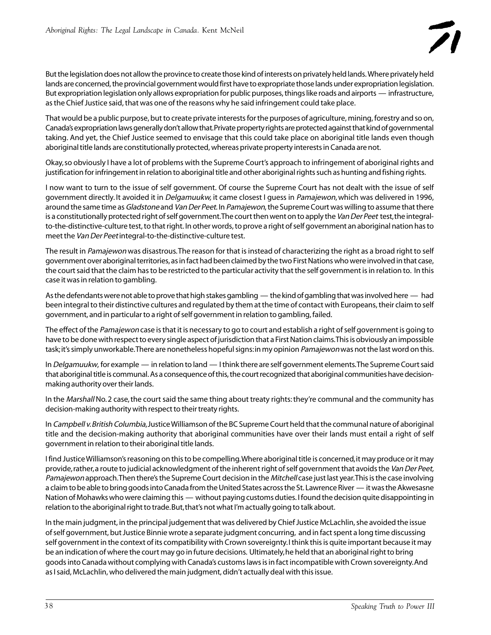But the legislation does not allow the province to create those kind of interests on privately held lands. Where privately held lands are concerned, the provincial government would first have to expropriate those lands under expropriation legislation. But expropriation legislation only allows expropriation for public purposes, things like roads and airports — infrastructure, as the Chief Justice said, that was one of the reasons why he said infringement could take place.

That would be a public purpose, but to create private interests for the purposes of agriculture, mining, forestry and so on, Canada's expropriation laws generally don't allow that. Private property rights are protected against that kind of governmental taking. And yet, the Chief Justice seemed to envisage that this could take place on aboriginal title lands even though aboriginal title lands are constitutionally protected, whereas private property interests in Canada are not.

Okay, so obviously I have a lot of problems with the Supreme Court's approach to infringement of aboriginal rights and justification for infringement in relation to aboriginal title and other aboriginal rights such as hunting and fishing rights.

I now want to turn to the issue of self government. Of course the Supreme Court has not dealt with the issue of self government directly. It avoided it in Delgamuukw, it came closest I quess in Pamajewon, which was delivered in 1996, around the same time as *Gladstone* and Van Der Peet. In Pamajewon, the Supreme Court was willing to assume that there is a constitutionally protected right of self government. The court then went on to apply the Van Der Peet test, the integralto-the-distinctive-culture test, to that right. In other words, to prove a right of self government an aboriginal nation has to meet the Van Der Peet integral-to-the-distinctive-culture test.

The result in Pamajewon was disastrous. The reason for that is instead of characterizing the right as a broad right to self government over aboriginal territories, as in fact had been claimed by the two First Nations who were involved in that case, the court said that the claim has to be restricted to the particular activity that the self government is in relation to. In this case it was in relation to gambling.

As the defendants were not able to prove that high stakes gambling — the kind of gambling that was involved here — had been integral to their distinctive cultures and regulated by them at the time of contact with Europeans, their claim to self government, and in particular to a right of self government in relation to gambling, failed.

The effect of the Pamajewon case is that it is necessary to go to court and establish a right of self government is going to have to be done with respect to every single aspect of jurisdiction that a First Nation claims. This is obviously an impossible task; it's simply unworkable. There are nonetheless hopeful signs: in my opinion Pamajewon was not the last word on this.

In Delgamuukw, for example — in relation to land — I think there are self government elements. The Supreme Court said that aboriginal title is communal. As a consequence of this, the court recognized that aboriginal communities have decisionmaking authority over their lands.

In the Marshall No. 2 case, the court said the same thing about treaty rights: they're communal and the community has decision-making authority with respect to their treaty rights.

In Campbell v. British Columbia, Justice Williamson of the BC Supreme Court held that the communal nature of aboriginal title and the decision-making authority that aboriginal communities have over their lands must entail a right of self government in relation to their aboriginal title lands.

I find Justice Williamson's reasoning on this to be compelling. Where aboriginal title is concerned, it may produce or it may provide, rather, a route to judicial acknowledgment of the inherent right of self government that avoids the Van Der Peet, Pamajewon approach. Then there's the Supreme Court decision in the Mitchell case just last year. This is the case involving a claim to be able to bring goods into Canada from the United States across the St. Lawrence River — it was the Akwesasne Nation of Mohawks who were claiming this — without paying customs duties. I found the decision quite disappointing in relation to the aboriginal right to trade. But, that's not what I'm actually going to talk about.

In the main judgment, in the principal judgement that was delivered by Chief Justice McLachlin, she avoided the issue of self government, but Justice Binnie wrote a separate judgment concurring, and in fact spent a long time discussing self government in the context of its compatibility with Crown sovereignty. I think this is quite important because it may be an indication of where the court may go in future decisions. Ultimately, he held that an aboriginal right to bring goods into Canada without complying with Canada's customs laws is in fact incompatible with Crown sovereignty. And as I said, McLachlin, who delivered the main judgment, didn't actually deal with this issue.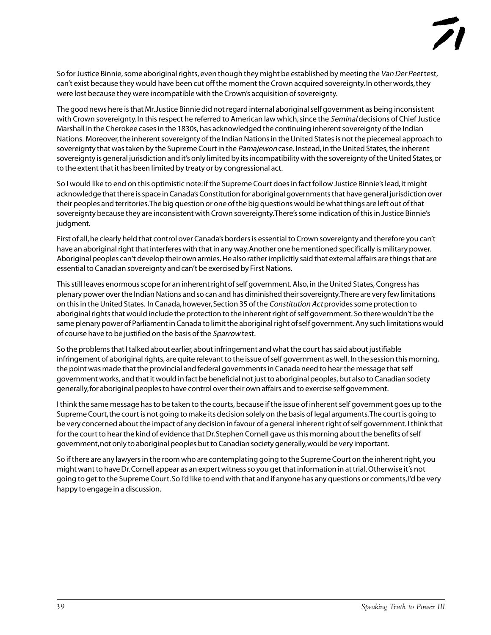So for Justice Binnie, some aboriginal rights, even though they might be established by meeting the Van Der Peet test, can't exist because they would have been cut off the moment the Crown acquired sovereignty. In other words, they were lost because they were incompatible with the Crown's acquisition of sovereignty.

The good news here is that Mr. Justice Binnie did not regard internal aboriginal self government as being inconsistent with Crown sovereignty. In this respect he referred to American law which, since the Seminal decisions of Chief Justice Marshall in the Cherokee cases in the 1830s, has acknowledged the continuing inherent sovereignty of the Indian Nations. Moreover, the inherent sovereignty of the Indian Nations in the United States is not the piecemeal approach to sovereignty that was taken by the Supreme Court in the Pamajewon case. Instead, in the United States, the inherent sovereignty is general jurisdiction and it's only limited by its incompatibility with the sovereignty of the United States, or to the extent that it has been limited by treaty or by congressional act.

So I would like to end on this optimistic note: if the Supreme Court does in fact follow Justice Binnie's lead, it might acknowledge that there is space in Canada's Constitution for aboriginal governments that have general jurisdiction over their peoples and territories. The big question or one of the big questions would be what things are left out of that sovereignty because they are inconsistent with Crown sovereignty. There's some indication of this in Justice Binnie's judgment.

First of all, he clearly held that control over Canada's borders is essential to Crown sovereignty and therefore you can't have an aboriginal right that interferes with that in any way. Another one he mentioned specifically is military power. Aboriginal peoples can't develop their own armies. He also rather implicitly said that external affairs are things that are essential to Canadian sovereignty and can't be exercised by First Nations.

This still leaves enormous scope for an inherent right of self government. Also, in the United States, Congress has plenary power over the Indian Nations and so can and has diminished their sovereignty. There are very few limitations on this in the United States. In Canada, however, Section 35 of the Constitution Act provides some protection to aboriginal rights that would include the protection to the inherent right of self government. So there wouldn't be the same plenary power of Parliament in Canada to limit the aboriginal right of self government. Any such limitations would of course have to be justified on the basis of the Sparrow test.

So the problems that I talked about earlier, about infringement and what the court has said about justifiable infringement of aboriginal rights, are quite relevant to the issue of self government as well. In the session this morning, the point was made that the provincial and federal governments in Canada need to hear the message that self government works, and that it would in fact be beneficial not just to aboriginal peoples, but also to Canadian society generally, for aboriginal peoples to have control over their own affairs and to exercise self government.

I think the same message has to be taken to the courts, because if the issue of inherent self government goes up to the Supreme Court, the court is not going to make its decision solely on the basis of legal arguments. The court is going to be very concerned about the impact of any decision in favour of a general inherent right of self government. I think that for the court to hear the kind of evidence that Dr. Stephen Cornell gave us this morning about the benefits of self government, not only to aboriginal peoples but to Canadian society generally, would be very important.

So if there are any lawyers in the room who are contemplating going to the Supreme Court on the inherent right, you might want to have Dr. Cornell appear as an expert witness so you get that information in at trial. Otherwise it's not going to get to the Supreme Court. So I'd like to end with that and if anyone has any questions or comments, I'd be very happy to engage in a discussion.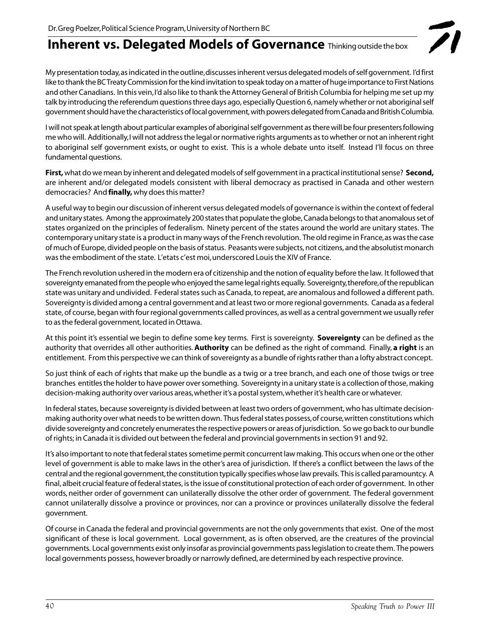## Inherent vs. Delegated Models of Governance Thinking outside the box

My presentation today, as indicated in the outline, discusses inherent versus delegated models of self government. I'd first like to thank the BC Treaty Commission for the kind invitation to speak today on a matter of huge importance to First Nations and other Canadians. In this vein, I'd also like to thank the Attorney General of British Columbia for helping me set up my talk by introducing the referendum questions three days ago, especially Question 6, namely whether or not aboriginal self government should have the characteristics of local government, with powers delegated from Canada and British Columbia.

I will not speak at length about particular examples of aboriginal self government as there will be four presenters following me who will. Additionally, I will not address the legal or normative rights arguments as to whether or not an inherent right to aboriginal self government exists, or ought to exist. This is a whole debate unto itself. Instead I'll focus on three fundamental questions.

**First,** what do we mean by inherent and delegated models of self government in a practical institutional sense? **Second,** are inherent and/or delegated models consistent with liberal democracy as practised in Canada and other western democracies? And **finally,** why does this matter?

A useful way to begin our discussion of inherent versus delegated models of governance is within the context of federal and unitary states. Among the approximately 200 states that populate the globe, Canada belongs to that anomalous set of states organized on the principles of federalism. Ninety percent of the states around the world are unitary states. The contemporary unitary state is a product in many ways of the French revolution. The old regime in France, as was the case of much of Europe, divided people on the basis of status. Peasants were subjects, not citizens, and the absolutist monarch was the embodiment of the state. L'etats c'est moi, underscored Louis the XIV of France.

The French revolution ushered in the modern era of citizenship and the notion of equality before the law. It followed that sovereignty emanated from the people who enjoyed the same legal rights equally. Sovereignty, therefore, of the republican state was unitary and undivided. Federal states such as Canada, to repeat, are anomalous and followed a different path. Sovereignty is divided among a central government and at least two or more regional governments. Canada as a federal state, of course, began with four regional governments called provinces, as well as a central government we usually refer to as the federal government, located in Ottawa.

At this point it's essential we begin to define some key terms. First is sovereignty. **Sovereignty** can be defined as the authority that overrides all other authorities. **Authority** can be defined as the right of command. Finally, **a right** is an entitlement. From this perspective we can think of sovereignty as a bundle of rights rather than a lofty abstract concept.

So just think of each of rights that make up the bundle as a twig or a tree branch, and each one of those twigs or tree branches entitles the holder to have power over something. Sovereignty in a unitary state is a collection of those, making decision-making authority over various areas, whether it's a postal system, whether it's health care or whatever.

In federal states, because sovereignty is divided between at least two orders of government, who has ultimate decisionmaking authority over what needs to be written down. Thus federal states possess, of course, written constitutions which divide sovereignty and concretely enumerates the respective powers or areas of jurisdiction. So we go back to our bundle of rights; in Canada it is divided out between the federal and provincial governments in section 91 and 92.

It's also important to note that federal states sometime permit concurrent law making. This occurs when one or the other level of government is able to make laws in the other's area of jurisdiction. If there's a conflict between the laws of the central and the regional government, the constitution typically specifies whose law prevails. This is called paramountcy. A final, albeit crucial feature of federal states, is the issue of constitutional protection of each order of government. In other words, neither order of government can unilaterally dissolve the other order of government. The federal government cannot unilaterally dissolve a province or provinces, nor can a province or provinces unilaterally dissolve the federal government.

Of course in Canada the federal and provincial governments are not the only governments that exist. One of the most significant of these is local government. Local government, as is often observed, are the creatures of the provincial governments. Local governments exist only insofar as provincial governments pass legislation to create them. The powers local governments possess, however broadly or narrowly defined, are determined by each respective province.

 $\blacktriangleright$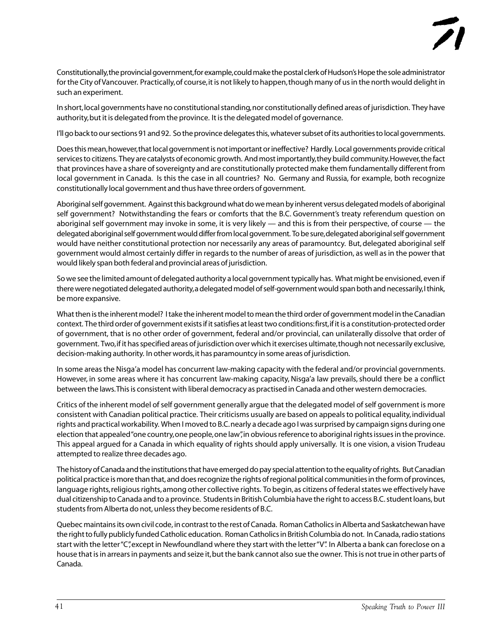Constitutionally, the provincial government, for example, could make the postal clerk of Hudson's Hope the sole administrator for the City of Vancouver. Practically, of course, it is not likely to happen, though many of us in the north would delight in such an experiment.

In short, local governments have no constitutional standing, nor constitutionally defined areas of jurisdiction. They have authority, but it is delegated from the province. It is the delegated model of governance.

I'll go back to our sections 91 and 92. So the province delegates this, whatever subset of its authorities to local governments.

Does this mean, however, that local government is not important or ineffective? Hardly. Local governments provide critical services to citizens. They are catalysts of economic growth. And most importantly, they build community. However, the fact that provinces have a share of sovereignty and are constitutionally protected make them fundamentally different from local government in Canada. Is this the case in all countries? No. Germany and Russia, for example, both recognize constitutionally local government and thus have three orders of government.

Aboriginal self government. Against this background what do we mean by inherent versus delegated models of aboriginal self government? Notwithstanding the fears or comforts that the B.C. Government's treaty referendum question on aboriginal self government may invoke in some, it is very likely — and this is from their perspective, of course — the delegated aboriginal self government would differ from local government. To be sure, delegated aboriginal self government would have neither constitutional protection nor necessarily any areas of paramountcy. But, delegated aboriginal self government would almost certainly differ in regards to the number of areas of jurisdiction, as well as in the power that would likely span both federal and provincial areas of jurisdiction.

So we see the limited amount of delegated authority a local government typically has. What might be envisioned, even if there were negotiated delegated authority, a delegated model of self-government would span both and necessarily, I think, be more expansive.

What then is the inherent model? I take the inherent model to mean the third order of government model in the Canadian context. The third order of government exists if it satisfies at least two conditions: first, if it is a constitution-protected order of government, that is no other order of government, federal and/or provincial, can unilaterally dissolve that order of government. Two, if it has specified areas of jurisdiction over which it exercises ultimate, though not necessarily exclusive, decision-making authority. In other words, it has paramountcy in some areas of jurisdiction.

In some areas the Nisga'a model has concurrent law-making capacity with the federal and/or provincial governments. However, in some areas where it has concurrent law-making capacity, Nisga'a law prevails, should there be a conflict between the laws. This is consistent with liberal democracy as practised in Canada and other western democracies.

Critics of the inherent model of self government generally argue that the delegated model of self government is more consistent with Canadian political practice. Their criticisms usually are based on appeals to political equality, individual rights and practical workability. When I moved to B.C. nearly a decade ago I was surprised by campaign signs during one election that appealed "one country, one people, one law", in obvious reference to aboriginal rights issues in the province. This appeal argued for a Canada in which equality of rights should apply universally. It is one vision, a vision Trudeau attempted to realize three decades ago.

The history of Canada and the institutions that have emerged do pay special attention to the equality of rights. But Canadian political practice is more than that, and does recognize the rights of regional political communities in the form of provinces, language rights, religious rights, among other collective rights. To begin, as citizens of federal states we effectively have dual citizenship to Canada and to a province. Students in British Columbia have the right to access B.C. student loans, but students from Alberta do not, unless they become residents of B.C.

Quebec maintains its own civil code, in contrast to the rest of Canada. Roman Catholics in Alberta and Saskatchewan have the right to fully publicly funded Catholic education. Roman Catholics in British Columbia do not. In Canada, radio stations start with the letter "C", except in Newfoundland where they start with the letter "V". In Alberta a bank can foreclose on a house that is in arrears in payments and seize it, but the bank cannot also sue the owner. This is not true in other parts of Canada.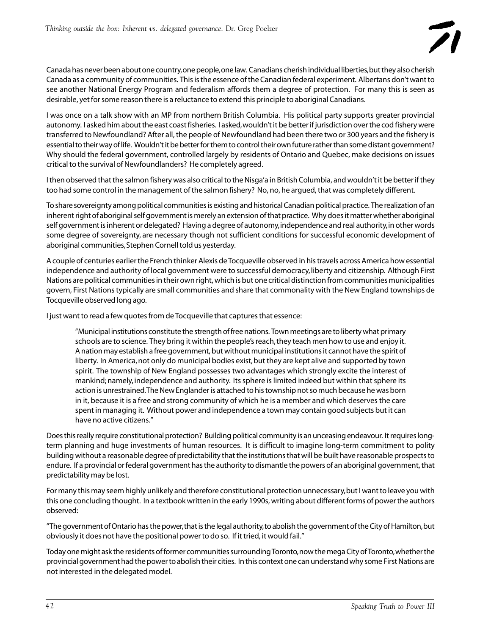Canada has never been about one country, one people, one law. Canadians cherish individual liberties, but they also cherish Canada as a community of communities. This is the essence of the Canadian federal experiment. Albertans don't want to see another National Energy Program and federalism affords them a degree of protection. For many this is seen as desirable, yet for some reason there is a reluctance to extend this principle to aboriginal Canadians.

I was once on a talk show with an MP from northern British Columbia. His political party supports greater provincial autonomy. I asked him about the east coast fisheries. I asked, wouldn't it be better if jurisdiction over the cod fishery were transferred to Newfoundland? After all, the people of Newfoundland had been there two or 300 years and the fishery is essential to their way of life. Wouldn't it be better for them to control their own future rather than some distant government? Why should the federal government, controlled largely by residents of Ontario and Quebec, make decisions on issues critical to the survival of Newfoundlanders? He completely agreed.

I then observed that the salmon fishery was also critical to the Nisga'a in British Columbia, and wouldn't it be better if they too had some control in the management of the salmon fishery? No, no, he argued, that was completely different.

To share sovereignty among political communities is existing and historical Canadian political practice. The realization of an inherent right of aboriginal self government is merely an extension of that practice. Why does it matter whether aboriginal self government is inherent or delegated? Having a degree of autonomy, independence and real authority, in other words some degree of sovereignty, are necessary though not sufficient conditions for successful economic development of aboriginal communities, Stephen Cornell told us yesterday.

A couple of centuries earlier the French thinker Alexis de Tocqueville observed in his travels across America how essential independence and authority of local government were to successful democracy, liberty and citizenship. Although First Nations are political communities in their own right, which is but one critical distinction from communities municipalities govern, First Nations typically are small communities and share that commonality with the New England townships de Tocqueville observed long ago.

I just want to read a few quotes from de Tocqueville that captures that essence:

"Municipal institutions constitute the strength of free nations. Town meetings are to liberty what primary schools are to science. They bring it within the people's reach, they teach men how to use and enjoy it. A nation may establish a free government, but without municipal institutions it cannot have the spirit of liberty. In America, not only do municipal bodies exist, but they are kept alive and supported by town spirit. The township of New England possesses two advantages which strongly excite the interest of mankind; namely, independence and authority. Its sphere is limited indeed but within that sphere its action is unrestrained. The New Englander is attached to his township not so much because he was born in it, because it is a free and strong community of which he is a member and which deserves the care spent in managing it. Without power and independence a town may contain good subjects but it can have no active citizens."

Does this really require constitutional protection? Building political community is an unceasing endeavour. It requires longterm planning and huge investments of human resources. It is difficult to imagine long-term commitment to polity building without a reasonable degree of predictability that the institutions that will be built have reasonable prospects to endure. If a provincial or federal government has the authority to dismantle the powers of an aboriginal government, that predictability may be lost.

For many this may seem highly unlikely and therefore constitutional protection unnecessary, but I want to leave you with this one concluding thought. In a textbook written in the early 1990s, writing about different forms of power the authors observed:

"The government of Ontario has the power, that is the legal authority, to abolish the government of the City of Hamilton, but obviously it does not have the positional power to do so. If it tried, it would fail."

Today one might ask the residents of former communities surrounding Toronto, now the mega City of Toronto, whether the provincial government had the power to abolish their cities. In this context one can understand why some First Nations are not interested in the delegated model.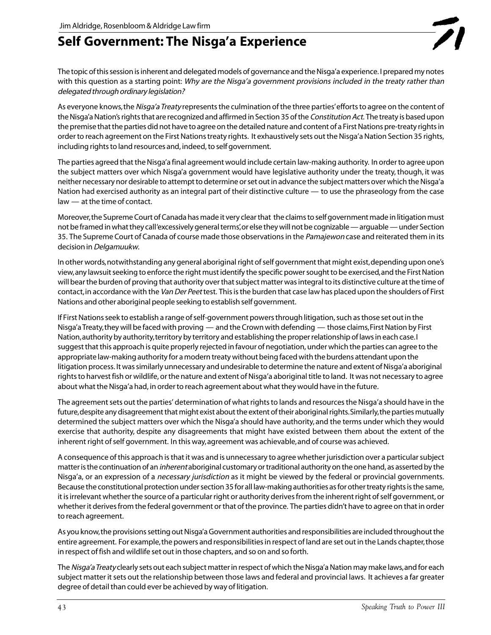## **Self Government: The Nisga'a Experience**

The topic of this session is inherent and delegated models of governance and the Nisga'a experience. I prepared my notes with this question as a starting point: Why are the Nisga'a government provisions included in the treaty rather than delegated through ordinary legislation?

As everyone knows, the Nisga'a Treaty represents the culmination of the three parties' efforts to agree on the content of the Nisga'a Nation's rights that are recognized and affirmed in Section 35 of the Constitution Act. The treaty is based upon the premise that the parties did not have to agree on the detailed nature and content of a First Nations pre-treaty rights in order to reach agreement on the First Nations treaty rights. It exhaustively sets out the Nisga'a Nation Section 35 rights, including rights to land resources and, indeed, to self government.

The parties agreed that the Nisga'a final agreement would include certain law-making authority. In order to agree upon the subject matters over which Nisga'a government would have legislative authority under the treaty, though, it was neither necessary nor desirable to attempt to determine or set out in advance the subject matters over which the Nisga'a Nation had exercised authority as an integral part of their distinctive culture — to use the phraseology from the case law — at the time of contact.

Moreover, the Supreme Court of Canada has made it very clear that the claims to self government made in litigation must not be framed in what they call 'excessively general terms', or else they will not be cognizable — arguable — under Section 35. The Supreme Court of Canada of course made those observations in the Pamajewon case and reiterated them in its decision in Delgamuukw.

In other words, notwithstanding any general aboriginal right of self government that might exist, depending upon one's view, any lawsuit seeking to enforce the right must identify the specific power sought to be exercised, and the First Nation will bear the burden of proving that authority over that subject matter was integral to its distinctive culture at the time of contact, in accordance with the Van Der Peet test. This is the burden that case law has placed upon the shoulders of First Nations and other aboriginal people seeking to establish self government.

If First Nations seek to establish a range of self-government powers through litigation, such as those set out in the Nisga'a Treaty, they will be faced with proving — and the Crown with defending — those claims, First Nation by First Nation, authority by authority, territory by territory and establishing the proper relationship of laws in each case. I suggest that this approach is quite properly rejected in favour of negotiation, under which the parties can agree to the appropriate law-making authority for a modern treaty without being faced with the burdens attendant upon the litigation process. It was similarly unnecessary and undesirable to determine the nature and extent of Nisga'a aboriginal rights to harvest fish or wildlife, or the nature and extent of Nisga'a aboriginal title to land. It was not necessary to agree about what the Nisga'a had, in order to reach agreement about what they would have in the future.

The agreement sets out the parties' determination of what rights to lands and resources the Nisga'a should have in the future, despite any disagreement that might exist about the extent of their aboriginal rights. Similarly, the parties mutually determined the subject matters over which the Nisga'a should have authority, and the terms under which they would exercise that authority, despite any disagreements that might have existed between them about the extent of the inherent right of self government. In this way, agreement was achievable, and of course was achieved.

A consequence of this approach is that it was and is unnecessary to agree whether jurisdiction over a particular subject matter is the continuation of an inherent aboriginal customary or traditional authority on the one hand, as asserted by the Nisga'a, or an expression of a necessary jurisdiction as it might be viewed by the federal or provincial governments. Because the constitutional protection under section 35 for all law-making authorities as for other treaty rights is the same, it is irrelevant whether the source of a particular right or authority derives from the inherent right of self government, or whether it derives from the federal government or that of the province. The parties didn't have to agree on that in order to reach agreement.

As you know, the provisions setting out Nisga'a Government authorities and responsibilities are included throughout the entire agreement. For example, the powers and responsibilities in respect of land are set out in the Lands chapter, those in respect of fish and wildlife set out in those chapters, and so on and so forth.

The Nisga'a Treaty clearly sets out each subject matter in respect of which the Nisga'a Nation may make laws, and for each subject matter it sets out the relationship between those laws and federal and provincial laws. It achieves a far greater degree of detail than could ever be achieved by way of litigation.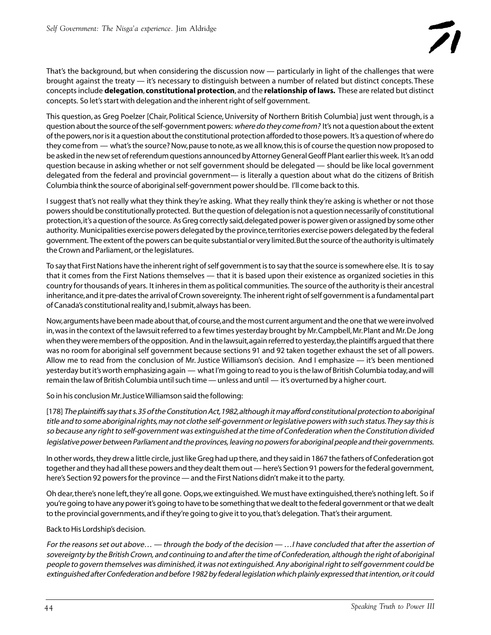That's the background, but when considering the discussion now — particularly in light of the challenges that were brought against the treaty — it's necessary to distinguish between a number of related but distinct concepts. These concepts include **delegation**, **constitutional protection**, and the **relationship of laws.** These are related but distinct concepts. So let's start with delegation and the inherent right of self government.

This question, as Greg Poelzer [Chair, Political Science, University of Northern British Columbia] just went through, is a question about the source of the self-government powers: where do they come from? It's not a question about the extent of the powers, nor is it a question about the constitutional protection afforded to those powers. It's a question of where do they come from — what's the source? Now, pause to note, as we all know, this is of course the question now proposed to be asked in the new set of referendum questions announced by Attorney General Geoff Plant earlier this week. It's an odd question because in asking whether or not self government should be delegated — should be like local government delegated from the federal and provincial government— is literally a question about what do the citizens of British Columbia think the source of aboriginal self-government power should be. I'll come back to this.

I suggest that's not really what they think they're asking. What they really think they're asking is whether or not those powers should be constitutionally protected. But the question of delegation is not a question necessarily of constitutional protection, it's a question of the source. As Greg correctly said, delegated power is power given or assigned by some other authority. Municipalities exercise powers delegated by the province, territories exercise powers delegated by the federal government. The extent of the powers can be quite substantial or very limited. But the source of the authority is ultimately the Crown and Parliament, or the legislatures.

To say that First Nations have the inherent right of self government is to say that the source is somewhere else. It is to say that it comes from the First Nations themselves — that it is based upon their existence as organized societies in this country for thousands of years. It inheres in them as political communities. The source of the authority is their ancestral inheritance, and it pre-dates the arrival of Crown sovereignty. The inherent right of self government is a fundamental part of Canada's constitutional reality and, I submit, always has been.

Now, arguments have been made about that, of course, and the most current argument and the one that we were involved in, was in the context of the lawsuit referred to a few times yesterday brought by Mr. Campbell, Mr. Plant and Mr. De Jong when they were members of the opposition. And in the lawsuit, again referred to yesterday, the plaintiffs argued that there was no room for aboriginal self government because sections 91 and 92 taken together exhaust the set of all powers. Allow me to read from the conclusion of Mr. Justice Williamson's decision. And I emphasize — it's been mentioned yesterday but it's worth emphasizing again — what I'm going to read to you is the law of British Columbia today, and will remain the law of British Columbia until such time — unless and until — it's overturned by a higher court.

So in his conclusion Mr. Justice Williamson said the following:

[178] The plaintiffs say that s. 35 of the Constitution Act, 1982, although it may afford constitutional protection to aboriginal title and to some aboriginal rights, may not clothe self-government or legislative powers with such status. They say this is so because any right to self-government was extinguished at the time of Confederation when the Constitution divided legislative power between Parliament and the provinces, leaving no powers for aboriginal people and their governments.

In other words, they drew a little circle, just like Greg had up there, and they said in 1867 the fathers of Confederation got together and they had all these powers and they dealt them out — here's Section 91 powers for the federal government, here's Section 92 powers for the province — and the First Nations didn't make it to the party.

Oh dear, there's none left, they're all gone. Oops, we extinguished. We must have extinguished, there's nothing left. So if you're going to have any power it's going to have to be something that we dealt to the federal government or that we dealt to the provincial governments, and if they're going to give it to you, that's delegation. That's their argument.

### Back to His Lordship's decision.

For the reasons set out above… — through the body of the decision — …I have concluded that after the assertion of sovereignty by the British Crown, and continuing to and after the time of Confederation, although the right of aboriginal people to govern themselves was diminished, it was not extinguished. Any aboriginal right to self government could be extinguished after Confederation and before 1982 by federal legislation which plainly expressed that intention, or it could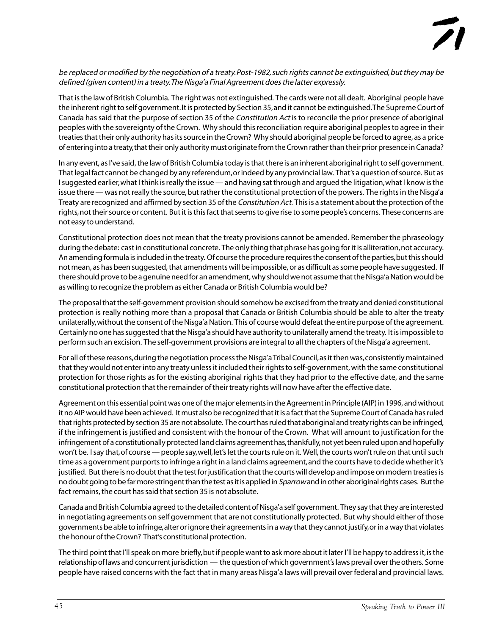#### be replaced or modified by the negotiation of a treaty. Post-1982, such rights cannot be extinguished, but they may be defined (given content) in a treaty. The Nisga'a Final Agreement does the latter expressly.

That is the law of British Columbia. The right was not extinguished. The cards were not all dealt. Aboriginal people have the inherent right to self government. It is protected by Section 35, and it cannot be extinguished. The Supreme Court of Canada has said that the purpose of section 35 of the Constitution Act is to reconcile the prior presence of aboriginal peoples with the sovereignty of the Crown. Why should this reconciliation require aboriginal peoples to agree in their treaties that their only authority has its source in the Crown? Why should aboriginal people be forced to agree, as a price of entering into a treaty, that their only authority must originate from the Crown rather than their prior presence in Canada?

In any event, as I've said, the law of British Columbia today is that there is an inherent aboriginal right to self government. That legal fact cannot be changed by any referendum, or indeed by any provincial law. That's a question of source. But as I suggested earlier, what I think is really the issue — and having sat through and argued the litigation, what I know is the issue there — was not really the source, but rather the constitutional protection of the powers. The rights in the Nisga'a Treaty are recognized and affirmed by section 35 of the Constitution Act. This is a statement about the protection of the rights, not their source or content. But it is this fact that seems to give rise to some people's concerns. These concerns are not easy to understand.

Constitutional protection does not mean that the treaty provisions cannot be amended. Remember the phraseology during the debate: cast in constitutional concrete. The only thing that phrase has going for it is alliteration, not accuracy. An amending formula is included in the treaty. Of course the procedure requires the consent of the parties, but this should not mean, as has been suggested, that amendments will be impossible, or as difficult as some people have suggested. If there should prove to be a genuine need for an amendment, why should we not assume that the Nisga'a Nation would be as willing to recognize the problem as either Canada or British Columbia would be?

The proposal that the self-government provision should somehow be excised from the treaty and denied constitutional protection is really nothing more than a proposal that Canada or British Columbia should be able to alter the treaty unilaterally, without the consent of the Nisga'a Nation. This of course would defeat the entire purpose of the agreement. Certainly no one has suggested that the Nisga'a should have authority to unilaterally amend the treaty. It is impossible to perform such an excision. The self-government provisions are integral to all the chapters of the Nisga'a agreement.

For all of these reasons, during the negotiation process the Nisga'a Tribal Council, as it then was, consistently maintained that they would not enter into any treaty unless it included their rights to self-government, with the same constitutional protection for those rights as for the existing aboriginal rights that they had prior to the effective date, and the same constitutional protection that the remainder of their treaty rights will now have after the effective date.

Agreement on this essential point was one of the major elements in the Agreement in Principle (AIP) in 1996, and without it no AIP would have been achieved. It must also be recognized that it is a fact that the Supreme Court of Canada has ruled that rights protected by section 35 are not absolute. The court has ruled that aboriginal and treaty rights can be infringed, if the infringement is justified and consistent with the honour of the Crown. What will amount to justification for the infringement of a constitutionally protected land claims agreement has, thankfully, not yet been ruled upon and hopefully won't be. I say that, of course — people say, well, let's let the courts rule on it. Well, the courts won't rule on that until such time as a government purports to infringe a right in a land claims agreement, and the courts have to decide whether it's justified. But there is no doubt that the test for justification that the courts will develop and impose on modern treaties is no doubt going to be far more stringent than the test as it is applied in Sparrow and in other aboriginal rights cases. But the fact remains, the court has said that section 35 is not absolute.

Canada and British Columbia agreed to the detailed content of Nisga'a self government. They say that they are interested in negotiating agreements on self government that are not constitutionally protected. But why should either of those governments be able to infringe, alter or ignore their agreements in a way that they cannot justify, or in a way that violates the honour of the Crown? That's constitutional protection.

The third point that I'll speak on more briefly, but if people want to ask more about it later I'll be happy to address it, is the relationship of laws and concurrent jurisdiction — the question of which government's laws prevail over the others. Some people have raised concerns with the fact that in many areas Nisga'a laws will prevail over federal and provincial laws.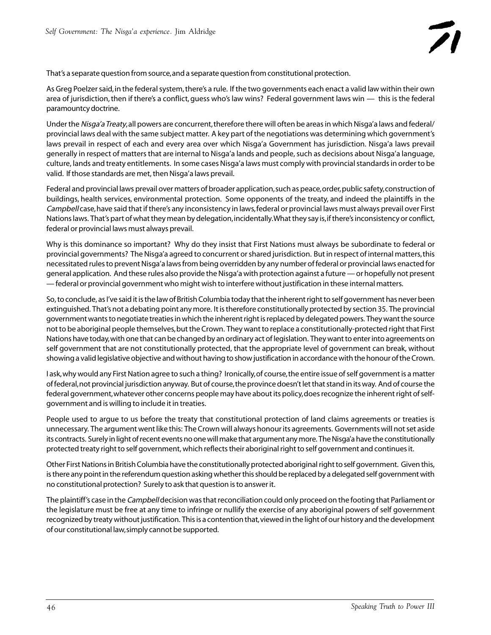That's a separate question from source, and a separate question from constitutional protection.

As Greg Poelzer said, in the federal system, there's a rule. If the two governments each enact a valid law within their own area of jurisdiction, then if there's a conflict, guess who's law wins? Federal government laws win — this is the federal paramountcy doctrine.

Under the Nisga'a Treaty, all powers are concurrent, therefore there will often be areas in which Nisga'a laws and federal/ provincial laws deal with the same subject matter. A key part of the negotiations was determining which government's laws prevail in respect of each and every area over which Nisga'a Government has jurisdiction. Nisga'a laws prevail generally in respect of matters that are internal to Nisga'a lands and people, such as decisions about Nisga'a language, culture, lands and treaty entitlements. In some cases Nisga'a laws must comply with provincial standards in order to be valid. If those standards are met, then Nisga'a laws prevail.

Federal and provincial laws prevail over matters of broader application, such as peace, order, public safety, construction of buildings, health services, environmental protection. Some opponents of the treaty, and indeed the plaintiffs in the Campbell case, have said that if there's any inconsistency in laws, federal or provincial laws must always prevail over First Nations laws. That's part of what they mean by delegation, incidentally. What they say is, if there's inconsistency or conflict, federal or provincial laws must always prevail.

Why is this dominance so important? Why do they insist that First Nations must always be subordinate to federal or provincial governments? The Nisga'a agreed to concurrent or shared jurisdiction. But in respect of internal matters, this necessitated rules to prevent Nisga'a laws from being overridden by any number of federal or provincial laws enacted for general application. And these rules also provide the Nisga'a with protection against a future — or hopefully not present — federal or provincial government who might wish to interfere without justification in these internal matters.

So, to conclude, as I've said it is the law of British Columbia today that the inherent right to self government has never been extinguished. That's not a debating point any more. It is therefore constitutionally protected by section 35. The provincial government wants to negotiate treaties in which the inherent right is replaced by delegated powers. They want the source not to be aboriginal people themselves, but the Crown. They want to replace a constitutionally-protected right that First Nations have today, with one that can be changed by an ordinary act of legislation. They want to enter into agreements on self government that are not constitutionally protected, that the appropriate level of government can break, without showing a valid legislative objective and without having to show justification in accordance with the honour of the Crown.

I ask, why would any First Nation agree to such a thing? Ironically, of course, the entire issue of self government is a matter of federal, not provincial jurisdiction anyway. But of course, the province doesn't let that stand in its way. And of course the federal government, whatever other concerns people may have about its policy, does recognize the inherent right of selfgovernment and is willing to include it in treaties.

People used to argue to us before the treaty that constitutional protection of land claims agreements or treaties is unnecessary. The argument went like this: The Crown will always honour its agreements. Governments will not set aside its contracts. Surely in light of recent events no one will make that argument any more. The Nisga'a have the constitutionally protected treaty right to self government, which reflects their aboriginal right to self government and continues it.

Other First Nations in British Columbia have the constitutionally protected aboriginal right to self government. Given this, is there any point in the referendum question asking whether this should be replaced by a delegated self government with no constitutional protection? Surely to ask that question is to answer it.

The plaintiff's case in the *Campbell* decision was that reconciliation could only proceed on the footing that Parliament or the legislature must be free at any time to infringe or nullify the exercise of any aboriginal powers of self government recognized by treaty without justification. This is a contention that, viewed in the light of our history and the development of our constitutional law, simply cannot be supported.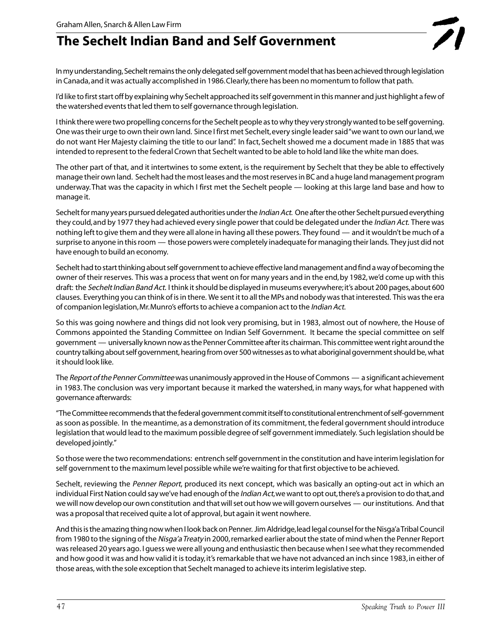# **The Sechelt Indian Band and Self Government**

In my understanding, Sechelt remains the only delegated self government model that has been achieved through legislation in Canada, and it was actually accomplished in 1986. Clearly, there has been no momentum to follow that path.

I'd like to first start off by explaining why Sechelt approached its self government in this manner and just highlight a few of the watershed events that led them to self governance through legislation.

I think there were two propelling concerns for the Sechelt people as to why they very strongly wanted to be self governing. One was their urge to own their own land. Since I first met Sechelt, every single leader said "we want to own our land, we do not want Her Majesty claiming the title to our land". In fact, Sechelt showed me a document made in 1885 that was intended to represent to the federal Crown that Sechelt wanted to be able to hold land like the white man does.

The other part of that, and it intertwines to some extent, is the requirement by Sechelt that they be able to effectively manage their own land. Sechelt had the most leases and the most reserves in BC and a huge land management program underway. That was the capacity in which I first met the Sechelt people — looking at this large land base and how to manage it.

Sechelt for many years pursued delegated authorities under the *Indian Act*. One after the other Sechelt pursued everything they could, and by 1977 they had achieved every single power that could be delegated under the Indian Act. There was nothing left to give them and they were all alone in having all these powers. They found — and it wouldn't be much of a surprise to anyone in this room — those powers were completely inadequate for managing their lands. They just did not have enough to build an economy.

Sechelt had to start thinking about self government to achieve effective land management and find a way of becoming the owner of their reserves. This was a process that went on for many years and in the end, by 1982, we'd come up with this draft: the Sechelt Indian Band Act. I think it should be displayed in museums everywhere; it's about 200 pages, about 600 clauses. Everything you can think of is in there. We sent it to all the MPs and nobody was that interested. This was the era of companion legislation, Mr. Munro's efforts to achieve a companion act to the Indian Act.

So this was going nowhere and things did not look very promising, but in 1983, almost out of nowhere, the House of Commons appointed the Standing Committee on Indian Self Government. It became the special committee on self government — universally known now as the Penner Committee after its chairman. This committee went right around the country talking about self government, hearing from over 500 witnesses as to what aboriginal government should be, what it should look like.

The Report of the Penner Committee was unanimously approved in the House of Commons — a significant achievement in 1983. The conclusion was very important because it marked the watershed, in many ways, for what happened with governance afterwards:

"The Committee recommends that the federal government commit itself to constitutional entrenchment of self-government as soon as possible. In the meantime, as a demonstration of its commitment, the federal government should introduce legislation that would lead to the maximum possible degree of self government immediately. Such legislation should be developed jointly."

So those were the two recommendations: entrench self government in the constitution and have interim legislation for self government to the maximum level possible while we're waiting for that first objective to be achieved.

Sechelt, reviewing the Penner Report, produced its next concept, which was basically an opting-out act in which an individual First Nation could say we've had enough of the Indian Act, we want to opt out, there's a provision to do that, and we will now develop our own constitution and that will set out how we will govern ourselves — our institutions. And that was a proposal that received quite a lot of approval, but again it went nowhere.

And this is the amazing thing now when I look back on Penner. Jim Aldridge, lead legal counsel for the Nisga'a Tribal Council from 1980 to the signing of the Nisga'a Treaty in 2000, remarked earlier about the state of mind when the Penner Report was released 20 years ago. I guess we were all young and enthusiastic then because when I see what they recommended and how good it was and how valid it is today, it's remarkable that we have not advanced an inch since 1983, in either of those areas, with the sole exception that Sechelt managed to achieve its interim legislative step.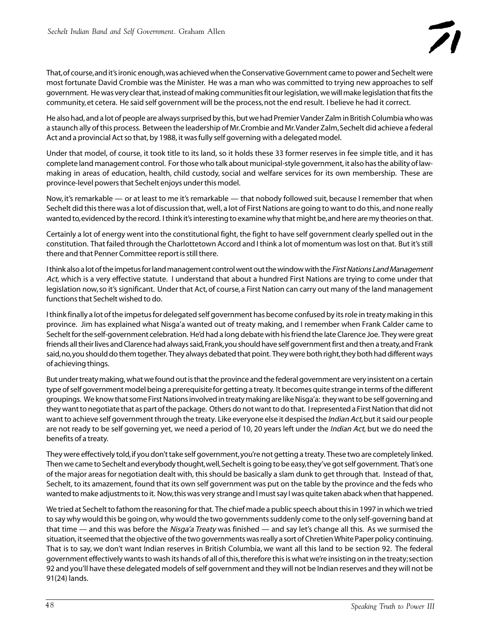That, of course, and it's ironic enough, was achieved when the Conservative Government came to power and Sechelt were most fortunate David Crombie was the Minister. He was a man who was committed to trying new approaches to self government. He was very clear that, instead of making communities fit our legislation, we will make legislation that fits the community, et cetera. He said self government will be the process, not the end result. I believe he had it correct.

He also had, and a lot of people are always surprised by this, but we had Premier Vander Zalm in British Columbia who was a staunch ally of this process. Between the leadership of Mr. Crombie and Mr. Vander Zalm, Sechelt did achieve a federal Act and a provincial Act so that, by 1988, it was fully self governing with a delegated model.

Under that model, of course, it took title to its land, so it holds these 33 former reserves in fee simple title, and it has complete land management control. For those who talk about municipal-style government, it also has the ability of lawmaking in areas of education, health, child custody, social and welfare services for its own membership. These are province-level powers that Sechelt enjoys under this model.

Now, it's remarkable — or at least to me it's remarkable — that nobody followed suit, because I remember that when Sechelt did this there was a lot of discussion that, well, a lot of First Nations are going to want to do this, and none really wanted to, evidenced by the record. I think it's interesting to examine why that might be, and here are my theories on that.

Certainly a lot of energy went into the constitutional fight, the fight to have self government clearly spelled out in the constitution. That failed through the Charlottetown Accord and I think a lot of momentum was lost on that. But it's still there and that Penner Committee report is still there.

I think also a lot of the impetus for land management control went out the window with the First Nations Land Management Act, which is a very effective statute. I understand that about a hundred First Nations are trying to come under that legislation now, so it's significant. Under that Act, of course, a First Nation can carry out many of the land management functions that Sechelt wished to do.

I think finally a lot of the impetus for delegated self government has become confused by its role in treaty making in this province. Jim has explained what Nisga'a wanted out of treaty making, and I remember when Frank Calder came to Sechelt for the self-government celebration. He'd had a long debate with his friend the late Clarence Joe. They were great friends all their lives and Clarence had always said, Frank, you should have self government first and then a treaty, and Frank said, no, you should do them together. They always debated that point. They were both right, they both had different ways of achieving things.

But under treaty making, what we found out is that the province and the federal government are very insistent on a certain type of self government model being a prerequisite for getting a treaty. It becomes quite strange in terms of the different groupings. We know that some First Nations involved in treaty making are like Nisga'a: they want to be self governing and they want to negotiate that as part of the package. Others do not want to do that. I represented a First Nation that did not want to achieve self government through the treaty. Like everyone else it despised the *Indian Act*, but it said our people are not ready to be self governing yet, we need a period of 10, 20 years left under the *Indian Act*, but we do need the benefits of a treaty.

They were effectively told, if you don't take self government, you're not getting a treaty. These two are completely linked. Then we came to Sechelt and everybody thought, well, Sechelt is going to be easy, they've got self government. That's one of the major areas for negotiation dealt with, this should be basically a slam dunk to get through that. Instead of that, Sechelt, to its amazement, found that its own self government was put on the table by the province and the feds who wanted to make adjustments to it. Now, this was very strange and I must say I was quite taken aback when that happened.

We tried at Sechelt to fathom the reasoning for that. The chief made a public speech about this in 1997 in which we tried to say why would this be going on, why would the two governments suddenly come to the only self-governing band at that time — and this was before the Nisga'a Treaty was finished — and say let's change all this. As we surmised the situation, it seemed that the objective of the two governments was really a sort of Chretien White Paper policy continuing. That is to say, we don't want Indian reserves in British Columbia, we want all this land to be section 92. The federal government effectively wants to wash its hands of all of this, therefore this is what we're insisting on in the treaty; section 92 and you'll have these delegated models of self government and they will not be Indian reserves and they will not be 91(24) lands.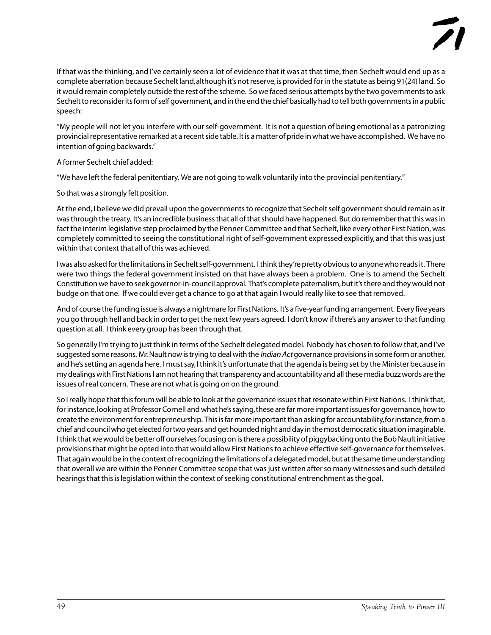If that was the thinking, and I've certainly seen a lot of evidence that it was at that time, then Sechelt would end up as a complete aberration because Sechelt land, although it's not reserve, is provided for in the statute as being 91(24) land. So it would remain completely outside the rest of the scheme. So we faced serious attempts by the two governments to ask Sechelt to reconsider its form of self government, and in the end the chief basically had to tell both governments in a public speech:

"My people will not let you interfere with our self-government. It is not a question of being emotional as a patronizing provincial representative remarked at a recent side table. It is a matter of pride in what we have accomplished. We have no intention of going backwards."

A former Sechelt chief added:

"We have left the federal penitentiary. We are not going to walk voluntarily into the provincial penitentiary."

So that was a strongly felt position.

At the end, I believe we did prevail upon the governments to recognize that Sechelt self government should remain as it was through the treaty. It's an incredible business that all of that should have happened. But do remember that this was in fact the interim legislative step proclaimed by the Penner Committee and that Sechelt, like every other First Nation, was completely committed to seeing the constitutional right of self-government expressed explicitly, and that this was just within that context that all of this was achieved.

I was also asked for the limitations in Sechelt self-government. I think they're pretty obvious to anyone who reads it. There were two things the federal government insisted on that have always been a problem. One is to amend the Sechelt Constitution we have to seek governor-in-council approval. That's complete paternalism, but it's there and they would not budge on that one. If we could ever get a chance to go at that again I would really like to see that removed.

And of course the funding issue is always a nightmare for First Nations. It's a five-year funding arrangement. Every five years you go through hell and back in order to get the next few years agreed. I don't know if there's any answer to that funding question at all. I think every group has been through that.

So generally I'm trying to just think in terms of the Sechelt delegated model. Nobody has chosen to follow that, and I've suggested some reasons. Mr. Nault now is trying to deal with the *Indian Act* governance provisions in some form or another, and he's setting an agenda here. I must say, I think it's unfortunate that the agenda is being set by the Minister because in my dealings with First Nations I am not hearing that transparency and accountability and all these media buzz words are the issues of real concern. These are not what is going on on the ground.

So I really hope that this forum will be able to look at the governance issues that resonate within First Nations. I think that, for instance, looking at Professor Cornell and what he's saying, these are far more important issues for governance, how to create the environment for entrepreneurship. This is far more important than asking for accountability, for instance, from a chief and council who get elected for two years and get hounded night and day in the most democratic situation imaginable. I think that we would be better off ourselves focusing on is there a possibility of piggybacking onto the Bob Nault initiative provisions that might be opted into that would allow First Nations to achieve effective self-governance for themselves. That again would be in the context of recognizing the limitations of a delegated model, but at the same time understanding that overall we are within the Penner Committee scope that was just written after so many witnesses and such detailed hearings that this is legislation within the context of seeking constitutional entrenchment as the goal.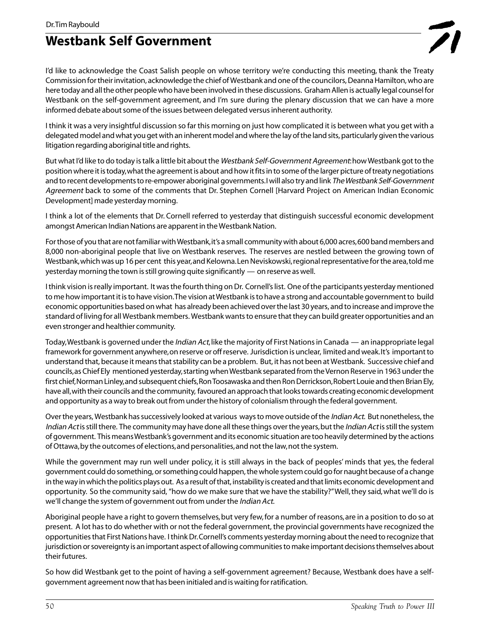# **Westbank Self Government**

I'd like to acknowledge the Coast Salish people on whose territory we're conducting this meeting, thank the Treaty Commission for their invitation, acknowledge the chief of Westbank and one of the councilors, Deanna Hamilton, who are here today and all the other people who have been involved in these discussions. Graham Allen is actually legal counsel for Westbank on the self-government agreement, and I'm sure during the plenary discussion that we can have a more informed debate about some of the issues between delegated versus inherent authority.

I think it was a very insightful discussion so far this morning on just how complicated it is between what you get with a delegated model and what you get with an inherent model and where the lay of the land sits, particularly given the various litigation regarding aboriginal title and rights.

But what I'd like to do today is talk a little bit about the Westbank Self-Government Agreement: how Westbank got to the position where it is today, what the agreement is about and how it fits in to some of the larger picture of treaty negotiations and to recent developments to re-empower aboriginal governments. I will also try and link The Westbank Self-Government Agreement back to some of the comments that Dr. Stephen Cornell [Harvard Project on American Indian Economic Development] made yesterday morning.

I think a lot of the elements that Dr. Cornell referred to yesterday that distinguish successful economic development amongst American Indian Nations are apparent in the Westbank Nation.

For those of you that are not familiar with Westbank, it's a small community with about 6,000 acres, 600 band members and 8,000 non-aboriginal people that live on Westbank reserves. The reserves are nestled between the growing town of Westbank, which was up 16 per cent this year, and Kelowna. Len Neviskowski, regional representative for the area, told me yesterday morning the town is still growing quite significantly — on reserve as well.

I think vision is really important. It was the fourth thing on Dr. Cornell's list. One of the participants yesterday mentioned to me how important it is to have vision. The vision at Westbank is to have a strong and accountable government to build economic opportunities based on what has already been achieved over the last 30 years, and to increase and improve the standard of living for all Westbank members. Westbank wants to ensure that they can build greater opportunities and an even stronger and healthier community.

Today, Westbank is governed under the *Indian Act*, like the majority of First Nations in Canada — an inappropriate legal framework for government anywhere, on reserve or off reserve. Jurisdiction is unclear, limited and weak. It's important to understand that, because it means that stability can be a problem. But, it has not been at Westbank. Successive chief and councils, as Chief Ely mentioned yesterday, starting when Westbank separated from the Vernon Reserve in 1963 under the first chief, Norman Linley, and subsequent chiefs, Ron Toosawaska and then Ron Derrickson, Robert Louie and then Brian Ely, have all, with their councils and the community, favoured an approach that looks towards creating economic development and opportunity as a way to break out from under the history of colonialism through the federal government.

Over the years, Westbank has successively looked at various ways to move outside of the *Indian Act*. But nonetheless, the Indian Act is still there. The community may have done all these things over the years, but the Indian Act is still the system of government. This means Westbank's government and its economic situation are too heavily determined by the actions of Ottawa, by the outcomes of elections, and personalities, and not the law, not the system.

While the government may run well under policy, it is still always in the back of peoples' minds that yes, the federal government could do something, or something could happen, the whole system could go for naught because of a change in the way in which the politics plays out. As a result of that, instability is created and that limits economic development and opportunity. So the community said, "how do we make sure that we have the stability?" Well, they said, what we'll do is we'll change the system of government out from under the Indian Act.

Aboriginal people have a right to govern themselves, but very few, for a number of reasons, are in a position to do so at present. A lot has to do whether with or not the federal government, the provincial governments have recognized the opportunities that First Nations have. I think Dr. Cornell's comments yesterday morning about the need to recognize that jurisdiction or sovereignty is an important aspect of allowing communities to make important decisions themselves about their futures.

So how did Westbank get to the point of having a self-government agreement? Because, Westbank does have a selfgovernment agreement now that has been initialed and is waiting for ratification.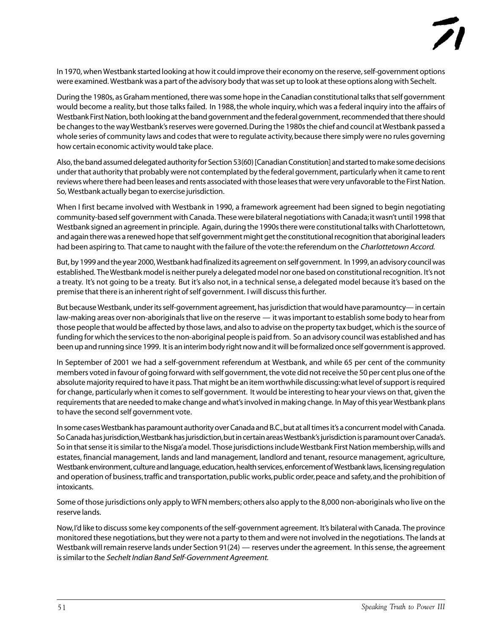In 1970, when Westbank started looking at how it could improve their economy on the reserve, self-government options were examined. Westbank was a part of the advisory body that was set up to look at these options along with Sechelt.

During the 1980s, as Graham mentioned, there was some hope in the Canadian constitutional talks that self government would become a reality, but those talks failed. In 1988, the whole inquiry, which was a federal inquiry into the affairs of Westbank First Nation, both looking at the band government and the federal government, recommended that there should be changes to the way Westbank's reserves were governed. During the 1980s the chief and council at Westbank passed a whole series of community laws and codes that were to regulate activity, because there simply were no rules governing how certain economic activity would take place.

Also, the band assumed delegated authority for Section 53(60) [Canadian Constitution] and started to make some decisions under that authority that probably were not contemplated by the federal government, particularly when it came to rent reviews where there had been leases and rents associated with those leases that were very unfavorable to the First Nation. So, Westbank actually began to exercise jurisdiction.

When I first became involved with Westbank in 1990, a framework agreement had been signed to begin negotiating community-based self government with Canada. These were bilateral negotiations with Canada; it wasn't until 1998 that Westbank signed an agreement in principle. Again, during the 1990s there were constitutional talks with Charlottetown, and again there was a renewed hope that self government might get the constitutional recognition that aboriginal leaders had been aspiring to. That came to naught with the failure of the vote: the referendum on the Charlottetown Accord.

But, by 1999 and the year 2000, Westbank had finalized its agreement on self government. In 1999, an advisory council was established. The Westbank model is neither purely a delegated model nor one based on constitutional recognition. It's not a treaty. It's not going to be a treaty. But it's also not, in a technical sense, a delegated model because it's based on the premise that there is an inherent right of self government. I will discuss this further.

But because Westbank, under its self-government agreement, has jurisdiction that would have paramountcy— in certain law-making areas over non-aboriginals that live on the reserve — it was important to establish some body to hear from those people that would be affected by those laws, and also to advise on the property tax budget, which is the source of funding for which the services to the non-aboriginal people is paid from. So an advisory council was established and has been up and running since 1999. It is an interim body right now and it will be formalized once self government is approved.

In September of 2001 we had a self-government referendum at Westbank, and while 65 per cent of the community members voted in favour of going forward with self government, the vote did not receive the 50 per cent plus one of the absolute majority required to have it pass. That might be an item worthwhile discussing: what level of support is required for change, particularly when it comes to self government. It would be interesting to hear your views on that, given the requirements that are needed to make change and what's involved in making change. In May of this year Westbank plans to have the second self government vote.

In some cases Westbank has paramount authority over Canada and B.C., but at all times it's a concurrent model with Canada. So Canada has jurisdiction, Westbank has jurisdiction, but in certain areas Westbank's jurisdiction is paramount over Canada's. So in that sense it is similar to the Nisga'a model. Those jurisdictions include Westbank First Nation membership, wills and estates, financial management, lands and land management, landlord and tenant, resource management, agriculture, Westbank environment, culture and language, education, health services, enforcement of Westbank laws, licensing regulation and operation of business, traffic and transportation, public works, public order, peace and safety, and the prohibition of intoxicants.

Some of those jurisdictions only apply to WFN members; others also apply to the 8,000 non-aboriginals who live on the reserve lands.

Now, I'd like to discuss some key components of the self-government agreement. It's bilateral with Canada. The province monitored these negotiations, but they were not a party to them and were not involved in the negotiations. The lands at Westbank will remain reserve lands under Section 91(24) — reserves under the agreement. In this sense, the agreement is similar to the Sechelt Indian Band Self-Government Agreement.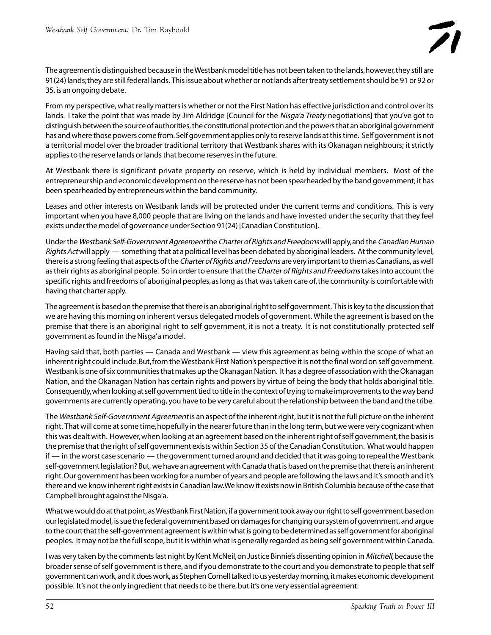The agreement is distinguished because in the Westbank model title has not been taken to the lands, however, they still are 91(24) lands; they are still federal lands. This issue about whether or not lands after treaty settlement should be 91 or 92 or 35, is an ongoing debate.

From my perspective, what really matters is whether or not the First Nation has effective jurisdiction and control over its lands. I take the point that was made by Jim Aldridge [Council for the Nisga'a Treaty negotiations] that you've got to distinguish between the source of authorities, the constitutional protection and the powers that an aboriginal government has and where those powers come from. Self government applies only to reserve lands at this time. Self government is not a territorial model over the broader traditional territory that Westbank shares with its Okanagan neighbours; it strictly applies to the reserve lands or lands that become reserves in the future.

At Westbank there is significant private property on reserve, which is held by individual members. Most of the entrepreneurship and economic development on the reserve has not been spearheaded by the band government; it has been spearheaded by entrepreneurs within the band community.

Leases and other interests on Westbank lands will be protected under the current terms and conditions. This is very important when you have 8,000 people that are living on the lands and have invested under the security that they feel exists under the model of governance under Section 91(24) [Canadian Constitution].

Under the Westbank Self-Government Agreement the Charter of Rights and Freedoms will apply, and the Canadian Human Rights Act will apply — something that at a political level has been debated by aboriginal leaders. At the community level, there is a strong feeling that aspects of the Charter of Rights and Freedoms are very important to them as Canadians, as well as their rights as aboriginal people. So in order to ensure that the Charter of Rights and Freedoms takes into account the specific rights and freedoms of aboriginal peoples, as long as that was taken care of, the community is comfortable with having that charter apply.

The agreement is based on the premise that there is an aboriginal right to self government. This is key to the discussion that we are having this morning on inherent versus delegated models of government. While the agreement is based on the premise that there is an aboriginal right to self government, it is not a treaty. It is not constitutionally protected self government as found in the Nisga'a model.

Having said that, both parties — Canada and Westbank — view this agreement as being within the scope of what an inherent right could include. But, from the Westbank First Nation's perspective it is not the final word on self government. Westbank is one of six communities that makes up the Okanagan Nation. It has a degree of association with the Okanagan Nation, and the Okanagan Nation has certain rights and powers by virtue of being the body that holds aboriginal title. Consequently, when looking at self government tied to title in the context of trying to make improvements to the way band governments are currently operating, you have to be very careful about the relationship between the band and the tribe.

The Westbank Self-Government Agreement is an aspect of the inherent right, but it is not the full picture on the inherent right. That will come at some time, hopefully in the nearer future than in the long term, but we were very cognizant when this was dealt with. However, when looking at an agreement based on the inherent right of self government, the basis is the premise that the right of self government exists within Section 35 of the Canadian Constitution. What would happen if — in the worst case scenario — the government turned around and decided that it was going to repeal the Westbank self-government legislation? But, we have an agreement with Canada that is based on the premise that there is an inherent right. Our government has been working for a number of years and people are following the laws and it's smooth and it's there and we know inherent right exists in Canadian law. We know it exists now in British Columbia because of the case that Campbell brought against the Nisga'a.

What we would do at that point, as Westbank First Nation, if a government took away our right to self government based on our legislated model, is sue the federal government based on damages for changing our system of government, and argue to the court that the self-government agreement is within what is going to be determined as self government for aboriginal peoples. It may not be the full scope, but it is within what is generally regarded as being self government within Canada.

I was very taken by the comments last night by Kent McNeil, on Justice Binnie's dissenting opinion in Mitchell, because the broader sense of self government is there, and if you demonstrate to the court and you demonstrate to people that self government can work, and it does work, as Stephen Cornell talked to us yesterday morning, it makes economic development possible. It's not the only ingredient that needs to be there, but it's one very essential agreement.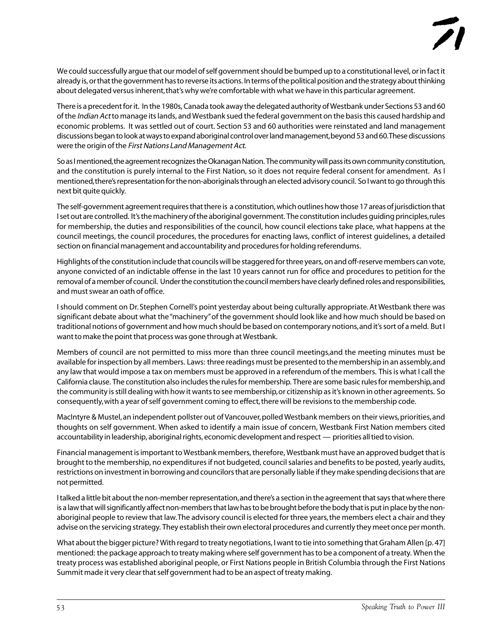We could successfully argue that our model of self government should be bumped up to a constitutional level, or in fact it already is, or that the government has to reverse its actions. In terms of the political position and the strategy about thinking about delegated versus inherent, that's why we're comfortable with what we have in this particular agreement.

There is a precedent for it. In the 1980s, Canada took away the delegated authority of Westbank under Sections 53 and 60 of the *Indian Act* to manage its lands, and Westbank sued the federal government on the basis this caused hardship and economic problems. It was settled out of court. Section 53 and 60 authorities were reinstated and land management discussions began to look at ways to expand aboriginal control over land management, beyond 53 and 60. These discussions were the origin of the First Nations Land Management Act.

So as I mentioned, the agreement recognizes the Okanagan Nation. The community will pass its own community constitution, and the constitution is purely internal to the First Nation, so it does not require federal consent for amendment. As I mentioned, there's representation for the non-aboriginals through an elected advisory council. So I want to go through this next bit quite quickly.

The self-government agreement requires that there is a constitution, which outlines how those 17 areas of jurisdiction that I set out are controlled. It's the machinery of the aboriginal government. The constitution includes guiding principles, rules for membership, the duties and responsibilities of the council, how council elections take place, what happens at the council meetings, the council procedures, the procedures for enacting laws, conflict of interest guidelines, a detailed section on financial management and accountability and procedures for holding referendums.

Highlights of the constitution include that councils will be staggered for three years, on and off-reserve members can vote, anyone convicted of an indictable offense in the last 10 years cannot run for office and procedures to petition for the removal of a member of council. Under the constitution the council members have clearly defined roles and responsibilities, and must swear an oath of office.

I should comment on Dr. Stephen Cornell's point yesterday about being culturally appropriate. At Westbank there was significant debate about what the "machinery" of the government should look like and how much should be based on traditional notions of government and how much should be based on contemporary notions, and it's sort of a meld. But I want to make the point that process was gone through at Westbank.

Members of council are not permitted to miss more than three council meetings,and the meeting minutes must be available for inspection by all members. Laws: three readings must be presented to the membership in an assembly, and any law that would impose a tax on members must be approved in a referendum of the members. This is what I call the California clause. The constitution also includes the rules for membership. There are some basic rules for membership, and the community is still dealing with how it wants to see membership, or citizenship as it's known in other agreements. So consequently, with a year of self government coming to effect, there will be revisions to the membership code.

MacIntyre & Mustel, an independent pollster out of Vancouver, polled Westbank members on their views, priorities, and thoughts on self government. When asked to identify a main issue of concern, Westbank First Nation members cited accountability in leadership, aboriginal rights, economic development and respect — priorities all tied to vision.

Financial management is important to Westbank members, therefore, Westbank must have an approved budget that is brought to the membership, no expenditures if not budgeted, council salaries and benefits to be posted, yearly audits, restrictions on investment in borrowing and councilors that are personally liable if they make spending decisions that are not permitted.

I talked a little bit about the non-member representation, and there's a section in the agreement that says that where there is a law that will significantly affect non-members that law has to be brought before the body that is put in place by the nonaboriginal people to review that law. The advisory council is elected for three years, the members elect a chair and they advise on the servicing strategy. They establish their own electoral procedures and currently they meet once per month.

What about the bigger picture? With regard to treaty negotiations, I want to tie into something that Graham Allen [p. 47] mentioned: the package approach to treaty making where self government has to be a component of a treaty. When the treaty process was established aboriginal people, or First Nations people in British Columbia through the First Nations Summit made it very clear that self government had to be an aspect of treaty making.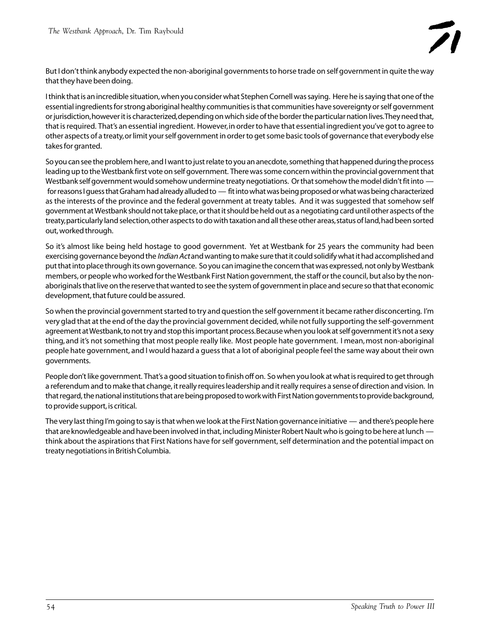But I don't think anybody expected the non-aboriginal governments to horse trade on self government in quite the way that they have been doing.

I think that is an incredible situation, when you consider what Stephen Cornell was saying. Here he is saying that one of the essential ingredients for strong aboriginal healthy communities is that communities have sovereignty or self government or jurisdiction, however it is characterized, depending on which side of the border the particular nation lives. They need that, that is required. That's an essential ingredient. However, in order to have that essential ingredient you've got to agree to other aspects of a treaty, or limit your self government in order to get some basic tools of governance that everybody else takes for granted.

So you can see the problem here, and I want to just relate to you an anecdote, something that happened during the process leading up to the Westbank first vote on self government. There was some concern within the provincial government that Westbank self government would somehow undermine treaty negotiations. Or that somehow the model didn't fit into  $$ for reasons I guess that Graham had already alluded to — fit into what was being proposed or what was being characterized as the interests of the province and the federal government at treaty tables. And it was suggested that somehow self government at Westbank should not take place, or that it should be held out as a negotiating card until other aspects of the treaty, particularly land selection, other aspects to do with taxation and all these other areas, status of land, had been sorted out, worked through.

So it's almost like being held hostage to good government. Yet at Westbank for 25 years the community had been exercising governance beyond the *Indian Act* and wanting to make sure that it could solidify what it had accomplished and put that into place through its own governance. So you can imagine the concern that was expressed, not only by Westbank members, or people who worked for the Westbank First Nation government, the staff or the council, but also by the nonaboriginals that live on the reserve that wanted to see the system of government in place and secure so that that economic development, that future could be assured.

So when the provincial government started to try and question the self government it became rather disconcerting. I'm very glad that at the end of the day the provincial government decided, while not fully supporting the self-government agreement at Westbank, to not try and stop this important process. Because when you look at self government it's not a sexy thing, and it's not something that most people really like. Most people hate government. I mean, most non-aboriginal people hate government, and I would hazard a guess that a lot of aboriginal people feel the same way about their own governments.

People don't like government. That's a good situation to finish off on. So when you look at what is required to get through a referendum and to make that change, it really requires leadership and it really requires a sense of direction and vision. In that regard, the national institutions that are being proposed to work with First Nation governments to provide background, to provide support, is critical.

The very last thing I'm going to say is that when we look at the First Nation governance initiative — and there's people here that are knowledgeable and have been involved in that, including Minister Robert Nault who is going to be here at lunch think about the aspirations that First Nations have for self government, self determination and the potential impact on treaty negotiations in British Columbia.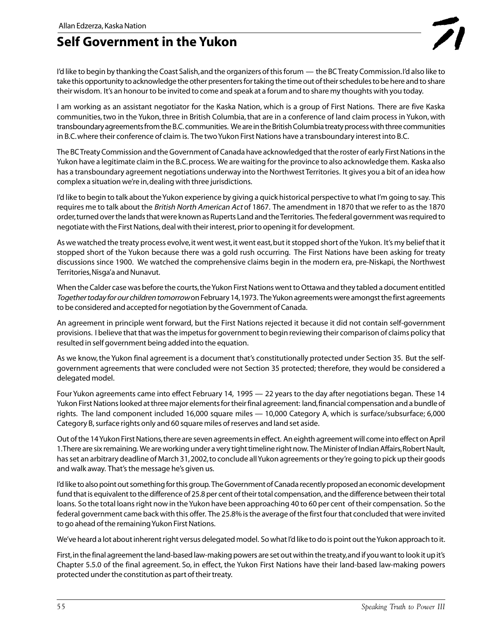# **Self Government in the Yukon**

I'd like to begin by thanking the Coast Salish, and the organizers of this forum — the BC Treaty Commission. I'd also like to take this opportunity to acknowledge the other presenters for taking the time out of their schedules to be here and to share their wisdom. It's an honour to be invited to come and speak at a forum and to share my thoughts with you today.

I am working as an assistant negotiator for the Kaska Nation, which is a group of First Nations. There are five Kaska communities, two in the Yukon, three in British Columbia, that are in a conference of land claim process in Yukon, with transboundary agreements from the B.C. communities. We are in the British Columbia treaty process with three communities in B.C. where their conference of claim is. The two Yukon First Nations have a transboundary interest into B.C.

The BC Treaty Commission and the Government of Canada have acknowledged that the roster of early First Nations in the Yukon have a legitimate claim in the B.C. process. We are waiting for the province to also acknowledge them. Kaska also has a transboundary agreement negotiations underway into the Northwest Territories. It gives you a bit of an idea how complex a situation we're in, dealing with three jurisdictions.

I'd like to begin to talk about the Yukon experience by giving a quick historical perspective to what I'm going to say. This requires me to talk about the British North American Act of 1867. The amendment in 1870 that we refer to as the 1870 order, turned over the lands that were known as Ruperts Land and the Territories. The federal government was required to negotiate with the First Nations, deal with their interest, prior to opening it for development.

As we watched the treaty process evolve, it went west, it went east, but it stopped short of the Yukon. It's my belief that it stopped short of the Yukon because there was a gold rush occurring. The First Nations have been asking for treaty discussions since 1900. We watched the comprehensive claims begin in the modern era, pre-Niskapi, the Northwest Territories, Nisga'a and Nunavut.

When the Calder case was before the courts, the Yukon First Nations went to Ottawa and they tabled a document entitled Together today for our children tomorrow on February 14, 1973. The Yukon agreements were amongst the first agreements to be considered and accepted for negotiation by the Government of Canada.

An agreement in principle went forward, but the First Nations rejected it because it did not contain self-government provisions. I believe that that was the impetus for government to begin reviewing their comparison of claims policy that resulted in self government being added into the equation.

As we know, the Yukon final agreement is a document that's constitutionally protected under Section 35. But the selfgovernment agreements that were concluded were not Section 35 protected; therefore, they would be considered a delegated model.

Four Yukon agreements came into effect February 14, 1995 — 22 years to the day after negotiations began. These 14 Yukon First Nations looked at three major elements for their final agreement: land, financial compensation and a bundle of rights. The land component included 16,000 square miles — 10,000 Category A, which is surface/subsurface; 6,000 Category B, surface rights only and 60 square miles of reserves and land set aside.

Out of the 14 Yukon First Nations, there are seven agreements in effect. An eighth agreement will come into effect on April 1. There are six remaining. We are working under a very tight timeline right now. The Minister of Indian Affairs, Robert Nault, has set an arbitrary deadline of March 31, 2002, to conclude all Yukon agreements or they're going to pick up their goods and walk away. That's the message he's given us.

I'd like to also point out something for this group. The Government of Canada recently proposed an economic development fund that is equivalent to the difference of 25.8 per cent of their total compensation, and the difference between their total loans. So the total loans right now in the Yukon have been approaching 40 to 60 per cent of their compensation. So the federal government came back with this offer. The 25.8% is the average of the first four that concluded that were invited to go ahead of the remaining Yukon First Nations.

We've heard a lot about inherent right versus delegated model. So what I'd like to do is point out the Yukon approach to it.

First, in the final agreement the land-based law-making powers are set out within the treaty, and if you want to look it up it's Chapter 5.5.0 of the final agreement. So, in effect, the Yukon First Nations have their land-based law-making powers protected under the constitution as part of their treaty.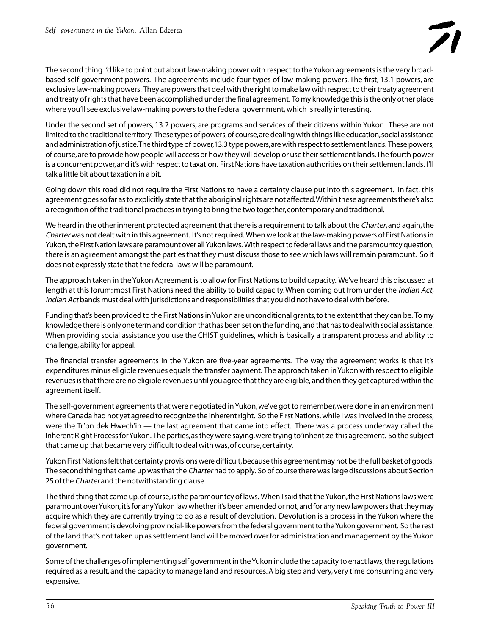The second thing I'd like to point out about law-making power with respect to the Yukon agreements is the very broadbased self-government powers. The agreements include four types of law-making powers. The first, 13.1 powers, are exclusive law-making powers. They are powers that deal with the right to make law with respect to their treaty agreement and treaty of rights that have been accomplished under the final agreement. To my knowledge this is the only other place where you'll see exclusive law-making powers to the federal government, which is really interesting.

Under the second set of powers, 13.2 powers, are programs and services of their citizens within Yukon. These are not limited to the traditional territory. These types of powers, of course, are dealing with things like education, social assistance and administration of justice. The third type of power,13.3 type powers, are with respect to settlement lands. These powers, of course, are to provide how people will access or how they will develop or use their settlement lands. The fourth power is a concurrent power, and it's with respect to taxation. First Nations have taxation authorities on their settlement lands. I'll talk a little bit about taxation in a bit.

Going down this road did not require the First Nations to have a certainty clause put into this agreement. In fact, this agreement goes so far as to explicitly state that the aboriginal rights are not affected. Within these agreements there's also a recognition of the traditional practices in trying to bring the two together, contemporary and traditional.

We heard in the other inherent protected agreement that there is a requirement to talk about the Charter, and again, the Charter was not dealt with in this agreement. It's not required. When we look at the law-making powers of First Nations in Yukon, the First Nation laws are paramount over all Yukon laws. With respect to federal laws and the paramountcy question, there is an agreement amongst the parties that they must discuss those to see which laws will remain paramount. So it does not expressly state that the federal laws will be paramount.

The approach taken in the Yukon Agreement is to allow for First Nations to build capacity. We've heard this discussed at length at this forum: most First Nations need the ability to build capacity. When coming out from under the *Indian Act*, Indian Act bands must deal with jurisdictions and responsibilities that you did not have to deal with before.

Funding that's been provided to the First Nations in Yukon are unconditional grants, to the extent that they can be. To my knowledge there is only one term and condition that has been set on the funding, and that has to deal with social assistance. When providing social assistance you use the CHIST guidelines, which is basically a transparent process and ability to challenge, ability for appeal.

The financial transfer agreements in the Yukon are five-year agreements. The way the agreement works is that it's expenditures minus eligible revenues equals the transfer payment. The approach taken in Yukon with respect to eligible revenues is that there are no eligible revenues until you agree that they are eligible, and then they get captured within the agreement itself.

The self-government agreements that were negotiated in Yukon, we've got to remember, were done in an environment where Canada had not yet agreed to recognize the inherent right. So the First Nations, while I was involved in the process, were the Tr'on dek Hwech'in — the last agreement that came into effect. There was a process underway called the Inherent Right Process for Yukon. The parties, as they were saying, were trying to 'inheritize' this agreement. So the subject that came up that became very difficult to deal with was, of course, certainty.

Yukon First Nations felt that certainty provisions were difficult, because this agreement may not be the full basket of goods. The second thing that came up was that the Charter had to apply. So of course there was large discussions about Section 25 of the Charter and the notwithstanding clause.

The third thing that came up, of course, is the paramountcy of laws. When I said that the Yukon, the First Nations laws were paramount over Yukon, it's for any Yukon law whether it's been amended or not, and for any new law powers that they may acquire which they are currently trying to do as a result of devolution. Devolution is a process in the Yukon where the federal government is devolving provincial-like powers from the federal government to the Yukon government. So the rest of the land that's not taken up as settlement land will be moved over for administration and management by the Yukon government.

Some of the challenges of implementing self government in the Yukon include the capacity to enact laws, the regulations required as a result, and the capacity to manage land and resources. A big step and very, very time consuming and very expensive.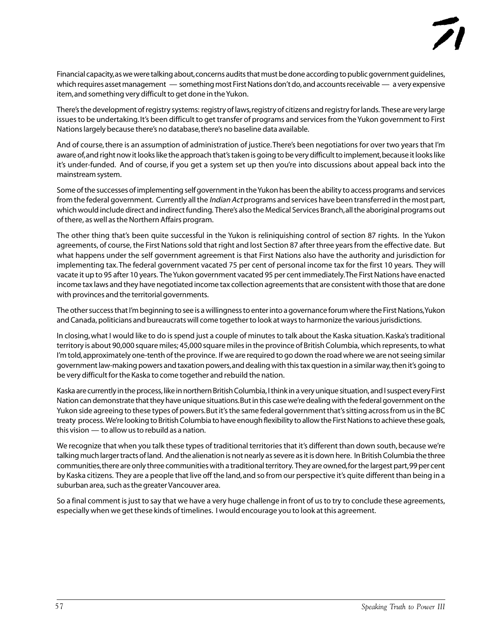Financial capacity, as we were talking about, concerns audits that must be done according to public government guidelines, which requires asset management — something most First Nations don't do, and accounts receivable — a very expensive item, and something very difficult to get done in the Yukon.

There's the development of registry systems: registry of laws, registry of citizens and registry for lands. These are very large issues to be undertaking. It's been difficult to get transfer of programs and services from the Yukon government to First Nations largely because there's no database, there's no baseline data available.

And of course, there is an assumption of administration of justice. There's been negotiations for over two years that I'm aware of, and right now it looks like the approach that's taken is going to be very difficult to implement, because it looks like it's under-funded. And of course, if you get a system set up then you're into discussions about appeal back into the mainstream system.

Some of the successes of implementing self government in the Yukon has been the ability to access programs and services from the federal government. Currently all the *Indian Act* programs and services have been transferred in the most part, which would include direct and indirect funding. There's also the Medical Services Branch, all the aboriginal programs out of there, as well as the Northern Affairs program.

The other thing that's been quite successful in the Yukon is reliniquishing control of section 87 rights. In the Yukon agreements, of course, the First Nations sold that right and lost Section 87 after three years from the effective date. But what happens under the self government agreement is that First Nations also have the authority and jurisdiction for implementing tax. The federal government vacated 75 per cent of personal income tax for the first 10 years. They will vacate it up to 95 after 10 years. The Yukon government vacated 95 per cent immediately. The First Nations have enacted income tax laws and they have negotiated income tax collection agreements that are consistent with those that are done with provinces and the territorial governments.

The other success that I'm beginning to see is a willingness to enter into a governance forum where the First Nations, Yukon and Canada, politicians and bureaucrats will come together to look at ways to harmonize the various jurisdictions.

In closing, what I would like to do is spend just a couple of minutes to talk about the Kaska situation. Kaska's traditional territory is about 90,000 square miles; 45,000 square miles in the province of British Columbia, which represents, to what I'm told, approximately one-tenth of the province. If we are required to go down the road where we are not seeing similar government law-making powers and taxation powers, and dealing with this tax question in a similar way, then it's going to be very difficult for the Kaska to come together and rebuild the nation.

Kaska are currently in the process, like in northern British Columbia, I think in a very unique situation, and I suspect every First Nation can demonstrate that they have unique situations. But in this case we're dealing with the federal government on the Yukon side agreeing to these types of powers. But it's the same federal government that's sitting across from us in the BC treaty process. We're looking to British Columbia to have enough flexibility to allow the First Nations to achieve these goals, this vision — to allow us to rebuild as a nation.

We recognize that when you talk these types of traditional territories that it's different than down south, because we're talking much larger tracts of land. And the alienation is not nearly as severe as it is down here. In British Columbia the three communities, there are only three communities with a traditional territory. They are owned, for the largest part, 99 per cent by Kaska citizens. They are a people that live off the land, and so from our perspective it's quite different than being in a suburban area, such as the greater Vancouver area.

So a final comment is just to say that we have a very huge challenge in front of us to try to conclude these agreements, especially when we get these kinds of timelines. I would encourage you to look at this agreement.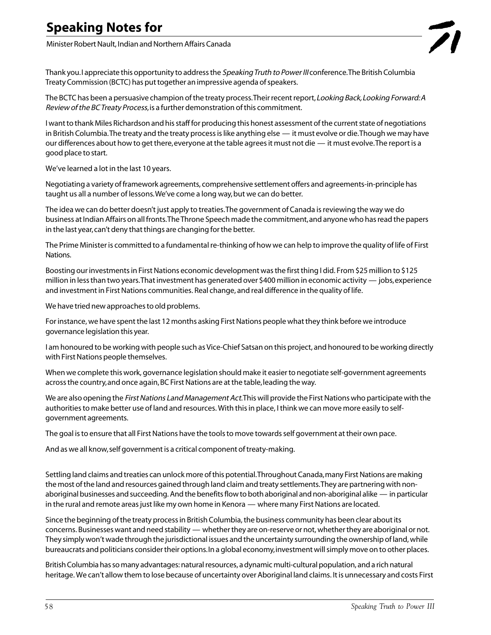# **Speaking Notes for**

Minister Robert Nault, Indian and Northern Affairs Canada

The BCTC has been a persuasive champion of the treaty process. Their recent report, Looking Back, Looking Forward: A Review of the BC Treaty Process, is a further demonstration of this commitment.

I want to thank Miles Richardson and his staff for producing this honest assessment of the current state of negotiations in British Columbia. The treaty and the treaty process is like anything else — it must evolve or die. Though we may have our differences about how to get there, everyone at the table agrees it must not die — it must evolve. The report is a good place to start.

We've learned a lot in the last 10 years.

Negotiating a variety of framework agreements, comprehensive settlement offers and agreements-in-principle has taught us all a number of lessons. We've come a long way, but we can do better.

The idea we can do better doesn't just apply to treaties. The government of Canada is reviewing the way we do business at Indian Affairs on all fronts. The Throne Speech made the commitment, and anyone who has read the papers in the last year, can't deny that things are changing for the better.

The Prime Minister is committed to a fundamental re-thinking of how we can help to improve the quality of life of First Nations.

Boosting our investments in First Nations economic development was the first thing I did. From \$25 million to \$125 million in less than two years. That investment has generated over \$400 million in economic activity — jobs, experience and investment in First Nations communities. Real change, and real difference in the quality of life.

We have tried new approaches to old problems.

For instance, we have spent the last 12 months asking First Nations people what they think before we introduce governance legislation this year.

I am honoured to be working with people such as Vice-Chief Satsan on this project, and honoured to be working directly with First Nations people themselves.

When we complete this work, governance legislation should make it easier to negotiate self-government agreements across the country, and once again, BC First Nations are at the table, leading the way.

We are also opening the First Nations Land Management Act. This will provide the First Nations who participate with the authorities to make better use of land and resources. With this in place, I think we can move more easily to selfgovernment agreements.

The goal is to ensure that all First Nations have the tools to move towards self government at their own pace.

And as we all know, self government is a critical component of treaty-making.

Settling land claims and treaties can unlock more of this potential. Throughout Canada, many First Nations are making the most of the land and resources gained through land claim and treaty settlements. They are partnering with nonaboriginal businesses and succeeding. And the benefits flow to both aboriginal and non-aboriginal alike — in particular in the rural and remote areas just like my own home in Kenora — where many First Nations are located.

Since the beginning of the treaty process in British Columbia, the business community has been clear about its concerns. Businesses want and need stability — whether they are on-reserve or not, whether they are aboriginal or not. They simply won't wade through the jurisdictional issues and the uncertainty surrounding the ownership of land, while bureaucrats and politicians consider their options. In a global economy, investment will simply move on to other places.

British Columbia has so many advantages: natural resources, a dynamic multi-cultural population, and a rich natural heritage. We can't allow them to lose because of uncertainty over Aboriginal land claims. It is unnecessary and costs First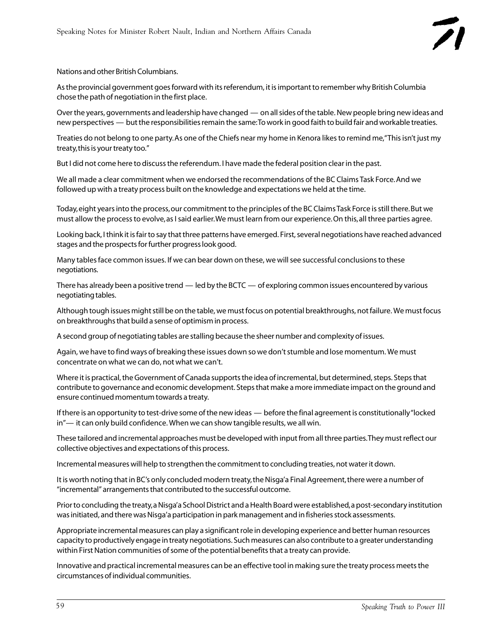Nations and other British Columbians.

As the provincial government goes forward with its referendum, it is important to remember why British Columbia chose the path of negotiation in the first place.

Over the years, governments and leadership have changed — on all sides of the table. New people bring new ideas and new perspectives — but the responsibilities remain the same: To work in good faith to build fair and workable treaties.

Treaties do not belong to one party. As one of the Chiefs near my home in Kenora likes to remind me, "This isn't just my treaty, this is your treaty too."

But I did not come here to discuss the referendum. I have made the federal position clear in the past.

We all made a clear commitment when we endorsed the recommendations of the BC Claims Task Force. And we followed up with a treaty process built on the knowledge and expectations we held at the time.

Today, eight years into the process, our commitment to the principles of the BC Claims Task Force is still there. But we must allow the process to evolve, as I said earlier. We must learn from our experience. On this, all three parties agree.

Looking back, I think it is fair to say that three patterns have emerged. First, several negotiations have reached advanced stages and the prospects for further progress look good.

Many tables face common issues. If we can bear down on these, we will see successful conclusions to these negotiations.

There has already been a positive trend — led by the BCTC — of exploring common issues encountered by various negotiating tables.

Although tough issues might still be on the table, we must focus on potential breakthroughs, not failure. We must focus on breakthroughs that build a sense of optimism in process.

A second group of negotiating tables are stalling because the sheer number and complexity of issues.

Again, we have to find ways of breaking these issues down so we don't stumble and lose momentum. We must concentrate on what we can do, not what we can't.

Where it is practical, the Government of Canada supports the idea of incremental, but determined, steps. Steps that contribute to governance and economic development. Steps that make a more immediate impact on the ground and ensure continued momentum towards a treaty.

If there is an opportunity to test-drive some of the new ideas — before the final agreement is constitutionally "locked in"— it can only build confidence. When we can show tangible results, we all win.

These tailored and incremental approaches must be developed with input from all three parties. They must reflect our collective objectives and expectations of this process.

Incremental measures will help to strengthen the commitment to concluding treaties, not water it down.

It is worth noting that in BC's only concluded modern treaty, the Nisga'a Final Agreement, there were a number of "incremental" arrangements that contributed to the successful outcome.

Prior to concluding the treaty, a Nisga'a School District and a Health Board were established, a post-secondary institution was initiated, and there was Nisga'a participation in park management and in fisheries stock assessments.

Appropriate incremental measures can play a significant role in developing experience and better human resources capacity to productively engage in treaty negotiations. Such measures can also contribute to a greater understanding within First Nation communities of some of the potential benefits that a treaty can provide.

Innovative and practical incremental measures can be an effective tool in making sure the treaty process meets the circumstances of individual communities.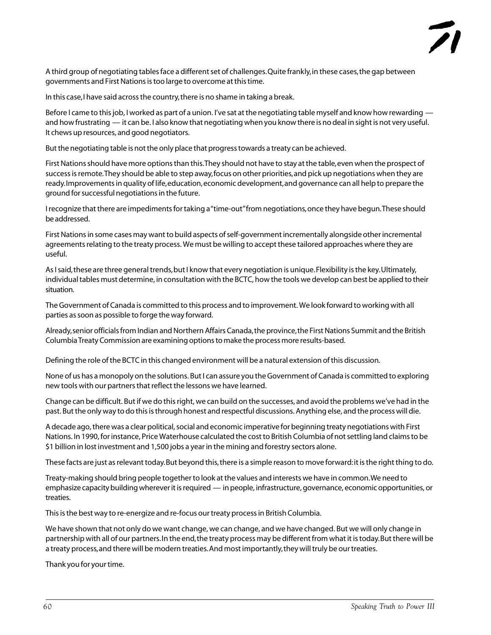A third group of negotiating tables face a different set of challenges. Quite frankly, in these cases, the gap between governments and First Nations is too large to overcome at this time.

In this case, I have said across the country, there is no shame in taking a break.

Before I came to this job, I worked as part of a union. I've sat at the negotiating table myself and know how rewarding and how frustrating — it can be. I also know that negotiating when you know there is no deal in sight is not very useful. It chews up resources, and good negotiators.

But the negotiating table is not the only place that progress towards a treaty can be achieved.

First Nations should have more options than this. They should not have to stay at the table, even when the prospect of success is remote. They should be able to step away, focus on other priorities, and pick up negotiations when they are ready. Improvements in quality of life, education, economic development, and governance can all help to prepare the ground for successful negotiations in the future.

I recognize that there are impediments for taking a "time-out" from negotiations, once they have begun. These should be addressed.

First Nations in some cases may want to build aspects of self-government incrementally alongside other incremental agreements relating to the treaty process. We must be willing to accept these tailored approaches where they are useful.

As I said, these are three general trends, but I know that every negotiation is unique. Flexibility is the key. Ultimately, individual tables must determine, in consultation with the BCTC, how the tools we develop can best be applied to their situation.

The Government of Canada is committed to this process and to improvement. We look forward to working with all parties as soon as possible to forge the way forward.

Already, senior officials from Indian and Northern Affairs Canada, the province, the First Nations Summit and the British Columbia Treaty Commission are examining options to make the process more results-based.

Defining the role of the BCTC in this changed environment will be a natural extension of this discussion.

None of us has a monopoly on the solutions. But I can assure you the Government of Canada is committed to exploring new tools with our partners that reflect the lessons we have learned.

Change can be difficult. But if we do this right, we can build on the successes, and avoid the problems we've had in the past. But the only way to do this is through honest and respectful discussions. Anything else, and the process will die.

A decade ago, there was a clear political, social and economic imperative for beginning treaty negotiations with First Nations. In 1990, for instance, Price Waterhouse calculated the cost to British Columbia of not settling land claims to be \$1 billion in lost investment and 1,500 jobs a year in the mining and forestry sectors alone.

These facts are just as relevant today. But beyond this, there is a simple reason to move forward: it is the right thing to do.

Treaty-making should bring people together to look at the values and interests we have in common. We need to emphasize capacity building wherever it is required — in people, infrastructure, governance, economic opportunities, or treaties.

This is the best way to re-energize and re-focus our treaty process in British Columbia.

We have shown that not only do we want change, we can change, and we have changed. But we will only change in partnership with all of our partners. In the end, the treaty process may be different from what it is today. But there will be a treaty process, and there will be modern treaties. And most importantly, they will truly be our treaties.

Thank you for your time.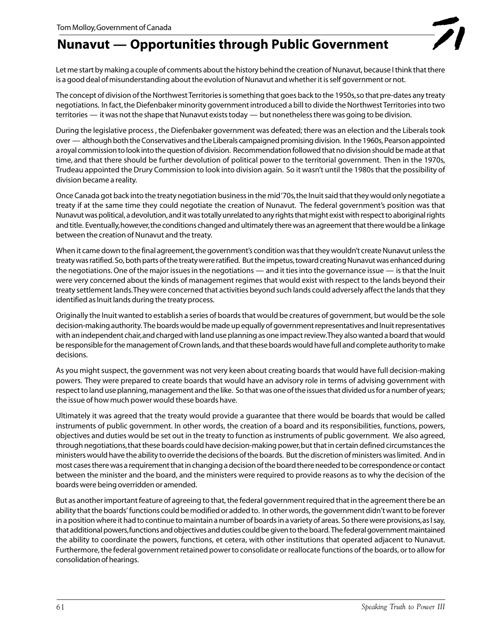## **Nunavut — Opportunities through Public Government**

Let me start by making a couple of comments about the history behind the creation of Nunavut, because I think that there is a good deal of misunderstanding about the evolution of Nunavut and whether it is self government or not.

The concept of division of the Northwest Territories is something that goes back to the 1950s, so that pre-dates any treaty negotiations. In fact, the Diefenbaker minority government introduced a bill to divide the Northwest Territories into two territories — it was not the shape that Nunavut exists today — but nonetheless there was going to be division.

During the legislative process , the Diefenbaker government was defeated; there was an election and the Liberals took over — although both the Conservatives and the Liberals campaigned promising division. In the 1960s, Pearson appointed a royal commission to look into the question of division. Recommendation followed that no division should be made at that time, and that there should be further devolution of political power to the territorial government. Then in the 1970s, Trudeau appointed the Drury Commission to look into division again. So it wasn't until the 1980s that the possibility of division became a reality.

Once Canada got back into the treaty negotiation business in the mid '70s, the Inuit said that they would only negotiate a treaty if at the same time they could negotiate the creation of Nunavut. The federal government's position was that Nunavut was political, a devolution, and it was totally unrelated to any rights that might exist with respect to aboriginal rights and title. Eventually, however, the conditions changed and ultimately there was an agreement that there would be a linkage between the creation of Nunavut and the treaty.

When it came down to the final agreement, the government's condition was that they wouldn't create Nunavut unless the treaty was ratified. So, both parts of the treaty were ratified. But the impetus, toward creating Nunavut was enhanced during the negotiations. One of the major issues in the negotiations — and it ties into the governance issue — is that the Inuit were very concerned about the kinds of management regimes that would exist with respect to the lands beyond their treaty settlement lands. They were concerned that activities beyond such lands could adversely affect the lands that they identified as Inuit lands during the treaty process.

Originally the Inuit wanted to establish a series of boards that would be creatures of government, but would be the sole decision-making authority. The boards would be made up equally of government representatives and Inuit representatives with an independent chair, and charged with land use planning as one impact review. They also wanted a board that would be responsible for the management of Crown lands, and that these boards would have full and complete authority to make decisions.

As you might suspect, the government was not very keen about creating boards that would have full decision-making powers. They were prepared to create boards that would have an advisory role in terms of advising government with respect to land use planning, management and the like. So that was one of the issues that divided us for a number of years; the issue of how much power would these boards have.

Ultimately it was agreed that the treaty would provide a guarantee that there would be boards that would be called instruments of public government. In other words, the creation of a board and its responsibilities, functions, powers, objectives and duties would be set out in the treaty to function as instruments of public government. We also agreed, through negotiations, that these boards could have decision-making power, but that in certain defined circumstances the ministers would have the ability to override the decisions of the boards. But the discretion of ministers was limited. And in most cases there was a requirement that in changing a decision of the board there needed to be correspondence or contact between the minister and the board, and the ministers were required to provide reasons as to why the decision of the boards were being overridden or amended.

But as another important feature of agreeing to that, the federal government required that in the agreement there be an ability that the boards' functions could be modified or added to. In other words, the government didn't want to be forever in a position where it had to continue to maintain a number of boards in a variety of areas. So there were provisions, as I say, that additional powers, functions and objectives and duties could be given to the board. The federal government maintained the ability to coordinate the powers, functions, et cetera, with other institutions that operated adjacent to Nunavut. Furthermore, the federal government retained power to consolidate or reallocate functions of the boards, or to allow for consolidation of hearings.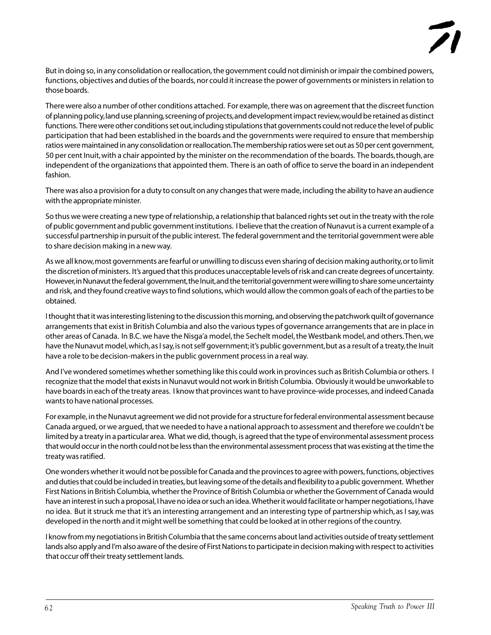But in doing so, in any consolidation or reallocation, the government could not diminish or impair the combined powers, functions, objectives and duties of the boards, nor could it increase the power of governments or ministers in relation to those boards.

There were also a number of other conditions attached. For example, there was on agreement that the discreet function of planning policy, land use planning, screening of projects, and development impact review, would be retained as distinct functions. There were other conditions set out, including stipulations that governments could not reduce the level of public participation that had been established in the boards and the governments were required to ensure that membership ratios were maintained in any consolidation or reallocation. The membership ratios were set out as 50 per cent government, 50 per cent Inuit, with a chair appointed by the minister on the recommendation of the boards. The boards, though, are independent of the organizations that appointed them. There is an oath of office to serve the board in an independent fashion.

There was also a provision for a duty to consult on any changes that were made, including the ability to have an audience with the appropriate minister.

So thus we were creating a new type of relationship, a relationship that balanced rights set out in the treaty with the role of public government and public government institutions. I believe that the creation of Nunavut is a current example of a successful partnership in pursuit of the public interest. The federal government and the territorial government were able to share decision making in a new way.

As we all know, most governments are fearful or unwilling to discuss even sharing of decision making authority, or to limit the discretion of ministers. It's argued that this produces unacceptable levels of risk and can create degrees of uncertainty. However, in Nunavut the federal government, the Inuit, and the territorial government were willing to share some uncertainty and risk, and they found creative ways to find solutions, which would allow the common goals of each of the parties to be obtained.

I thought that it was interesting listening to the discussion this morning, and observing the patchwork quilt of governance arrangements that exist in British Columbia and also the various types of governance arrangements that are in place in other areas of Canada. In B.C. we have the Nisga'a model, the Sechelt model, the Westbank model, and others. Then, we have the Nunavut model, which, as I say, is not self government; it's public government, but as a result of a treaty, the Inuit have a role to be decision-makers in the public government process in a real way.

And I've wondered sometimes whether something like this could work in provinces such as British Columbia or others. I recognize that the model that exists in Nunavut would not work in British Columbia. Obviously it would be unworkable to have boards in each of the treaty areas. I know that provinces want to have province-wide processes, and indeed Canada wants to have national processes.

For example, in the Nunavut agreement we did not provide for a structure for federal environmental assessment because Canada argued, or we argued, that we needed to have a national approach to assessment and therefore we couldn't be limited by a treaty in a particular area. What we did, though, is agreed that the type of environmental assessment process that would occur in the north could not be less than the environmental assessment process that was existing at the time the treaty was ratified.

One wonders whether it would not be possible for Canada and the provinces to agree with powers, functions, objectives and duties that could be included in treaties, but leaving some of the details and flexibility to a public government. Whether First Nations in British Columbia, whether the Province of British Columbia or whether the Government of Canada would have an interest in such a proposal, I have no idea or such an idea. Whether it would facilitate or hamper negotiations, I have no idea. But it struck me that it's an interesting arrangement and an interesting type of partnership which, as I say, was developed in the north and it might well be something that could be looked at in other regions of the country.

I know from my negotiations in British Columbia that the same concerns about land activities outside of treaty settlement lands also apply and I'm also aware of the desire of First Nations to participate in decision making with respect to activities that occur off their treaty settlement lands.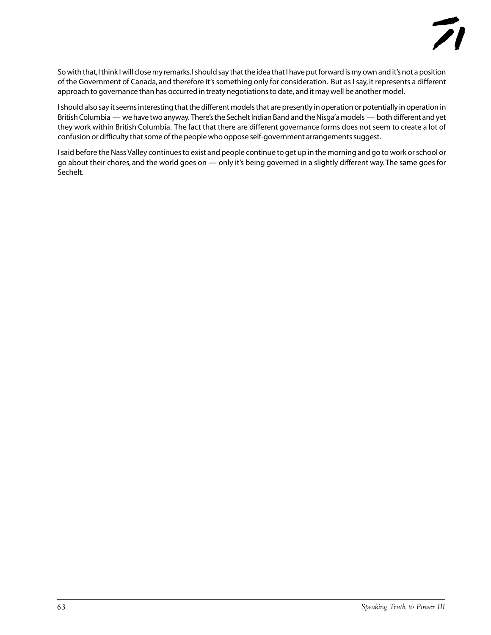So with that, I think I will close my remarks. I should say that the idea that I have put forward is my own and it's not a position of the Government of Canada, and therefore it's something only for consideration. But as I say, it represents a different approach to governance than has occurred in treaty negotiations to date, and it may well be another model.

I should also say it seems interesting that the different models that are presently in operation or potentially in operation in British Columbia — we have two anyway. There's the Sechelt Indian Band and the Nisga'a models — both different and yet they work within British Columbia. The fact that there are different governance forms does not seem to create a lot of confusion or difficulty that some of the people who oppose self-government arrangements suggest.

I said before the Nass Valley continues to exist and people continue to get up in the morning and go to work or school or go about their chores, and the world goes on — only it's being governed in a slightly different way. The same goes for Sechelt.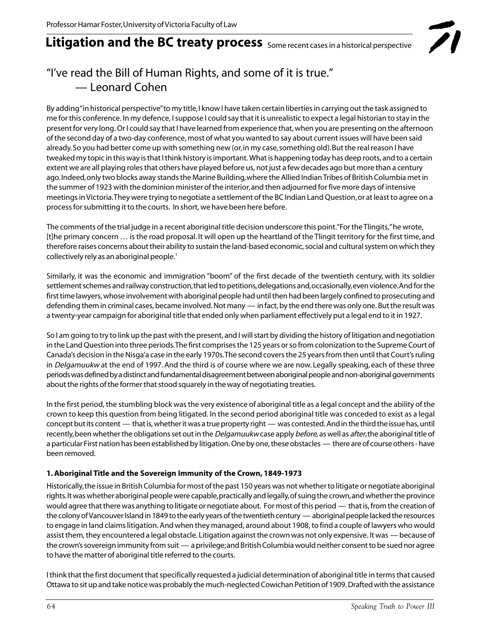## Litigation and the BC treaty process Some recent cases in a historical perspective

## "I've read the Bill of Human Rights, and some of it is true." — Leonard Cohen

By adding "in historical perspective" to my title, I know I have taken certain liberties in carrying out the task assigned to me for this conference. In my defence, I suppose I could say that it is unrealistic to expect a legal historian to stay in the present for very long. Or I could say that I have learned from experience that, when you are presenting on the afternoon of the second day of a two-day conference, most of what you wanted to say about current issues will have been said already. So you had better come up with something new (or, in my case, something old). But the real reason I have tweaked my topic in this way is that I think history is important. What is happening today has deep roots, and to a certain extent we are all playing roles that others have played before us, not just a few decades ago but more than a century ago. Indeed, only two blocks away stands the Marine Building, where the Allied Indian Tribes of British Columbia met in the summer of 1923 with the dominion minister of the interior, and then adjourned for five more days of intensive meetings in Victoria. They were trying to negotiate a settlement of the BC Indian Land Question, or at least to agree on a process for submitting it to the courts. In short, we have been here before.

The comments of the trial judge in a recent aboriginal title decision underscore this point. "For the Tlingits," he wrote, [t]he primary concern … is the road proposal. It will open up the heartland of the Tlingit territory for the first time, and therefore raises concerns about their ability to sustain the land-based economic, social and cultural system on which they collectively rely as an aboriginal people.1

Similarly, it was the economic and immigration "boom" of the first decade of the twentieth century, with its soldier settlement schemes and railway construction, that led to petitions, delegations and, occasionally, even violence. And for the first time lawyers, whose involvement with aboriginal people had until then had been largely confined to prosecuting and defending them in criminal cases, became involved. Not many — in fact, by the end there was only one. But the result was a twenty-year campaign for aboriginal title that ended only when parliament effectively put a legal end to it in 1927.

So I am going to try to link up the past with the present, and I will start by dividing the history of litigation and negotiation in the Land Question into three periods. The first comprises the 125 years or so from colonization to the Supreme Court of Canada's decision in the Nisga'a case in the early 1970s. The second covers the 25 years from then until that Court's ruling in Delgamuukw at the end of 1997. And the third is of course where we are now. Legally speaking, each of these three periods was defined by a distinct and fundamental disagreement between aboriginal people and non-aboriginal governments about the rights of the former that stood squarely in the way of negotiating treaties.

In the first period, the stumbling block was the very existence of aboriginal title as a legal concept and the ability of the crown to keep this question from being litigated. In the second period aboriginal title was conceded to exist as a legal concept but its content — that is, whether it was a true property right — was contested. And in the third the issue has, until recently, been whether the obligations set out in the Delgamuukw case apply before, as well as after, the aboriginal title of a particular First nation has been established by litigation. One by one, these obstacles — there are of course others - have been removed.

### **1. Aboriginal Title and the Sovereign Immunity of the Crown, 1849-1973**

Historically, the issue in British Columbia for most of the past 150 years was not whether to litigate or negotiate aboriginal rights. It was whether aboriginal people were capable, practically and legally, of suing the crown, and whether the province would agree that there was anything to litigate or negotiate about. For most of this period — that is, from the creation of the colony of Vancouver Island in 1849 to the early years of the twentieth century — aboriginal people lacked the resources to engage in land claims litigation. And when they managed, around about 1908, to find a couple of lawyers who would assist them, they encountered a legal obstacle. Litigation against the crown was not only expensive. It was — because of the crown's sovereign immunity from suit — a privilege; and British Columbia would neither consent to be sued nor agree to have the matter of aboriginal title referred to the courts.

I think that the first document that specifically requested a judicial determination of aboriginal title in terms that caused Ottawa to sit up and take notice was probably the much-neglected Cowichan Petition of 1909. Drafted with the assistance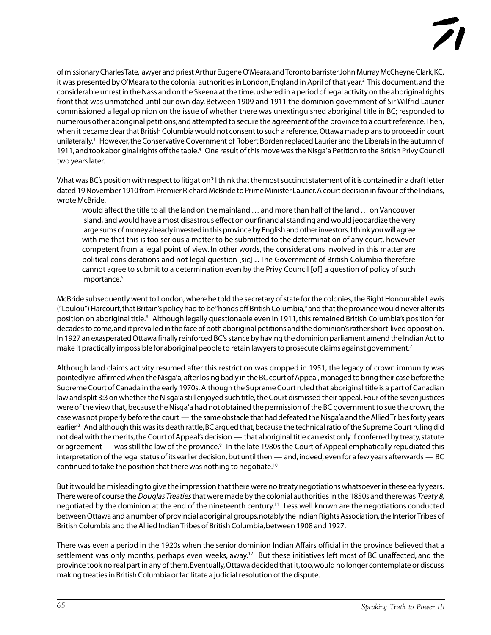of missionary Charles Tate, lawyer and priest Arthur Eugene O'Meara, and Toronto barrister John Murray McCheyne Clark, KC, it was presented by O'Meara to the colonial authorities in London, England in April of that year.<sup>2</sup> This document, and the considerable unrest in the Nass and on the Skeena at the time, ushered in a period of legal activity on the aboriginal rights front that was unmatched until our own day. Between 1909 and 1911 the dominion government of Sir Wilfrid Laurier commissioned a legal opinion on the issue of whether there was unextinguished aboriginal title in BC; responded to numerous other aboriginal petitions; and attempted to secure the agreement of the province to a court reference. Then, when it became clear that British Columbia would not consent to such a reference, Ottawa made plans to proceed in court unilaterally.<sup>3</sup> However, the Conservative Government of Robert Borden replaced Laurier and the Liberals in the autumn of 1911, and took aboriginal rights off the table.<sup>4</sup> One result of this move was the Nisga'a Petition to the British Privy Council two years later.

What was BC's position with respect to litigation? I think that the most succinct statement of it is contained in a draft letter dated 19 November 1910 from Premier Richard McBride to Prime Minister Laurier. A court decision in favour of the Indians, wrote McBride,

would affect the title to all the land on the mainland … and more than half of the land … on Vancouver Island, and would have a most disastrous effect on our financial standing and would jeopardize the very large sums of money already invested in this province by English and other investors. I think you will agree with me that this is too serious a matter to be submitted to the determination of any court, however competent from a legal point of view. In other words, the considerations involved in this matter are political considerations and not legal question [sic] ... The Government of British Columbia therefore cannot agree to submit to a determination even by the Privy Council [of] a question of policy of such importance.<sup>5</sup>

McBride subsequently went to London, where he told the secretary of state for the colonies, the Right Honourable Lewis ("Loulou") Harcourt, that Britain's policy had to be "hands off British Columbia," and that the province would never alter its position on aboriginal title.6 Although legally questionable even in 1911, this remained British Columbia's position for decades to come, and it prevailed in the face of both aboriginal petitions and the dominion's rather short-lived opposition. In 1927 an exasperated Ottawa finally reinforced BC's stance by having the dominion parliament amend the Indian Act to make it practically impossible for aboriginal people to retain lawyers to prosecute claims against government.<sup>7</sup>

Although land claims activity resumed after this restriction was dropped in 1951, the legacy of crown immunity was pointedly re-affirmed when the Nisga'a, after losing badly in the BC court of Appeal, managed to bring their case before the Supreme Court of Canada in the early 1970s. Although the Supreme Court ruled that aboriginal title is a part of Canadian law and split 3:3 on whether the Nisga'a still enjoyed such title, the Court dismissed their appeal. Four of the seven justices were of the view that, because the Nisga'a had not obtained the permission of the BC government to sue the crown, the case was not properly before the court — the same obstacle that had defeated the Nisga'a and the Allied Tribes forty years earlier.<sup>8</sup> And although this was its death rattle, BC argued that, because the technical ratio of the Supreme Court ruling did not deal with the merits, the Court of Appeal's decision — that aboriginal title can exist only if conferred by treaty, statute or agreement — was still the law of the province.<sup>9</sup> In the late 1980s the Court of Appeal emphatically repudiated this interpretation of the legal status of its earlier decision, but until then — and, indeed, even for a few years afterwards — BC continued to take the position that there was nothing to negotiate.10

But it would be misleading to give the impression that there were no treaty negotiations whatsoever in these early years. There were of course the *Douglas Treaties* that were made by the colonial authorities in the 1850s and there was Treaty 8, negotiated by the dominion at the end of the nineteenth century.<sup>11</sup> Less well known are the negotiations conducted between Ottawa and a number of provincial aboriginal groups, notably the Indian Rights Association, the Interior Tribes of British Columbia and the Allied Indian Tribes of British Columbia, between 1908 and 1927.

There was even a period in the 1920s when the senior dominion Indian Affairs official in the province believed that a settlement was only months, perhaps even weeks, away.<sup>12</sup> But these initiatives left most of BC unaffected, and the province took no real part in any of them. Eventually, Ottawa decided that it, too, would no longer contemplate or discuss making treaties in British Columbia or facilitate a judicial resolution of the dispute.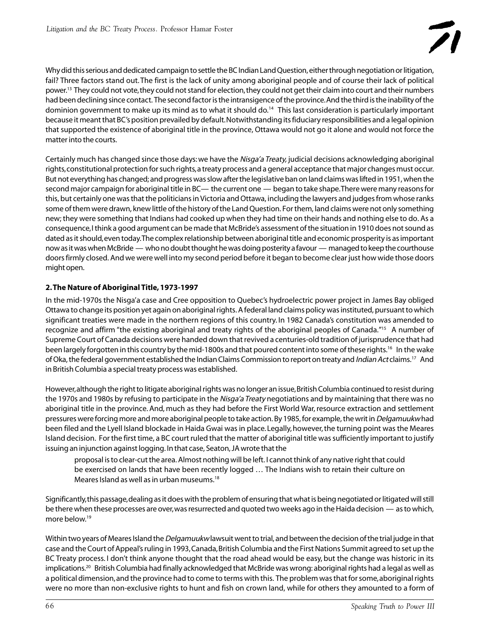Why did this serious and dedicated campaign to settle the BC Indian Land Question, either through negotiation or litigation, fail? Three factors stand out. The first is the lack of unity among aboriginal people and of course their lack of political power.<sup>13</sup> They could not vote, they could not stand for election, they could not get their claim into court and their numbers had been declining since contact. The second factor is the intransigence of the province. And the third is the inability of the dominion government to make up its mind as to what it should do.<sup>14</sup> This last consideration is particularly important because it meant that BC's position prevailed by default. Notwithstanding its fiduciary responsibilities and a legal opinion that supported the existence of aboriginal title in the province, Ottawa would not go it alone and would not force the matter into the courts.

Certainly much has changed since those days: we have the Nisga'a Treaty, judicial decisions acknowledging aboriginal rights, constitutional protection for such rights, a treaty process and a general acceptance that major changes must occur. But not everything has changed; and progress was slow after the legislative ban on land claims was lifted in 1951, when the second major campaign for aboriginal title in BC— the current one — began to take shape. There were many reasons for this, but certainly one was that the politicians in Victoria and Ottawa, including the lawyers and judges from whose ranks some of them were drawn, knew little of the history of the Land Question. For them, land claims were not only something new; they were something that Indians had cooked up when they had time on their hands and nothing else to do. As a consequence, I think a good argument can be made that McBride's assessment of the situation in 1910 does not sound as dated as it should, even today. The complex relationship between aboriginal title and economic prosperity is as important now as it was when McBride — who no doubt thought he was doing posterity a favour — managed to keep the courthouse doors firmly closed. And we were well into my second period before it began to become clear just how wide those doors might open.

### **2. The Nature of Aboriginal Title, 1973-1997**

In the mid-1970s the Nisga'a case and Cree opposition to Quebec's hydroelectric power project in James Bay obliged Ottawa to change its position yet again on aboriginal rights. A federal land claims policy was instituted, pursuant to which significant treaties were made in the northern regions of this country. In 1982 Canada's constitution was amended to recognize and affirm "the existing aboriginal and treaty rights of the aboriginal peoples of Canada."15 A number of Supreme Court of Canada decisions were handed down that revived a centuries-old tradition of jurisprudence that had been largely forgotten in this country by the mid-1800s and that poured content into some of these rights.<sup>16</sup> In the wake of Oka, the federal government established the Indian Claims Commission to report on treaty and *Indian Act* claims.<sup>17</sup> And in British Columbia a special treaty process was established.

However, although the right to litigate aboriginal rights was no longer an issue, British Columbia continued to resist during the 1970s and 1980s by refusing to participate in the Nisga'a Treaty negotiations and by maintaining that there was no aboriginal title in the province. And, much as they had before the First World War, resource extraction and settlement pressures were forcing more and more aboriginal people to take action. By 1985, for example, the writ in Delgamuukw had been filed and the Lyell Island blockade in Haida Gwai was in place. Legally, however, the turning point was the Meares Island decision. For the first time, a BC court ruled that the matter of aboriginal title was sufficiently important to justify issuing an injunction against logging. In that case, Seaton, JA wrote that the

proposal is to clear-cut the area. Almost nothing will be left. I cannot think of any native right that could be exercised on lands that have been recently logged … The Indians wish to retain their culture on Meares Island as well as in urban museums.18

Significantly, this passage, dealing as it does with the problem of ensuring that what is being negotiated or litigated will still be there when these processes are over, was resurrected and quoted two weeks ago in the Haida decision — as to which, more below.19

Within two years of Meares Island the Delgamuukw lawsuit went to trial, and between the decision of the trial judge in that case and the Court of Appeal's ruling in 1993, Canada, British Columbia and the First Nations Summit agreed to set up the BC Treaty process. I don't think anyone thought that the road ahead would be easy, but the change was historic in its implications.<sup>20</sup> British Columbia had finally acknowledged that McBride was wrong: aboriginal rights had a legal as well as a political dimension, and the province had to come to terms with this. The problem was that for some, aboriginal rights were no more than non-exclusive rights to hunt and fish on crown land, while for others they amounted to a form of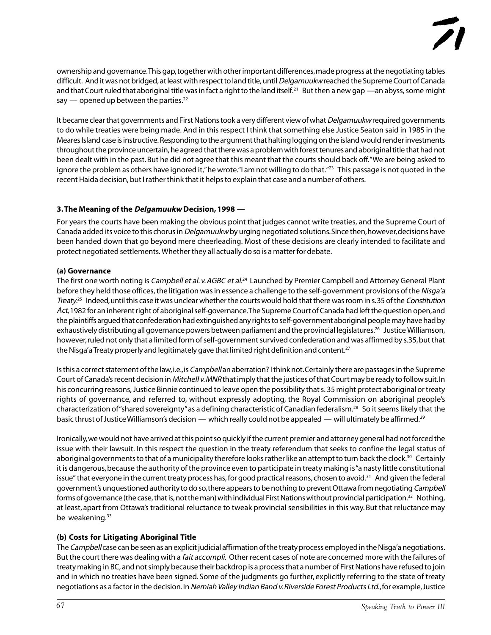ownership and governance. This gap, together with other important differences, made progress at the negotiating tables difficult. And it was not bridged, at least with respect to land title, until Delgamuukw reached the Supreme Court of Canada and that Court ruled that aboriginal title was in fact a right to the land itself.<sup>21</sup> But then a new gap —an abyss, some might say  $-$  opened up between the parties.<sup>22</sup>

It became clear that governments and First Nations took a very different view of what Delgamuukw required governments to do while treaties were being made. And in this respect I think that something else Justice Seaton said in 1985 in the Meares Island case is instructive. Responding to the argument that halting logging on the island would render investments throughout the province uncertain, he agreed that there was a problem with forest tenures and aboriginal title that had not been dealt with in the past. But he did not agree that this meant that the courts should back off. "We are being asked to ignore the problem as others have ignored it," he wrote."I am not willing to do that."<sup>23</sup> This passage is not quoted in the recent Haida decision, but I rather think that it helps to explain that case and a number of others.

### **3. The Meaning of the Delgamuukw Decision, 1998 —**

For years the courts have been making the obvious point that judges cannot write treaties, and the Supreme Court of Canada added its voice to this chorus in Delgamuukw by urging negotiated solutions. Since then, however, decisions have been handed down that go beyond mere cheerleading. Most of these decisions are clearly intended to facilitate and protect negotiated settlements. Whether they all actually do so is a matter for debate.

### **(a) Governance**

The first one worth noting is Campbell et al. v. AGBC et al.<sup>24</sup> Launched by Premier Campbell and Attorney General Plant before they held those offices, the litigation was in essence a challenge to the self-government provisions of the Nisga'a Treaty.<sup>25</sup> Indeed, until this case it was unclear whether the courts would hold that there was room in s.35 of the Constitution Act, 1982 for an inherent right of aboriginal self-governance. The Supreme Court of Canada had left the question open, and the plaintiffs argued that confederation had extinguished any rights to self-government aboriginal people may have had by exhaustively distributing all governance powers between parliament and the provincial legislatures.<sup>26</sup> Justice Williamson, however, ruled not only that a limited form of self-government survived confederation and was affirmed by s.35, but that the Nisga'a Treaty properly and legitimately gave that limited right definition and content.<sup>27</sup>

Is this a correct statement of the law, i.e., is *Campbell* an aberration? I think not. Certainly there are passages in the Supreme Court of Canada's recent decision in Mitchell v. MNR that imply that the justices of that Court may be ready to follow suit. In his concurring reasons, Justice Binnie continued to leave open the possibility that s. 35 might protect aboriginal or treaty rights of governance, and referred to, without expressly adopting, the Royal Commission on aboriginal people's characterization of "shared sovereignty" as a defining characteristic of Canadian federalism.<sup>28</sup> So it seems likely that the basic thrust of Justice Williamson's decision — which really could not be appealed — will ultimately be affirmed.<sup>29</sup>

Ironically, we would not have arrived at this point so quickly if the current premier and attorney general had not forced the issue with their lawsuit. In this respect the question in the treaty referendum that seeks to confine the legal status of aboriginal governments to that of a municipality therefore looks rather like an attempt to turn back the clock.<sup>30</sup> Certainly it is dangerous, because the authority of the province even to participate in treaty making is "a nasty little constitutional issue" that everyone in the current treaty process has, for good practical reasons, chosen to avoid.<sup>31</sup> And given the federal government's unquestioned authority to do so, there appears to be nothing to prevent Ottawa from negotiating Campbell forms of governance (the case, that is, not the man) with individual First Nations without provincial participation.<sup>32</sup> Nothing, at least, apart from Ottawa's traditional reluctance to tweak provincial sensibilities in this way. But that reluctance may be weakening.<sup>33</sup>

### **(b) Costs for Litigating Aboriginal Title**

The Campbell case can be seen as an explicit judicial affirmation of the treaty process employed in the Nisga'a negotiations. But the court there was dealing with a fait accompli. Other recent cases of note are concerned more with the failures of treaty making in BC, and not simply because their backdrop is a process that a number of First Nations have refused to join and in which no treaties have been signed. Some of the judgments go further, explicitly referring to the state of treaty negotiations as a factor in the decision. In Nemiah Valley Indian Band v. Riverside Forest Products Ltd., for example, Justice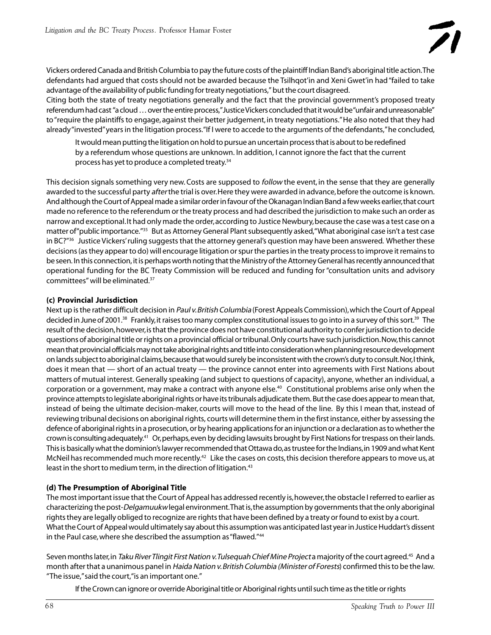Vickers ordered Canada and British Columbia to pay the future costs of the plaintiff Indian Band's aboriginal title action. The defendants had argued that costs should not be awarded because the Tsilhqot'in and Xeni Gwet'in had "failed to take advantage of the availability of public funding for treaty negotiations," but the court disagreed.

Citing both the state of treaty negotiations generally and the fact that the provincial government's proposed treaty referendum had cast "a cloud ... over the entire process," Justice Vickers concluded that it would be "unfair and unreasonable" to "require the plaintiffs to engage, against their better judgement, in treaty negotiations." He also noted that they had already "invested" years in the litigation process. "If I were to accede to the arguments of the defendants," he concluded,

It would mean putting the litigation on hold to pursue an uncertain process that is about to be redefined by a referendum whose questions are unknown. In addition, I cannot ignore the fact that the current process has yet to produce a completed treaty.34

This decision signals something very new. Costs are supposed to *follow* the event, in the sense that they are generally awarded to the successful party after the trial is over. Here they were awarded in advance, before the outcome is known. And although the Court of Appeal made a similar order in favour of the Okanagan Indian Band a few weeks earlier, that court made no reference to the referendum or the treaty process and had described the jurisdiction to make such an order as narrow and exceptional. It had only made the order, according to Justice Newbury, because the case was a test case on a matter of "public importance."<sup>35</sup> But as Attorney General Plant subsequently asked, "What aboriginal case isn't a test case in BC?"<sup>36</sup> Justice Vickers' ruling suggests that the attorney general's question may have been answered. Whether these decisions (as they appear to do) will encourage litigation or spur the parties in the treaty process to improve it remains to be seen. In this connection, it is perhaps worth noting that the Ministry of the Attorney General has recently announced that operational funding for the BC Treaty Commission will be reduced and funding for "consultation units and advisory committees" will be eliminated.37

### **(c) Provincial Jurisdiction**

Next up is the rather difficult decision in Paul v. British Columbia (Forest Appeals Commission), which the Court of Appeal decided in June of 2001.<sup>38</sup> Frankly, it raises too many complex constitutional issues to go into in a survey of this sort.<sup>39</sup> The result of the decision, however, is that the province does not have constitutional authority to confer jurisdiction to decide questions of aboriginal title or rights on a provincial official or tribunal. Only courts have such jurisdiction. Now, this cannot mean that provincial officials may not take aboriginal rights and title into consideration when planning resource development on lands subject to aboriginal claims, because that would surely be inconsistent with the crown's duty to consult. Nor, I think, does it mean that — short of an actual treaty — the province cannot enter into agreements with First Nations about matters of mutual interest. Generally speaking (and subject to questions of capacity), anyone, whether an individual, a corporation or a government, may make a contract with anyone else.40 Constitutional problems arise only when the province attempts to legislate aboriginal rights or have its tribunals adjudicate them. But the case does appear to mean that, instead of being the ultimate decision-maker, courts will move to the head of the line. By this I mean that, instead of reviewing tribunal decisions on aboriginal rights, courts will determine them in the first instance, either by assessing the defence of aboriginal rights in a prosecution, or by hearing applications for an injunction or a declaration as to whether the crown is consulting adequately.41 Or, perhaps, even by deciding lawsuits brought by First Nations for trespass on their lands. This is basically what the dominion's lawyer recommended that Ottawa do, as trustee for the Indians, in 1909 and what Kent McNeil has recommended much more recently.<sup>42</sup> Like the cases on costs, this decision therefore appears to move us, at least in the short to medium term, in the direction of litigation.<sup>43</sup>

### **(d) The Presumption of Aboriginal Title**

The most important issue that the Court of Appeal has addressed recently is, however, the obstacle I referred to earlier as characterizing the post-Delgamuukw legal environment. That is, the assumption by governments that the only aboriginal rights they are legally obliged to recognize are rights that have been defined by a treaty or found to exist by a court. What the Court of Appeal would ultimately say about this assumption was anticipated last year in Justice Huddart's dissent in the Paul case, where she described the assumption as "flawed."<sup>44</sup>

Seven months later, in Taku River Tlingit First Nation v. Tulsequah Chief Mine Project a majority of the court agreed.<sup>45</sup> And a month after that a unanimous panel in Haida Nation v. British Columbia (Minister of Forests) confirmed this to be the law. "The issue," said the court, "is an important one."

If the Crown can ignore or override Aboriginal title or Aboriginal rights until such time as the title or rights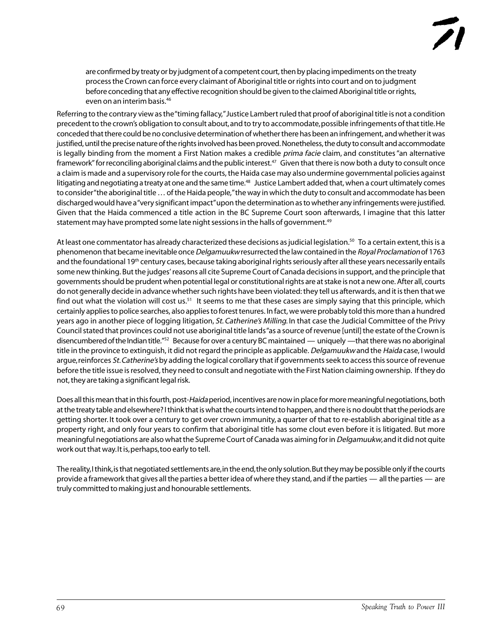are confirmed by treaty or by judgment of a competent court, then by placing impediments on the treaty process the Crown can force every claimant of Aboriginal title or rights into court and on to judgment before conceding that any effective recognition should be given to the claimed Aboriginal title or rights, even on an interim basis.46

Referring to the contrary view as the "timing fallacy," Justice Lambert ruled that proof of aboriginal title is not a condition precedent to the crown's obligation to consult about, and to try to accommodate, possible infringements of that title. He conceded that there could be no conclusive determination of whether there has been an infringement, and whether it was justified, until the precise nature of the rights involved has been proved. Nonetheless, the duty to consult and accommodate is legally binding from the moment a First Nation makes a credible prima facie claim, and constitutes "an alternative framework" for reconciling aboriginal claims and the public interest.<sup>47</sup> Given that there is now both a duty to consult once a claim is made and a supervisory role for the courts, the Haida case may also undermine governmental policies against litigating and negotiating a treaty at one and the same time.<sup>48</sup> Justice Lambert added that, when a court ultimately comes to consider "the aboriginal title … of the Haida people," the way in which the duty to consult and accommodate has been discharged would have a "very significant impact" upon the determination as to whether any infringements were justified. Given that the Haida commenced a title action in the BC Supreme Court soon afterwards, I imagine that this latter statement may have prompted some late night sessions in the halls of government.<sup>49</sup>

At least one commentator has already characterized these decisions as judicial legislation.<sup>50</sup> To a certain extent, this is a phenomenon that became inevitable once Delgamuukw resurrected the law contained in the Royal Proclamation of 1763 and the foundational 19<sup>th</sup> century cases, because taking aboriginal rights seriously after all these years necessarily entails some new thinking. But the judges' reasons all cite Supreme Court of Canada decisions in support, and the principle that governments should be prudent when potential legal or constitutional rights are at stake is not a new one. After all, courts do not generally decide in advance whether such rights have been violated: they tell us afterwards, and it is then that we find out what the violation will cost us.<sup>51</sup> It seems to me that these cases are simply saying that this principle, which certainly applies to police searches, also applies to forest tenures. In fact, we were probably told this more than a hundred years ago in another piece of logging litigation, St. Catherine's Milling. In that case the Judicial Committee of the Privy Council stated that provinces could not use aboriginal title lands "as a source of revenue [until] the estate of the Crown is disencumbered of the Indian title."52 Because for over a century BC maintained — uniquely —that there was no aboriginal title in the province to extinguish, it did not regard the principle as applicable. Delgamuukw and the Haida case, I would argue, reinforces St. Catherine's by adding the logical corollary that if governments seek to access this source of revenue before the title issue is resolved, they need to consult and negotiate with the First Nation claiming ownership. If they do not, they are taking a significant legal risk.

Does all this mean that in this fourth, post-Haida period, incentives are now in place for more meaningful negotiations, both at the treaty table and elsewhere? I think that is what the courts intend to happen, and there is no doubt that the periods are getting shorter. It took over a century to get over crown immunity, a quarter of that to re-establish aboriginal title as a property right, and only four years to confirm that aboriginal title has some clout even before it is litigated. But more meaningful negotiations are also what the Supreme Court of Canada was aiming for in Delgamuukw, and it did not quite work out that way. It is, perhaps, too early to tell.

The reality, I think, is that negotiated settlements are, in the end, the only solution. But they may be possible only if the courts provide a framework that gives all the parties a better idea of where they stand, and if the parties — all the parties — are truly committed to making just and honourable settlements.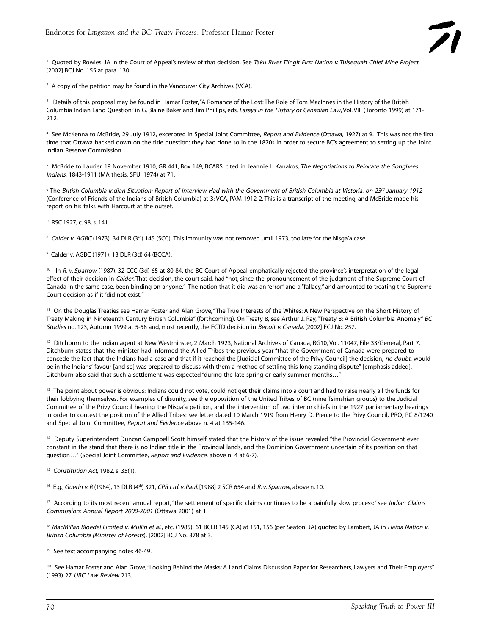<sup>1</sup> Quoted by Rowles, JA in the Court of Appeal's review of that decision. See *Taku River Tlingit First Nation v. Tulsequah Chief Mine Project*, [2002] BCJ No. 155 at para. 130.

<sup>2</sup> A copy of the petition may be found in the Vancouver City Archives (VCA).

<sup>3</sup> Details of this proposal may be found in Hamar Foster, "A Romance of the Lost: The Role of Tom MacInnes in the History of the British Columbia Indian Land Question" in G. Blaine Baker and Jim Phillips, eds. Essays in the History of Canadian Law, Vol. VIII (Toronto 1999) at 171-212.

<sup>4</sup> See McKenna to McBride, 29 July 1912, excerpted in Special Joint Committee, Report and Evidence (Ottawa, 1927) at 9. This was not the first time that Ottawa backed down on the title question: they had done so in the 1870s in order to secure BC's agreement to setting up the Joint Indian Reserve Commission.

<sup>5</sup> McBride to Laurier, 19 November 1910, GR 441, Box 149, BCARS, cited in Jeannie L. Kanakos, *The Negotiations to Relocate the Songhees* Indians, 1843-1911 (MA thesis, SFU, 1974) at 71.

 $^6$  The British Columbia Indian Situation: Report of Interview Had with the Government of British Columbia at Victoria, on 23<sup>rd</sup> January 1912 (Conference of Friends of the Indians of British Columbia) at 3: VCA, PAM 1912-2. This is a transcript of the meeting, and McBride made his report on his talks with Harcourt at the outset.

7 RSC 1927, c. 98, s. 141.

<sup>8</sup> Calder v. AGBC (1973), 34 DLR (3<sup>rd</sup>) 145 (SCC). This immunity was not removed until 1973, too late for the Nisga'a case.

9 Calder v. AGBC (1971), 13 DLR (3d) 64 (BCCA).

 $10$  In R. v. Sparrow (1987), 32 CCC (3d) 65 at 80-84, the BC Court of Appeal emphatically rejected the province's interpretation of the legal effect of their decision in Calder. That decision, the court said, had "not, since the pronouncement of the judgment of the Supreme Court of Canada in the same case, been binding on anyone." The notion that it did was an "error" and a "fallacy," and amounted to treating the Supreme Court decision as if it "did not exist."

<sup>11</sup> On the Douglas Treaties see Hamar Foster and Alan Grove, "The True Interests of the Whites: A New Perspective on the Short History of Treaty Making in Nineteenth Century British Columbia" (forthcoming). On Treaty 8, see Arthur J. Ray, "Treaty 8: A British Columbia Anomaly" BC Studies no. 123, Autumn 1999 at 5-58 and, most recently, the FCTD decision in Benoit v. Canada, [2002] FCJ No. 257.

<sup>12</sup> Ditchburn to the Indian agent at New Westminster, 2 March 1923, National Archives of Canada, RG10, Vol. 11047, File 33/General, Part 7. Ditchburn states that the minister had informed the Allied Tribes the previous year "that the Government of Canada were prepared to concede the fact that the Indians had a case and that if it reached the [Judicial Committee of the Privy Council] the decision, no doubt, would be in the Indians' favour [and so] was prepared to discuss with them a method of settling this long-standing dispute" [emphasis added]. Ditchburn also said that such a settlement was expected "during the late spring or early summer months…"

<sup>13</sup> The point about power is obvious: Indians could not vote, could not get their claims into a court and had to raise nearly all the funds for their lobbying themselves. For examples of disunity, see the opposition of the United Tribes of BC (nine Tsimshian groups) to the Judicial Committee of the Privy Council hearing the Nisga'a petition, and the intervention of two interior chiefs in the 1927 parliamentary hearings in order to contest the position of the Allied Tribes: see letter dated 10 March 1919 from Henry D. Pierce to the Privy Council, PRO, PC 8/1240 and Special Joint Committee, Report and Evidence above n. 4 at 135-146.

<sup>14</sup> Deputy Superintendent Duncan Campbell Scott himself stated that the history of the issue revealed "the Provincial Government ever constant in the stand that there is no Indian title in the Provincial lands, and the Dominion Government uncertain of its position on that question…" (Special Joint Committee, Report and Evidence, above n. 4 at 6-7).

15 Constitution Act, 1982, s. 35(1).

<sup>16</sup> E.q., Guerin v. R (1984), 13 DLR (4<sup>th</sup>) 321, CPR Ltd. v. Paul, [1988] 2 SCR 654 and R. v. Sparrow, above n. 10.

<sup>17</sup> According to its most recent annual report, "the settlement of specific claims continues to be a painfully slow process:" see Indian Claims Commission: Annual Report 2000-2001 (Ottawa 2001) at 1.

<sup>18</sup> MacMillan Bloedel Limited v. Mullin et al., etc. (1985), 61 BCLR 145 (CA) at 151, 156 (per Seaton, JA) quoted by Lambert, JA in Haida Nation v. British Columbia (Minister of Forests), [2002] BCJ No. 378 at 3.

<sup>19</sup> See text accompanying notes 46-49.

<sup>20</sup> See Hamar Foster and Alan Grove, "Looking Behind the Masks: A Land Claims Discussion Paper for Researchers, Lawyers and Their Employers" (1993) 27 UBC Law Review 213.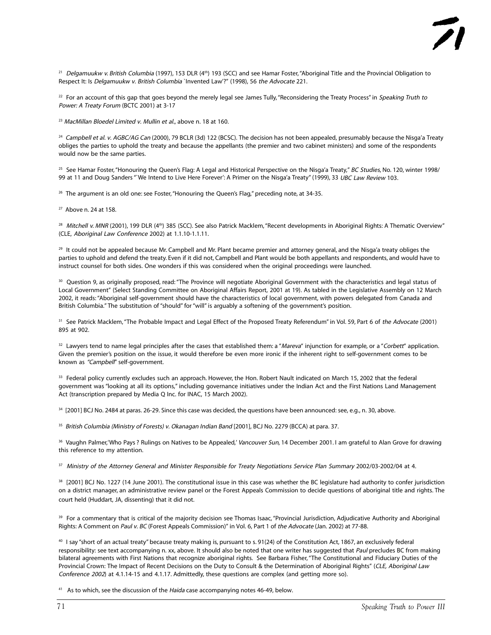<sup>21</sup> Delgamuukw v. British Columbia (1997), 153 DLR (4<sup>th</sup>) 193 (SCC) and see Hamar Foster, "Aboriginal Title and the Provincial Obligation to Respect It: Is Delgamuukw v. British Columbia `Invented Law'?" (1998), 56 the Advocate 221.

 $^{22}$  For an account of this gap that goes beyond the merely legal see James Tully, "Reconsidering the Treaty Process" in Speaking Truth to Power: A Treaty Forum (BCTC 2001) at 3-17

<sup>23</sup> MacMillan Bloedel Limited v. Mullin et al., above n. 18 at 160.

<sup>24</sup> Campbell et al. v. AGBC/AG Can (2000), 79 BCLR (3d) 122 (BCSC). The decision has not been appealed, presumably because the Nisga'a Treaty obliges the parties to uphold the treaty and because the appellants (the premier and two cabinet ministers) and some of the respondents would now be the same parties.

<sup>25</sup> See Hamar Foster, "Honouring the Queen's Flag: A Legal and Historical Perspective on the Nisga'a Treaty," BC Studies, No. 120, winter 1998/ 99 at 11 and Doug Sanders "`We Intend to Live Here Forever': A Primer on the Nisga'a Treaty" (1999), 33 UBC Law Review 103.

<sup>26</sup> The argument is an old one: see Foster, "Honouring the Queen's Flag," preceding note, at 34-35.

27 Above n. 24 at 158.

<sup>28</sup> Mitchell v. MNR (2001), 199 DLR (4<sup>th</sup>) 385 (SCC). See also Patrick Macklem, "Recent developments in Aboriginal Rights: A Thematic Overview" (CLE, Aboriginal Law Conference 2002) at 1.1.10-1.1.11.

<sup>29</sup> It could not be appealed because Mr. Campbell and Mr. Plant became premier and attorney general, and the Nisga'a treaty obliges the parties to uphold and defend the treaty. Even if it did not, Campbell and Plant would be both appellants and respondents, and would have to instruct counsel for both sides. One wonders if this was considered when the original proceedings were launched.

<sup>30</sup> Question 9, as originally proposed, read: "The Province will negotiate Aboriginal Government with the characteristics and legal status of Local Government" (Select Standing Committee on Aboriginal Affairs Report, 2001 at 19). As tabled in the Legislative Assembly on 12 March 2002, it reads: "Aboriginal self-government should have the characteristics of local government, with powers delegated from Canada and British Columbia." The substitution of "should" for "will" is arguably a softening of the government's position.

<sup>31</sup> See Patrick Macklem, "The Probable Impact and Legal Effect of the Proposed Treaty Referendum" in Vol. 59, Part 6 of the Advocate (2001) 895 at 902.

<sup>32</sup> Lawyers tend to name legal principles after the cases that established them: a "Mareva" injunction for example, or a "Corbett" application. Given the premier's position on the issue, it would therefore be even more ironic if the inherent right to self-government comes to be known as "Campbell" self-government.

<sup>33</sup> Federal policy currently excludes such an approach. However, the Hon. Robert Nault indicated on March 15, 2002 that the federal government was "looking at all its options," including governance initiatives under the Indian Act and the First Nations Land Management Act (transcription prepared by Media Q Inc. for INAC, 15 March 2002).

34 [2001] BCJ No. 2484 at paras. 26-29. Since this case was decided, the questions have been announced: see, e.g., n. 30, above.

<sup>35</sup> British Columbia (Ministry of Forests) v. Okanagan Indian Band [2001], BCJ No. 2279 (BCCA) at para. 37.

<sup>36</sup> Vaughn Palmer,'Who Pays ? Rulings on Natives to be Appealed,' Vancouver Sun, 14 December 2001. I am grateful to Alan Grove for drawing this reference to my attention.

<sup>37</sup> Ministry of the Attorney General and Minister Responsible for Treaty Negotiations Service Plan Summary 2002/03-2002/04 at 4.

<sup>38</sup> [2001] BCJ No. 1227 (14 June 2001). The constitutional issue in this case was whether the BC legislature had authority to confer jurisdiction on a district manager, an administrative review panel or the Forest Appeals Commission to decide questions of aboriginal title and rights. The court held (Huddart, JA, dissenting) that it did not.

<sup>39</sup> For a commentary that is critical of the majority decision see Thomas Isaac, "Provincial Jurisdiction, Adjudicative Authority and Aboriginal Rights: A Comment on Paul v. BC (Forest Appeals Commission)" in Vol. 6, Part 1 of the Advocate (Jan. 2002) at 77-88.

<sup>40</sup> I say "short of an actual treaty" because treaty making is, pursuant to s. 91(24) of the Constitution Act, 1867, an exclusively federal responsibility: see text accompanying n. xx, above. It should also be noted that one writer has suggested that Paul precludes BC from making bilateral agreements with First Nations that recognize aboriginal rights. See Barbara Fisher, "The Constitutional and Fiduciary Duties of the Provincial Crown: The Impact of Recent Decisions on the Duty to Consult & the Determination of Aboriginal Rights" (CLE, Aboriginal Law Conference 2002) at 4.1.14-15 and 4.1.17. Admittedly, these questions are complex (and getting more so).

<sup>41</sup> As to which, see the discussion of the Haida case accompanying notes 46-49, below.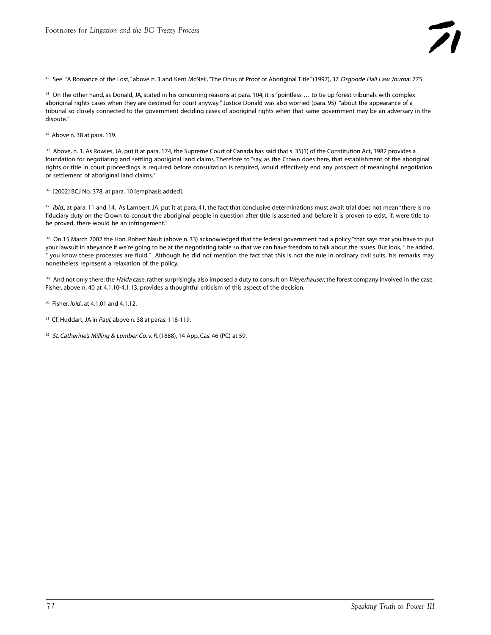42 See "A Romance of the Lost," above n. 3 and Kent McNeil, "The Onus of Proof of Aboriginal Title" (1997), 37 Osgoode Hall Law Journal 775.

 $43$  On the other hand, as Donald, JA, stated in his concurring reasons at para. 104, it is "pointless ... to tie up forest tribunals with complex aboriginal rights cases when they are destined for court anyway." Justice Donald was also worried (para. 95) "about the appearance of a tribunal so closely connected to the government deciding cases of aboriginal rights when that same government may be an adversary in the dispute."

44 Above n. 38 at para. 119.

45 Above, n. 1. As Rowles, JA, put it at para. 174, the Supreme Court of Canada has said that s. 35(1) of the Constitution Act, 1982 provides a foundation for negotiating and settling aboriginal land claims. Therefore to "say, as the Crown does here, that establishment of the aboriginal rights or title in court proceedings is required before consultation is required, would effectively end any prospect of meaningful negotiation or settlement of aboriginal land claims."

46 [2002] BCJ No. 378, at para. 10 [emphasis added].

 $47$  Ibid., at para. 11 and 14. As Lambert, JA, put it at para. 41, the fact that conclusive determinations must await trial does not mean "there is no fiduciary duty on the Crown to consult the aboriginal people in question after title is asserted and before it is proven to exist, if, were title to be proved, there would be an infringement."

<sup>48</sup> On 15 March 2002 the Hon. Robert Nault (above n. 33) acknowledged that the federal government had a policy "that says that you have to put your lawsuit in abeyance if we're going to be at the negotiating table so that we can have freedom to talk about the issues. But look, " he added, " you know these processes are fluid." Although he did not mention the fact that this is not the rule in ordinary civil suits, his remarks may nonetheless represent a relaxation of the policy.

<sup>49</sup> And not only there: the Haida case, rather surprisingly, also imposed a duty to consult on Weyerhauser, the forest company involved in the case. Fisher, above n. 40 at 4.1.10-4.1.13, provides a thoughtful criticism of this aspect of the decision.

- 50 Fisher, ibid., at 4.1.01 and 4.1.12.
- <sup>51</sup> Cf. Huddart, JA in Paul, above n. 38 at paras. 118-119.
- 52 St. Catherine's Milling & Lumber Co. v. R. (1888), 14 App. Cas. 46 (PC) at 59.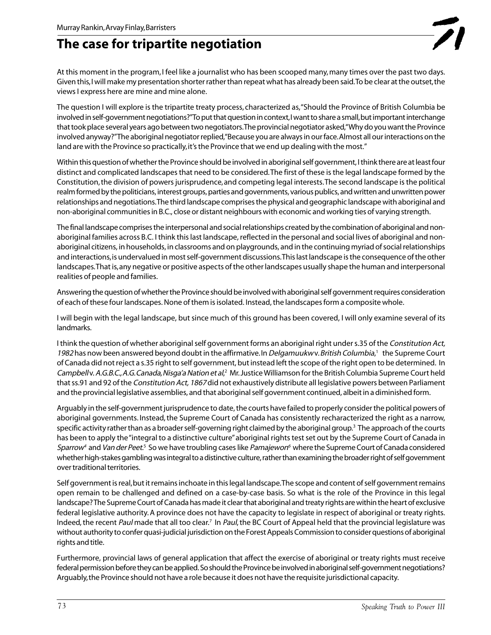# **The case for tripartite negotiation**

At this moment in the program, I feel like a journalist who has been scooped many, many times over the past two days. Given this, I will make my presentation shorter rather than repeat what has already been said. To be clear at the outset, the views I express here are mine and mine alone.

The question I will explore is the tripartite treaty process, characterized as, "Should the Province of British Columbia be involved in self-government negotiations?" To put that question in context, I want to share a small, but important interchange that took place several years ago between two negotiators. The provincial negotiator asked, "Why do you want the Province involved anyway?" The aboriginal negotiator replied, "Because you are always in our face. Almost all our interactions on the land are with the Province so practically, it's the Province that we end up dealing with the most."

Within this question of whether the Province should be involved in aboriginal self government, I think there are at least four distinct and complicated landscapes that need to be considered. The first of these is the legal landscape formed by the Constitution, the division of powers jurisprudence, and competing legal interests. The second landscape is the political realm formed by the politicians, interest groups, parties and governments, various publics, and written and unwritten power relationships and negotiations. The third landscape comprises the physical and geographic landscape with aboriginal and non-aboriginal communities in B.C., close or distant neighbours with economic and working ties of varying strength.

The final landscape comprises the interpersonal and social relationships created by the combination of aboriginal and nonaboriginal families across B.C. I think this last landscape, reflected in the personal and social lives of aboriginal and nonaboriginal citizens, in households, in classrooms and on playgrounds, and in the continuing myriad of social relationships and interactions, is undervalued in most self-government discussions. This last landscape is the consequence of the other landscapes. That is, any negative or positive aspects of the other landscapes usually shape the human and interpersonal realities of people and families.

Answering the question of whether the Province should be involved with aboriginal self government requires consideration of each of these four landscapes. None of them is isolated. Instead, the landscapes form a composite whole.

I will begin with the legal landscape, but since much of this ground has been covered, I will only examine several of its landmarks.

I think the question of whether aboriginal self government forms an aboriginal right under s.35 of the Constitution Act, 1982 has now been answered beyond doubt in the affirmative. In *Delgamuukw* v. British Columbia,<sup>1</sup> the Supreme Court of Canada did not reject a s.35 right to self government, but instead left the scope of the right open to be determined. In Campbell v. A.G.B.C., A.G. Canada, Nisga'a Nation et al,<sup>2</sup> Mr. Justice Williamson for the British Columbia Supreme Court held that ss.91 and 92 of the Constitution Act, 1867 did not exhaustively distribute all legislative powers between Parliament and the provincial legislative assemblies, and that aboriginal self government continued, albeit in a diminished form.

Arguably in the self-government jurisprudence to date, the courts have failed to properly consider the political powers of aboriginal governments. Instead, the Supreme Court of Canada has consistently recharacterized the right as a narrow, specific activity rather than as a broader self-governing right claimed by the aboriginal group.<sup>3</sup> The approach of the courts has been to apply the "integral to a distinctive culture" aboriginal rights test set out by the Supreme Court of Canada in *Sparrow<sup>4</sup> and Van der Peet.*5 So we have troubling cases like *Pamajewon<sup>6</sup> w*here the Supreme Court of Canada considered whether high-stakes gambling was integral to a distinctive culture, rather than examining the broader right of self government over traditional territories.

Self government is real, but it remains inchoate in this legal landscape. The scope and content of self government remains open remain to be challenged and defined on a case-by-case basis. So what is the role of the Province in this legal landscape? The Supreme Court of Canada has made it clear that aboriginal and treaty rights are within the heart of exclusive federal legislative authority. A province does not have the capacity to legislate in respect of aboriginal or treaty rights. Indeed, the recent Paul made that all too clear.<sup>7</sup> In Paul, the BC Court of Appeal held that the provincial legislature was without authority to confer quasi-judicial jurisdiction on the Forest Appeals Commission to consider questions of aboriginal rights and title.

Furthermore, provincial laws of general application that affect the exercise of aboriginal or treaty rights must receive federal permission before they can be applied. So should the Province be involved in aboriginal self-government negotiations? Arguably, the Province should not have a role because it does not have the requisite jurisdictional capacity.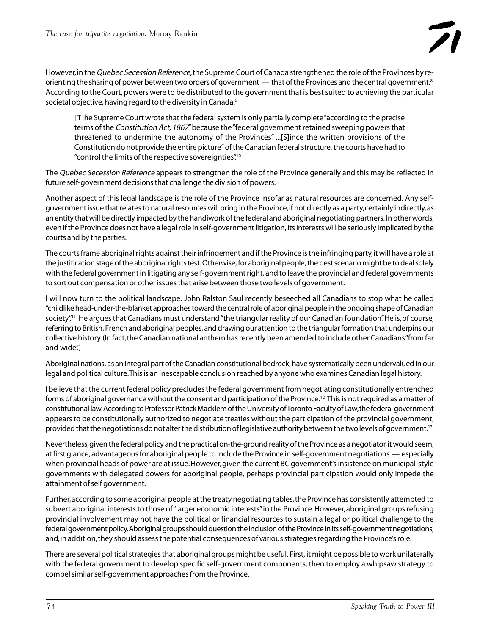However, in the Quebec Secession Reference, the Supreme Court of Canada strengthened the role of the Provinces by reorienting the sharing of power between two orders of government — that of the Provinces and the central government.<sup>8</sup> According to the Court, powers were to be distributed to the government that is best suited to achieving the particular societal objective, having regard to the diversity in Canada.<sup>9</sup>

[T]he Supreme Court wrote that the federal system is only partially complete "according to the precise terms of the Constitution Act, 1867" because the "federal government retained sweeping powers that threatened to undermine the autonomy of the Provinces". ...[S]ince the written provisions of the Constitution do not provide the entire picture" of the Canadian federal structure, the courts have had to "control the limits of the respective sovereignties".10

The Quebec Secession Reference appears to strengthen the role of the Province generally and this may be reflected in future self-government decisions that challenge the division of powers.

Another aspect of this legal landscape is the role of the Province insofar as natural resources are concerned. Any selfgovernment issue that relates to natural resources will bring in the Province, if not directly as a party, certainly indirectly, as an entity that will be directly impacted by the handiwork of the federal and aboriginal negotiating partners. In other words, even if the Province does not have a legal role in self-government litigation, its interests will be seriously implicated by the courts and by the parties.

The courts frame aboriginal rights against their infringement and if the Province is the infringing party, it will have a role at the justification stage of the aboriginal rights test. Otherwise, for aboriginal people, the best scenario might be to deal solely with the federal government in litigating any self-government right, and to leave the provincial and federal governments to sort out compensation or other issues that arise between those two levels of government.

I will now turn to the political landscape. John Ralston Saul recently beseeched all Canadians to stop what he called "childlike head-under-the-blanket approaches toward the central role of aboriginal people in the ongoing shape of Canadian society". 11 He argues that Canadians must understand "the triangular reality of our Canadian foundation". He is, of course, referring to British, French and aboriginal peoples, and drawing our attention to the triangular formation that underpins our collective history. (In fact, the Canadian national anthem has recently been amended to include other Canadians "from far and wide".)

Aboriginal nations, as an integral part of the Canadian constitutional bedrock, have systematically been undervalued in our legal and political culture. This is an inescapable conclusion reached by anyone who examines Canadian legal history.

I believe that the current federal policy precludes the federal government from negotiating constitutionally entrenched forms of aboriginal governance without the consent and participation of the Province.12 This is not required as a matter of constitutional law. According to Professor Patrick Macklem of the University of Toronto Faculty of Law, the federal government appears to be constitutionally authorized to negotiate treaties without the participation of the provincial government, provided that the negotiations do not alter the distribution of legislative authority between the two levels of government.<sup>13</sup>

Nevertheless, given the federal policy and the practical on-the-ground reality of the Province as a negotiator, it would seem, at first glance, advantageous for aboriginal people to include the Province in self-government negotiations — especially when provincial heads of power are at issue. However, given the current BC government's insistence on municipal-style governments with delegated powers for aboriginal people, perhaps provincial participation would only impede the attainment of self government.

Further, according to some aboriginal people at the treaty negotiating tables, the Province has consistently attempted to subvert aboriginal interests to those of "larger economic interests" in the Province. However, aboriginal groups refusing provincial involvement may not have the political or financial resources to sustain a legal or political challenge to the federal government policy. Aboriginal groups should question the inclusion of the Province in its self-government negotiations, and, in addition, they should assess the potential consequences of various strategies regarding the Province's role.

There are several political strategies that aboriginal groups might be useful. First, it might be possible to work unilaterally with the federal government to develop specific self-government components, then to employ a whipsaw strategy to compel similar self-government approaches from the Province.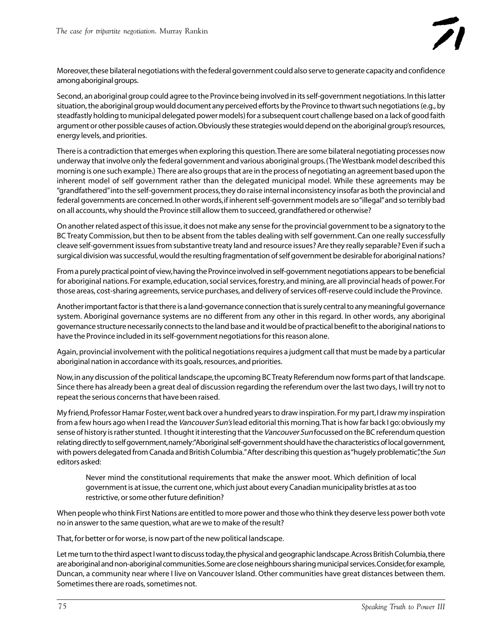Moreover, these bilateral negotiations with the federal government could also serve to generate capacity and confidence among aboriginal groups.

Second, an aboriginal group could agree to the Province being involved in its self-government negotiations. In this latter situation, the aboriginal group would document any perceived efforts by the Province to thwart such negotiations (e.g., by steadfastly holding to municipal delegated power models) for a subsequent court challenge based on a lack of good faith argument or other possible causes of action. Obviously these strategies would depend on the aboriginal group's resources, energy levels, and priorities.

There is a contradiction that emerges when exploring this question. There are some bilateral negotiating processes now underway that involve only the federal government and various aboriginal groups. (The Westbank model described this morning is one such example.) There are also groups that are in the process of negotiating an agreement based upon the inherent model of self government rather than the delegated municipal model. While these agreements may be "grandfathered" into the self-government process, they do raise internal inconsistency insofar as both the provincial and federal governments are concerned. In other words, if inherent self-government models are so "illegal" and so terribly bad on all accounts, why should the Province still allow them to succeed, grandfathered or otherwise?

On another related aspect of this issue, it does not make any sense for the provincial government to be a signatory to the BC Treaty Commission, but then to be absent from the tables dealing with self government. Can one really successfully cleave self-government issues from substantive treaty land and resource issues? Are they really separable? Even if such a surgical division was successful, would the resulting fragmentation of self government be desirable for aboriginal nations?

From a purely practical point of view, having the Province involved in self-government negotiations appears to be beneficial for aboriginal nations. For example, education, social services, forestry, and mining, are all provincial heads of power. For those areas, cost-sharing agreements, service purchases, and delivery of services off-reserve could include the Province.

Another important factor is that there is a land-governance connection that is surely central to any meaningful governance system. Aboriginal governance systems are no different from any other in this regard. In other words, any aboriginal governance structure necessarily connects to the land base and it would be of practical benefit to the aboriginal nations to have the Province included in its self-government negotiations for this reason alone.

Again, provincial involvement with the political negotiations requires a judgment call that must be made by a particular aboriginal nation in accordance with its goals, resources, and priorities.

Now, in any discussion of the political landscape, the upcoming BC Treaty Referendum now forms part of that landscape. Since there has already been a great deal of discussion regarding the referendum over the last two days, I will try not to repeat the serious concerns that have been raised.

My friend, Professor Hamar Foster, went back over a hundred years to draw inspiration. For my part, I draw my inspiration from a few hours ago when I read the Vancouver Sun's lead editorial this morning. That is how far back I go: obviously my sense of history is rather stunted. I thought it interesting that the Vancouver Sunfocussed on the BC referendum question relating directly to self government, namely: "Aboriginal self-government should have the characteristics of local government, with powers delegated from Canada and British Columbia." After describing this question as "hugely problematic", the Sun editors asked:

Never mind the constitutional requirements that make the answer moot. Which definition of local government is at issue, the current one, which just about every Canadian municipality bristles at as too restrictive, or some other future definition?

When people who think First Nations are entitled to more power and those who think they deserve less power both vote no in answer to the same question, what are we to make of the result?

That, for better or for worse, is now part of the new political landscape.

Let me turn to the third aspect I want to discuss today, the physical and geographic landscape. Across British Columbia, there are aboriginal and non-aboriginal communities. Some are close neighbours sharing municipal services. Consider, for example, Duncan, a community near where I live on Vancouver Island. Other communities have great distances between them. Sometimes there are roads, sometimes not.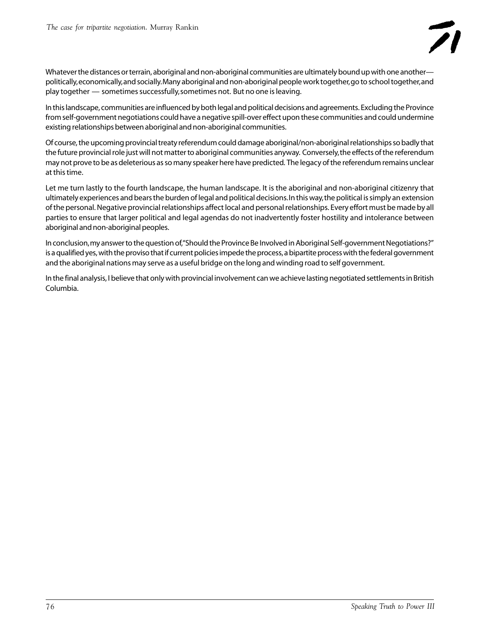Whatever the distances or terrain, aboriginal and non-aboriginal communities are ultimately bound up with one another politically, economically, and socially. Many aboriginal and non-aboriginal people work together, go to school together, and play together — sometimes successfully, sometimes not. But no one is leaving.

In this landscape, communities are influenced by both legal and political decisions and agreements. Excluding the Province from self-government negotiations could have a negative spill-over effect upon these communities and could undermine existing relationships between aboriginal and non-aboriginal communities.

Of course, the upcoming provincial treaty referendum could damage aboriginal/non-aboriginal relationships so badly that the future provincial role just will not matter to aboriginal communities anyway. Conversely, the effects of the referendum may not prove to be as deleterious as so many speaker here have predicted. The legacy of the referendum remains unclear at this time.

Let me turn lastly to the fourth landscape, the human landscape. It is the aboriginal and non-aboriginal citizenry that ultimately experiences and bears the burden of legal and political decisions. In this way, the political is simply an extension of the personal. Negative provincial relationships affect local and personal relationships. Every effort must be made by all parties to ensure that larger political and legal agendas do not inadvertently foster hostility and intolerance between aboriginal and non-aboriginal peoples.

In conclusion, my answer to the question of, "Should the Province Be Involved in Aboriginal Self-government Negotiations?" is a qualified yes, with the proviso that if current policies impede the process, a bipartite process with the federal government and the aboriginal nations may serve as a useful bridge on the long and winding road to self government.

In the final analysis, I believe that only with provincial involvement can we achieve lasting negotiated settlements in British Columbia.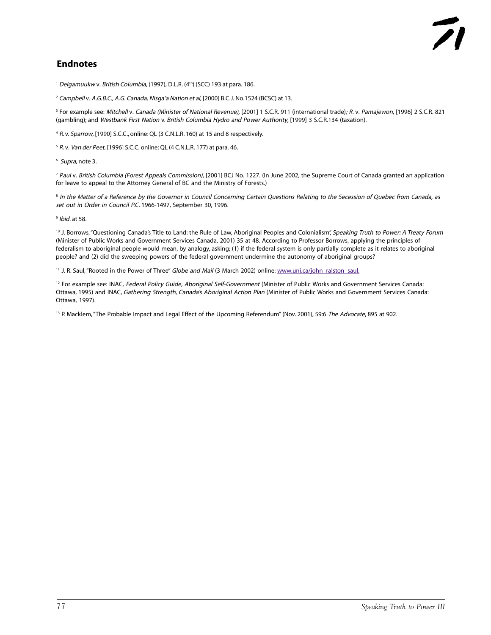## **Endnotes**

<sup>1</sup> Delgamuukw v. British Columbia, (1997), D.L.R. (4<sup>th</sup>) (SCC) 193 at para. 186.

2 Campbell v. A.G.B.C., A.G. Canada, Nisga'a Nation et al, [2000] B.C.J. No.1524 (BCSC) at 13.

<sup>3</sup> For example see: *Mitchell v. Canada (Minister of National Revenue),* [2001] 1 S.C.R. 911 (international trade)*; R. v. Pamajewon,* [1996] 2 S.C.R. 821 (gambling); and Westbank First Nation v. British Columbia Hydro and Power Authority, [1999] 3 S.C.R.134 (taxation).

<sup>4</sup> R.v. Sparrow, [1990] S.C.C., online: QL (3 C.N.L.R. 160) at 15 and 8 respectively.

<sup>5</sup> R. v. Van der Peet, [1996] S.C.C. online: QL (4 C.N.L.R. 177) at para. 46.

<sup>6</sup> *Supra*, note 3.

<sup>7</sup> Paul v. British Columbia (Forest Appeals Commission), [2001] BCJ No. 1227. (In June 2002, the Supreme Court of Canada granted an application for leave to appeal to the Attorney General of BC and the Ministry of Forests.)

<sup>8</sup> In the Matter of a Reference by the Governor in Council Concerning Certain Questions Relating to the Secession of Quebec from Canada, as set out in Order in Council P.C. 1966-1497, September 30, 1996.

<sup>9</sup> Ibid. at 58.

<sup>10</sup> J. Borrows, "Questioning Canada's Title to Land: the Rule of Law, Aboriginal Peoples and Colonialism", Speaking Truth to Power: A Treaty Forum (Minister of Public Works and Government Services Canada, 2001) 35 at 48. According to Professor Borrows, applying the principles of federalism to aboriginal people would mean, by analogy, asking; (1) if the federal system is only partially complete as it relates to aboriginal people? and (2) did the sweeping powers of the federal government undermine the autonomy of aboriginal groups?

<sup>11</sup> J. R. Saul, "Rooted in the Power of Three" Globe and Mail (3 March 2002) online: www.uni.ca/john\_ralston\_saul.

<sup>12</sup> For example see: INAC, Federal Policy Guide, Aboriginal Self-Government (Minister of Public Works and Government Services Canada: Ottawa, 1995) and INAC, Gathering Strength, Canada's Aboriginal Action Plan (Minister of Public Works and Government Services Canada: Ottawa, 1997).

<sup>13</sup> P. Macklem, "The Probable Impact and Legal Effect of the Upcoming Referendum" (Nov. 2001), 59:6 The Advocate, 895 at 902.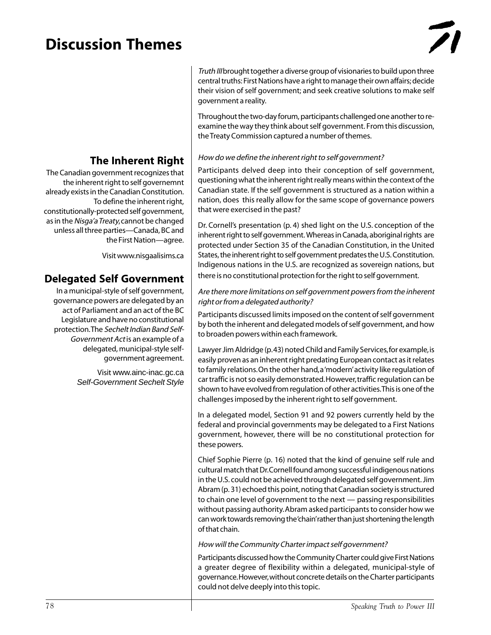# **Discussion Themes**

Truth III brought together a diverse group of visionaries to build upon three central truths: First Nations have a right to manage their own affairs; decide their vision of self government; and seek creative solutions to make self government a reality.

Throughout the two-day forum, participants challenged one another to reexamine the way they think about self government. From this discussion, the Treaty Commission captured a number of themes.

## How do we define the inherent right to self government?

Participants delved deep into their conception of self government, questioning what the inherent right really means within the context of the Canadian state. If the self government is structured as a nation within a nation, does this really allow for the same scope of governance powers that were exercised in the past?

Dr. Cornell's presentation (p. 4) shed light on the U.S. conception of the inherent right to self government. Whereas in Canada, aboriginal rights are protected under Section 35 of the Canadian Constitution, in the United States, the inherent right to self government predates the U.S. Constitution. Indigenous nations in the U.S. are recognized as sovereign nations, but there is no constitutional protection for the right to self government.

## Are there more limitations on self government powers from the inherent right or from a delegated authority?

Participants discussed limits imposed on the content of self government by both the inherent and delegated models of self government, and how to broaden powers within each framework.

Lawyer Jim Aldridge (p. 43) noted Child and Family Services, for example, is easily proven as an inherent right predating European contact as it relates to family relations. On the other hand, a 'modern' activity like regulation of car traffic is not so easily demonstrated. However, traffic regulation can be shown to have evolved from regulation of other activities. This is one of the challenges imposed by the inherent right to self government.

In a delegated model, Section 91 and 92 powers currently held by the federal and provincial governments may be delegated to a First Nations government, however, there will be no constitutional protection for these powers.

Chief Sophie Pierre (p. 16) noted that the kind of genuine self rule and cultural match that Dr. Cornell found among successful indigenous nations in the U.S. could not be achieved through delegated self government. Jim Abram (p. 31) echoed this point, noting that Canadian society is structured to chain one level of government to the next — passing responsibilities without passing authority. Abram asked participants to consider how we can work towards removing the 'chain' rather than just shortening the length of that chain.

## How will the Community Charter impact self government?

Participants discussed how the Community Charter could give First Nations a greater degree of flexibility within a delegated, municipal-style of governance. However, without concrete details on the Charter participants could not delve deeply into this topic.

## **The Inherent Right**

The Canadian government recognizes that the inherent right to self governemnt already exists in the Canadian Constitution. To define the inherent right, constitutionally-protected self government, as in the Nisga'a Treaty, cannot be changed unless all three parties—Canada, BC and the First Nation—agree.

Visit www.nisgaalisims.ca

## **Delegated Self Government**

In a municipal-style of self government, governance powers are delegated by an act of Parliament and an act of the BC Legislature and have no constitutional protection. The Sechelt Indian Band Self-Government Act is an example of a delegated, municipal-style selfgovernment agreement.

> Visit www.ainc-inac.gc.ca Self-Government Sechelt Style